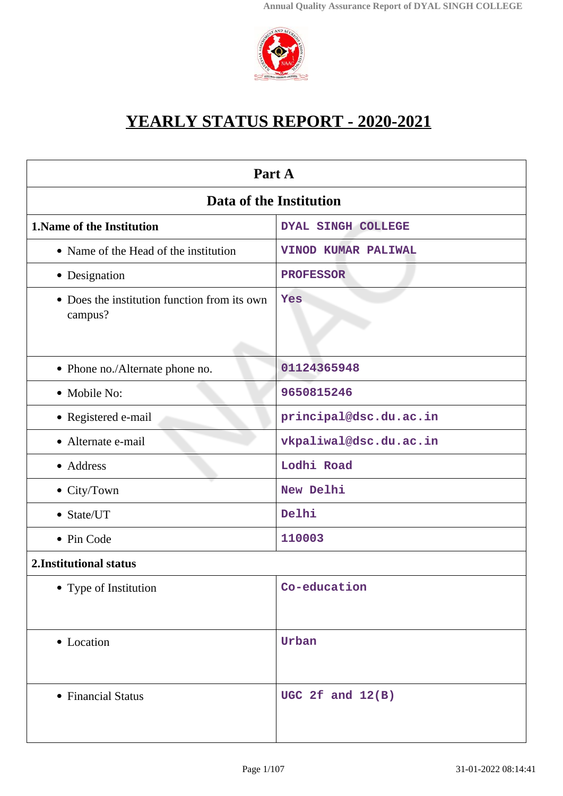

# **YEARLY STATUS REPORT - 2020-2021**

| Part A                                                  |                           |  |
|---------------------------------------------------------|---------------------------|--|
| Data of the Institution                                 |                           |  |
| 1. Name of the Institution                              | <b>DYAL SINGH COLLEGE</b> |  |
| • Name of the Head of the institution                   | VINOD KUMAR PALIWAL       |  |
| • Designation                                           | <b>PROFESSOR</b>          |  |
| • Does the institution function from its own<br>campus? | Yes                       |  |
| • Phone no./Alternate phone no.                         | 01124365948               |  |
| • Mobile No:                                            | 9650815246                |  |
| • Registered e-mail                                     | principal@dsc.du.ac.in    |  |
| • Alternate e-mail                                      | vkpaliwal@dsc.du.ac.in    |  |
| • Address                                               | Lodhi Road                |  |
| • City/Town                                             | New Delhi                 |  |
| • State/UT                                              | Delhi                     |  |
| • Pin Code                                              | 110003                    |  |
| 2. Institutional status                                 |                           |  |
| • Type of Institution                                   | Co-education              |  |
| • Location                                              | Urban                     |  |
| • Financial Status                                      | UGC 2 $f$ and $12(B)$     |  |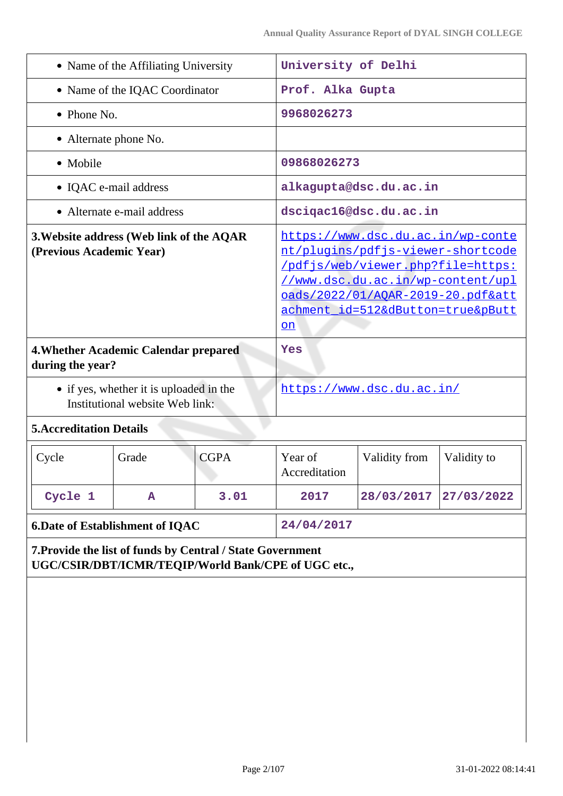| • Name of the Affiliating University                                 |                                                                                                                                                                                              |                                                                                                                                                                                                                                    |                                                                                                                     |
|----------------------------------------------------------------------|----------------------------------------------------------------------------------------------------------------------------------------------------------------------------------------------|------------------------------------------------------------------------------------------------------------------------------------------------------------------------------------------------------------------------------------|---------------------------------------------------------------------------------------------------------------------|
| • Name of the IQAC Coordinator                                       |                                                                                                                                                                                              | Prof. Alka Gupta                                                                                                                                                                                                                   |                                                                                                                     |
| $\bullet$ Phone No.                                                  |                                                                                                                                                                                              | 9968026273                                                                                                                                                                                                                         |                                                                                                                     |
|                                                                      |                                                                                                                                                                                              |                                                                                                                                                                                                                                    |                                                                                                                     |
|                                                                      |                                                                                                                                                                                              |                                                                                                                                                                                                                                    |                                                                                                                     |
|                                                                      |                                                                                                                                                                                              |                                                                                                                                                                                                                                    |                                                                                                                     |
|                                                                      |                                                                                                                                                                                              |                                                                                                                                                                                                                                    |                                                                                                                     |
| 3. Website address (Web link of the AQAR<br>(Previous Academic Year) |                                                                                                                                                                                              | https://www.dsc.du.ac.in/wp-conte<br>nt/plugins/pdfjs-viewer-shortcode<br>/pdfjs/web/viewer.php?file=https:<br>//www.dsc.du.ac.in/wp-content/upl<br>oads/2022/01/AQAR-2019-20.pdf&att<br>achment_id=512&dButton=true&pButt<br>$on$ |                                                                                                                     |
|                                                                      | Yes                                                                                                                                                                                          |                                                                                                                                                                                                                                    |                                                                                                                     |
|                                                                      |                                                                                                                                                                                              |                                                                                                                                                                                                                                    |                                                                                                                     |
|                                                                      |                                                                                                                                                                                              |                                                                                                                                                                                                                                    |                                                                                                                     |
| <b>CGPA</b>                                                          | Year of<br>Accreditation                                                                                                                                                                     | Validity from                                                                                                                                                                                                                      | Validity to                                                                                                         |
| 3.01                                                                 | 2017                                                                                                                                                                                         | 28/03/2017                                                                                                                                                                                                                         | 27/03/2022                                                                                                          |
|                                                                      | 24/04/2017                                                                                                                                                                                   |                                                                                                                                                                                                                                    |                                                                                                                     |
|                                                                      | UGC/CSIR/DBT/ICMR/TEQIP/World Bank/CPE of UGC etc.,                                                                                                                                          |                                                                                                                                                                                                                                    |                                                                                                                     |
|                                                                      | • Alternate e-mail address<br>4. Whether Academic Calendar prepared<br>• if yes, whether it is uploaded in the<br>Institutional website Web link:<br><b>6. Date of Establishment of IQAC</b> | 7. Provide the list of funds by Central / State Government                                                                                                                                                                         | University of Delhi<br>09868026273<br>alkagupta@dsc.du.ac.in<br>dsciqac16@dsc.du.ac.in<br>https://www.dsc.du.ac.in/ |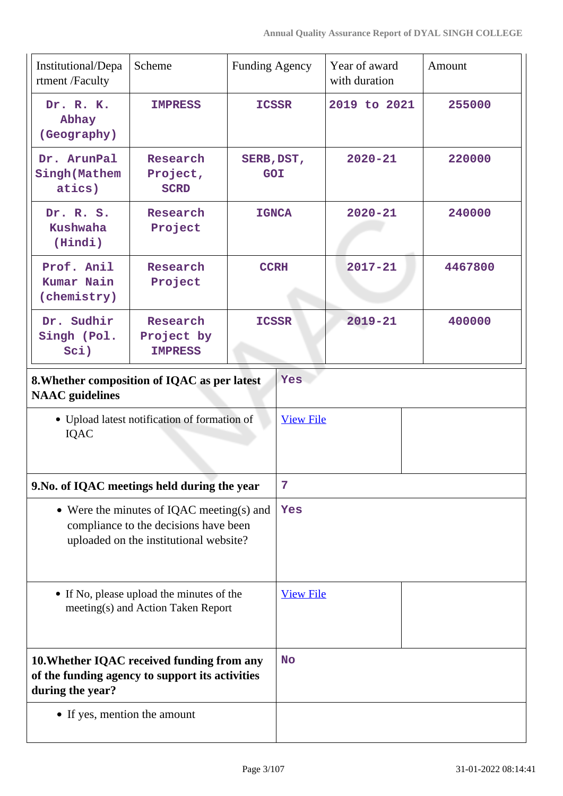| Institutional/Depa<br>rtment /Faculty                                                                                        | Scheme                                          | <b>Funding Agency</b>    |                  | Year of award<br>with duration | Amount  |
|------------------------------------------------------------------------------------------------------------------------------|-------------------------------------------------|--------------------------|------------------|--------------------------------|---------|
| Dr. R. K.<br>Abhay<br>(Geography)                                                                                            | <b>IMPRESS</b>                                  | <b>ICSSR</b>             |                  | 2019 to 2021                   | 255000  |
| Dr. ArunPal<br>Singh (Mathem<br>atics)                                                                                       | Research<br>Project,<br><b>SCRD</b>             | SERB, DST,<br><b>GOI</b> |                  | $2020 - 21$                    | 220000  |
| Dr. R. S.<br><b>Kushwaha</b><br>(Hindi)                                                                                      | Research<br>Project                             | <b>IGNCA</b>             |                  | $2020 - 21$                    | 240000  |
| Prof. Anil<br><b>Kumar Nain</b><br>(chemistry)                                                                               | Research<br>Project                             | <b>CCRH</b>              |                  | $2017 - 21$                    | 4467800 |
| Dr. Sudhir<br>Singh (Pol.<br>Sci)                                                                                            | Research<br>Project by<br><b>IMPRESS</b>        | <b>ICSSR</b>             |                  | $2019 - 21$                    | 400000  |
| 8. Whether composition of IQAC as per latest<br><b>NAAC</b> guidelines                                                       |                                                 |                          | Yes              |                                |         |
| IQAC                                                                                                                         | • Upload latest notification of formation of    |                          | <b>View File</b> |                                |         |
| 9. No. of IQAC meetings held during the year                                                                                 |                                                 |                          | $\overline{7}$   |                                |         |
| • Were the minutes of IQAC meeting(s) and<br>compliance to the decisions have been<br>uploaded on the institutional website? |                                                 | Yes                      |                  |                                |         |
| • If No, please upload the minutes of the<br>meeting(s) and Action Taken Report                                              |                                                 | <b>View File</b>         |                  |                                |         |
| 10. Whether IQAC received funding from any<br>during the year?                                                               | of the funding agency to support its activities |                          | <b>No</b>        |                                |         |
| • If yes, mention the amount                                                                                                 |                                                 |                          |                  |                                |         |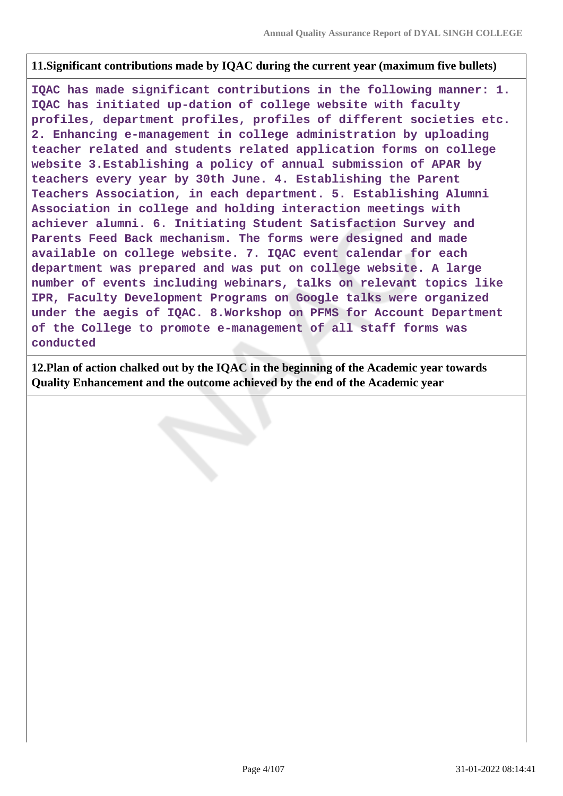### **11.Significant contributions made by IQAC during the current year (maximum five bullets)**

**IQAC has made significant contributions in the following manner: 1. IQAC has initiated up-dation of college website with faculty profiles, department profiles, profiles of different societies etc. 2. Enhancing e-management in college administration by uploading teacher related and students related application forms on college website 3.Establishing a policy of annual submission of APAR by teachers every year by 30th June. 4. Establishing the Parent Teachers Association, in each department. 5. Establishing Alumni Association in college and holding interaction meetings with achiever alumni. 6. Initiating Student Satisfaction Survey and Parents Feed Back mechanism. The forms were designed and made available on college website. 7. IQAC event calendar for each department was prepared and was put on college website. A large number of events including webinars, talks on relevant topics like IPR, Faculty Development Programs on Google talks were organized under the aegis of IQAC. 8.Workshop on PFMS for Account Department of the College to promote e-management of all staff forms was conducted**

**12.Plan of action chalked out by the IQAC in the beginning of the Academic year towards Quality Enhancement and the outcome achieved by the end of the Academic year**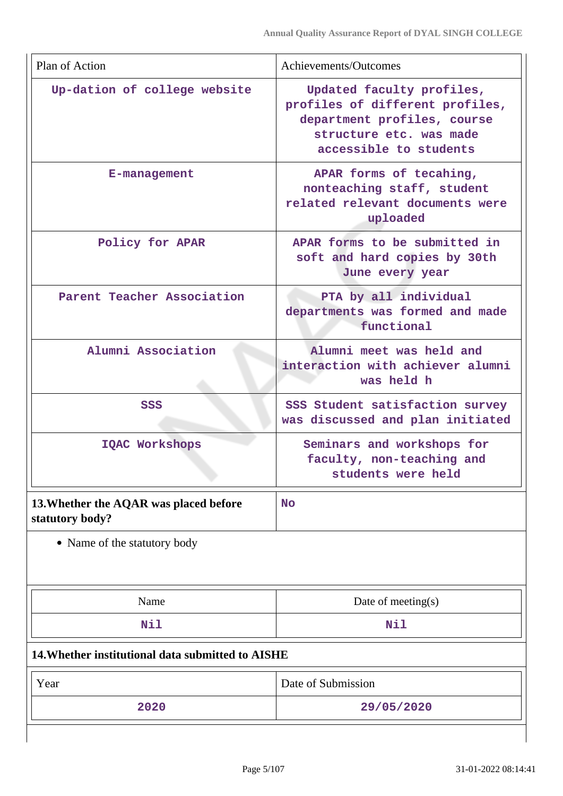| Plan of Action                                            | Achievements/Outcomes                                                                                                                            |  |
|-----------------------------------------------------------|--------------------------------------------------------------------------------------------------------------------------------------------------|--|
| Up-dation of college website                              | Updated faculty profiles,<br>profiles of different profiles,<br>department profiles, course<br>structure etc. was made<br>accessible to students |  |
| E-management                                              | APAR forms of tecahing,<br>nonteaching staff, student<br>related relevant documents were<br>uploaded                                             |  |
| Policy for APAR                                           | APAR forms to be submitted in<br>soft and hard copies by 30th<br>June every year                                                                 |  |
| Parent Teacher Association                                | PTA by all individual<br>departments was formed and made<br>functional                                                                           |  |
| Alumni Association                                        | Alumni meet was held and<br>interaction with achiever alumni<br>was held h                                                                       |  |
| SSS                                                       | SSS Student satisfaction survey<br>was discussed and plan initiated                                                                              |  |
| <b>IQAC Workshops</b>                                     | Seminars and workshops for<br>faculty, non-teaching and<br>students were held                                                                    |  |
| 13. Whether the AQAR was placed before<br>statutory body? | <b>No</b>                                                                                                                                        |  |
| • Name of the statutory body                              |                                                                                                                                                  |  |
| Name                                                      | Date of meeting $(s)$                                                                                                                            |  |
| Nil                                                       | Nil                                                                                                                                              |  |
| 14. Whether institutional data submitted to AISHE         |                                                                                                                                                  |  |
| Year                                                      | Date of Submission                                                                                                                               |  |
| 2020                                                      | 29/05/2020                                                                                                                                       |  |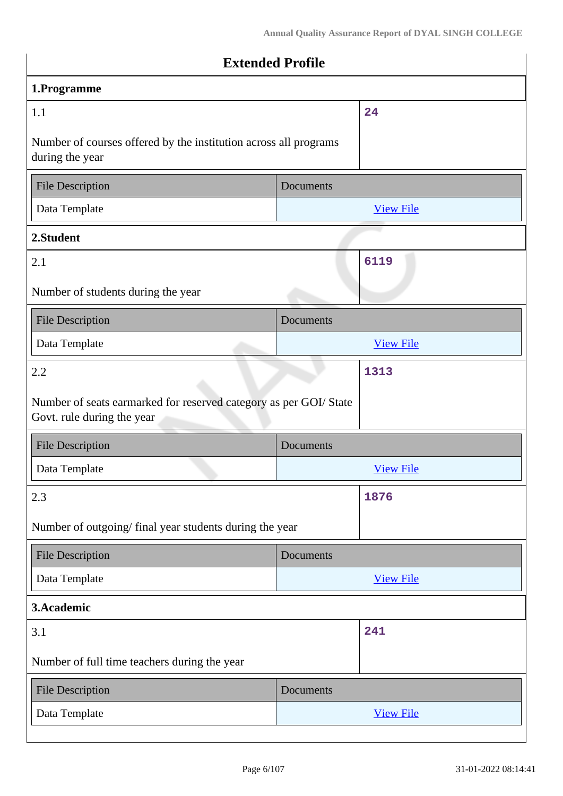| <b>Extended Profile</b>                                                                         |           |                  |
|-------------------------------------------------------------------------------------------------|-----------|------------------|
| 1.Programme                                                                                     |           |                  |
| 1.1                                                                                             |           | 24               |
| Number of courses offered by the institution across all programs<br>during the year             |           |                  |
| <b>File Description</b>                                                                         | Documents |                  |
| Data Template                                                                                   |           | <b>View File</b> |
| 2.Student                                                                                       |           |                  |
| 2.1                                                                                             |           | 6119             |
| Number of students during the year                                                              |           |                  |
| <b>File Description</b>                                                                         | Documents |                  |
| Data Template                                                                                   |           | <b>View File</b> |
| 2.2                                                                                             |           | 1313             |
| Number of seats earmarked for reserved category as per GOI/ State<br>Govt. rule during the year |           |                  |
| File Description                                                                                | Documents |                  |
| Data Template                                                                                   |           | <b>View File</b> |
| 2.3                                                                                             |           | 1876             |
| Number of outgoing/final year students during the year                                          |           |                  |
| <b>File Description</b>                                                                         | Documents |                  |
| Data Template                                                                                   |           | <b>View File</b> |
| 3.Academic                                                                                      |           |                  |
| 3.1                                                                                             |           | 241              |
| Number of full time teachers during the year                                                    |           |                  |
| <b>File Description</b>                                                                         | Documents |                  |
| Data Template                                                                                   |           | <b>View File</b> |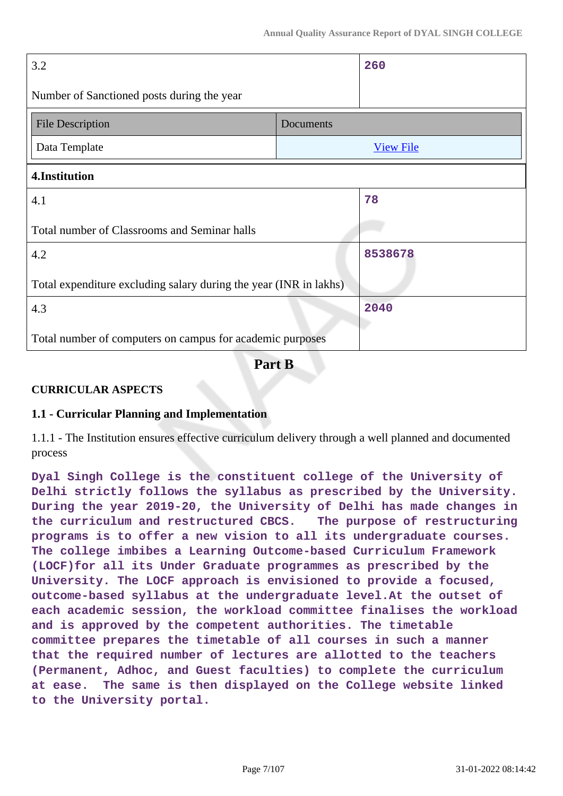| 3.2                                                               |           | 260              |
|-------------------------------------------------------------------|-----------|------------------|
| Number of Sanctioned posts during the year                        |           |                  |
| <b>File Description</b>                                           | Documents |                  |
| Data Template                                                     |           | <b>View File</b> |
| 4.Institution                                                     |           |                  |
| 4.1                                                               |           | 78               |
| Total number of Classrooms and Seminar halls                      |           |                  |
| 4.2                                                               |           | 8538678          |
| Total expenditure excluding salary during the year (INR in lakhs) |           |                  |
| 4.3                                                               |           | 2040             |
| Total number of computers on campus for academic purposes         |           |                  |

**Part B**

### **CURRICULAR ASPECTS**

### **1.1 - Curricular Planning and Implementation**

1.1.1 - The Institution ensures effective curriculum delivery through a well planned and documented process

**Dyal Singh College is the constituent college of the University of Delhi strictly follows the syllabus as prescribed by the University. During the year 2019-20, the University of Delhi has made changes in the curriculum and restructured CBCS. The purpose of restructuring programs is to offer a new vision to all its undergraduate courses. The college imbibes a Learning Outcome-based Curriculum Framework (LOCF)for all its Under Graduate programmes as prescribed by the University. The LOCF approach is envisioned to provide a focused, outcome-based syllabus at the undergraduate level.At the outset of each academic session, the workload committee finalises the workload and is approved by the competent authorities. The timetable committee prepares the timetable of all courses in such a manner that the required number of lectures are allotted to the teachers (Permanent, Adhoc, and Guest faculties) to complete the curriculum at ease. The same is then displayed on the College website linked to the University portal.**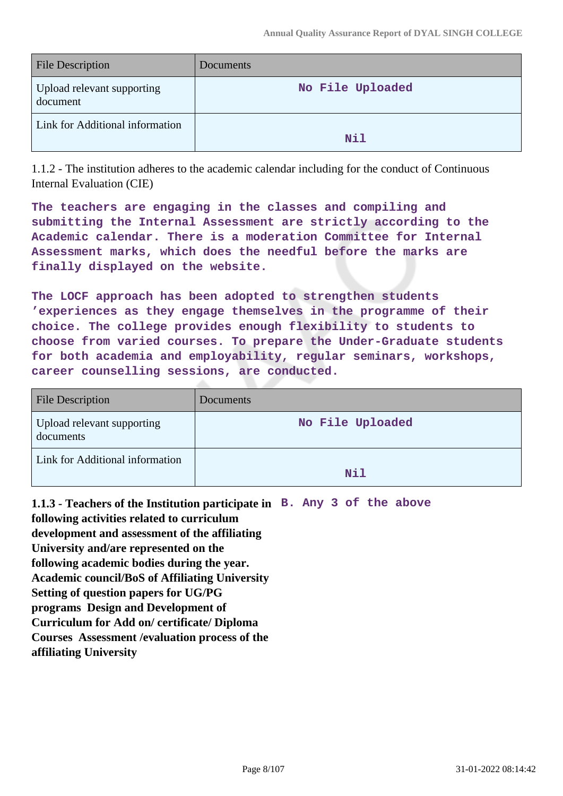| <b>File Description</b>                | Documents        |
|----------------------------------------|------------------|
| Upload relevant supporting<br>document | No File Uploaded |
| Link for Additional information        | Nil              |

1.1.2 - The institution adheres to the academic calendar including for the conduct of Continuous Internal Evaluation (CIE)

**The teachers are engaging in the classes and compiling and submitting the Internal Assessment are strictly according to the Academic calendar. There is a moderation Committee for Internal Assessment marks, which does the needful before the marks are finally displayed on the website.**

**The LOCF approach has been adopted to strengthen students 'experiences as they engage themselves in the programme of their choice. The college provides enough flexibility to students to choose from varied courses. To prepare the Under-Graduate students for both academia and employability, regular seminars, workshops, career counselling sessions, are conducted.**

| <b>File Description</b>                 | Documents        |
|-----------------------------------------|------------------|
| Upload relevant supporting<br>documents | No File Uploaded |
| Link for Additional information         | Nil              |

**1.1.3 - Teachers of the Institution participate in B. Any 3 of the above following activities related to curriculum development and assessment of the affiliating University and/are represented on the following academic bodies during the year. Academic council/BoS of Affiliating University Setting of question papers for UG/PG programs Design and Development of Curriculum for Add on/ certificate/ Diploma Courses Assessment /evaluation process of the affiliating University**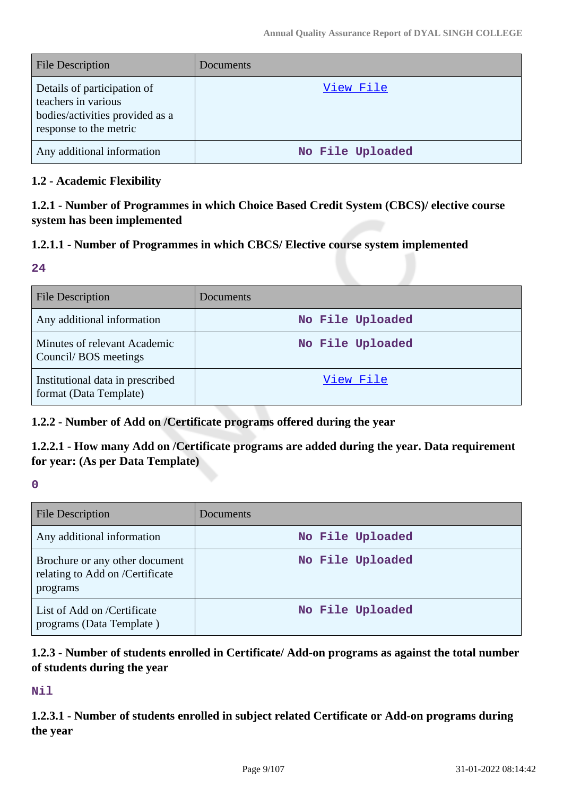| <b>File Description</b>                                                                                         | Documents        |
|-----------------------------------------------------------------------------------------------------------------|------------------|
| Details of participation of<br>teachers in various<br>bodies/activities provided as a<br>response to the metric | View File        |
| Any additional information                                                                                      | No File Uploaded |

#### **1.2 - Academic Flexibility**

**1.2.1 - Number of Programmes in which Choice Based Credit System (CBCS)/ elective course system has been implemented**

### **1.2.1.1 - Number of Programmes in which CBCS/ Elective course system implemented**

#### **24**

| <b>File Description</b>                                    | <b>Documents</b> |
|------------------------------------------------------------|------------------|
| Any additional information                                 | No File Uploaded |
| Minutes of relevant Academic<br>Council/BOS meetings       | No File Uploaded |
| Institutional data in prescribed<br>format (Data Template) | View File        |

### **1.2.2 - Number of Add on /Certificate programs offered during the year**

### **1.2.2.1 - How many Add on /Certificate programs are added during the year. Data requirement for year: (As per Data Template)**

**0**

| <b>File Description</b>                                                       | Documents        |
|-------------------------------------------------------------------------------|------------------|
| Any additional information                                                    | No File Uploaded |
| Brochure or any other document<br>relating to Add on /Certificate<br>programs | No File Uploaded |
| List of Add on /Certificate<br>programs (Data Template)                       | No File Uploaded |

### **1.2.3 - Number of students enrolled in Certificate/ Add-on programs as against the total number of students during the year**

**Nil**

**1.2.3.1 - Number of students enrolled in subject related Certificate or Add-on programs during the year**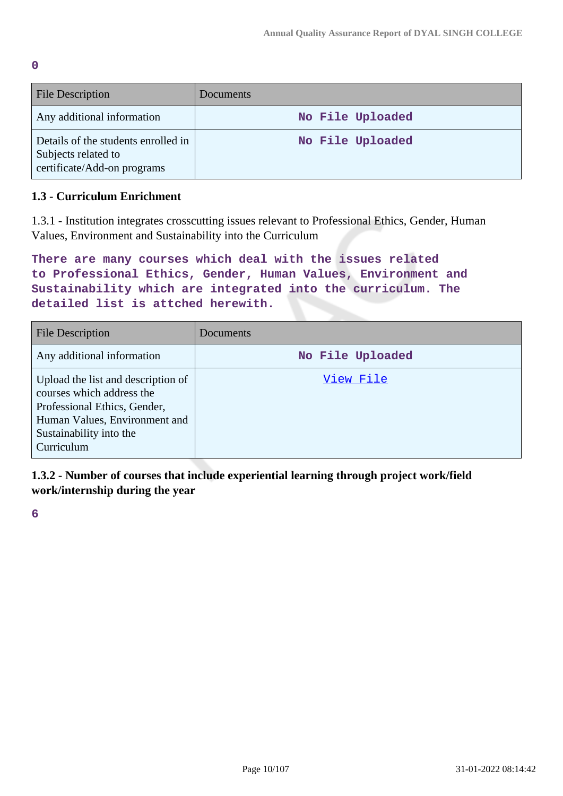| File Description                                                                          | Documents        |
|-------------------------------------------------------------------------------------------|------------------|
| Any additional information                                                                | No File Uploaded |
| Details of the students enrolled in<br>Subjects related to<br>certificate/Add-on programs | No File Uploaded |

### **1.3 - Curriculum Enrichment**

1.3.1 - Institution integrates crosscutting issues relevant to Professional Ethics, Gender, Human Values, Environment and Sustainability into the Curriculum

```
There are many courses which deal with the issues related
to Professional Ethics, Gender, Human Values, Environment and
Sustainability which are integrated into the curriculum. The
detailed list is attched herewith.
```

| <b>File Description</b>                                                                                                                                                   | Documents        |
|---------------------------------------------------------------------------------------------------------------------------------------------------------------------------|------------------|
| Any additional information                                                                                                                                                | No File Uploaded |
| Upload the list and description of<br>courses which address the<br>Professional Ethics, Gender,<br>Human Values, Environment and<br>Sustainability into the<br>Curriculum | View File        |

**1.3.2 - Number of courses that include experiential learning through project work/field work/internship during the year**

**6**

**0**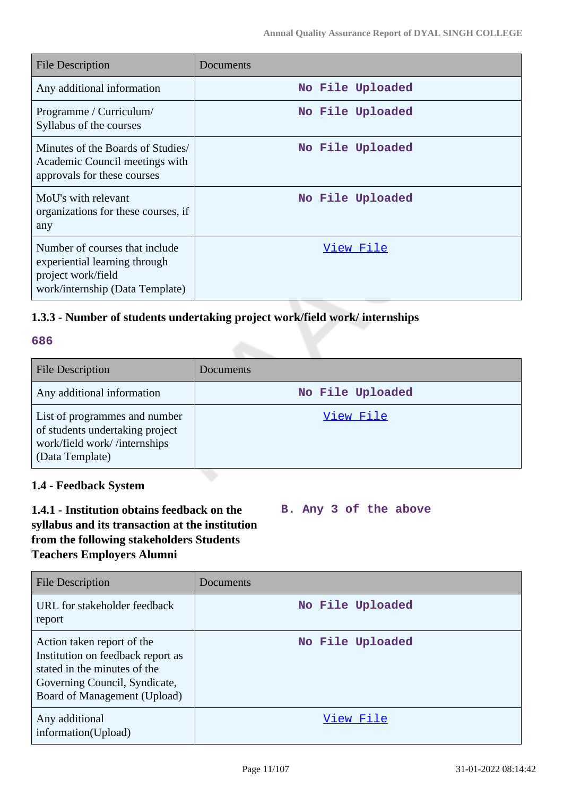| <b>File Description</b>                                                                                                  | Documents        |
|--------------------------------------------------------------------------------------------------------------------------|------------------|
| Any additional information                                                                                               | No File Uploaded |
| Programme / Curriculum/<br>Syllabus of the courses                                                                       | No File Uploaded |
| Minutes of the Boards of Studies<br>Academic Council meetings with<br>approvals for these courses                        | No File Uploaded |
| MoU's with relevant<br>organizations for these courses, if<br>any                                                        | No File Uploaded |
| Number of courses that include<br>experiential learning through<br>project work/field<br>work/internship (Data Template) | View File        |

### **1.3.3 - Number of students undertaking project work/field work/ internships**

#### **686**

| <b>File Description</b>                                                                                             | Documents        |
|---------------------------------------------------------------------------------------------------------------------|------------------|
| Any additional information                                                                                          | No File Uploaded |
| List of programmes and number<br>of students undertaking project<br>work/field work//internships<br>(Data Template) | View File        |

### **1.4 - Feedback System**

### **1.4.1 - Institution obtains feedback on the syllabus and its transaction at the institution from the following stakeholders Students Teachers Employers Alumni**

**B. Any 3 of the above**

| File Description                                                                                                                                                 | Documents        |
|------------------------------------------------------------------------------------------------------------------------------------------------------------------|------------------|
| URL for stakeholder feedback<br>report                                                                                                                           | No File Uploaded |
| Action taken report of the<br>Institution on feedback report as<br>stated in the minutes of the<br>Governing Council, Syndicate,<br>Board of Management (Upload) | No File Uploaded |
| Any additional<br>information(Upload)                                                                                                                            | View File        |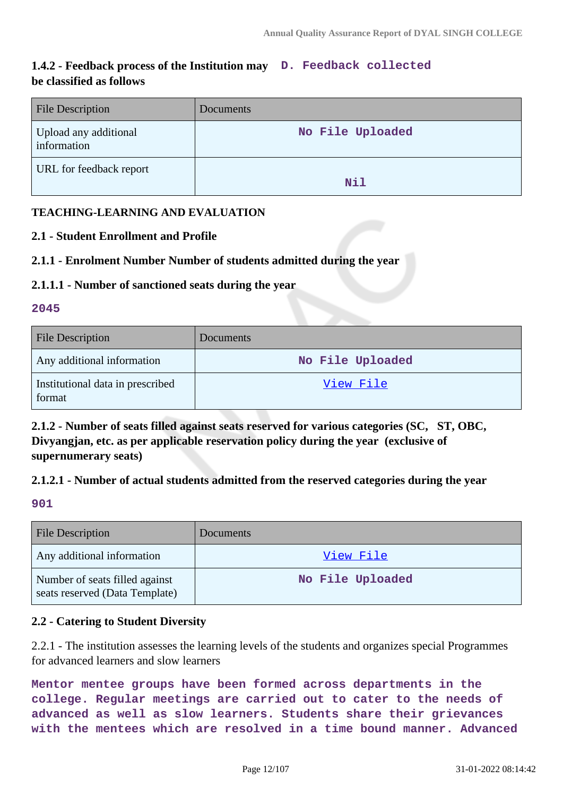### **1.4.2 - Feedback process of the Institution may D. Feedback collected be classified as follows**

| <b>File Description</b>              | Documents        |
|--------------------------------------|------------------|
| Upload any additional<br>information | No File Uploaded |
| URL for feedback report              | Nil              |

### **TEACHING-LEARNING AND EVALUATION**

### **2.1 - Student Enrollment and Profile**

### **2.1.1 - Enrolment Number Number of students admitted during the year**

### **2.1.1.1 - Number of sanctioned seats during the year**

#### **2045**

| <b>File Description</b>                    | <b>Documents</b> |
|--------------------------------------------|------------------|
| Any additional information                 | No File Uploaded |
| Institutional data in prescribed<br>format | <u>View File</u> |

**2.1.2 - Number of seats filled against seats reserved for various categories (SC, ST, OBC, Divyangjan, etc. as per applicable reservation policy during the year (exclusive of supernumerary seats)**

### **2.1.2.1 - Number of actual students admitted from the reserved categories during the year**

**901**

| <b>File Description</b>                                          | <b>Documents</b> |
|------------------------------------------------------------------|------------------|
| Any additional information                                       | View File        |
| Number of seats filled against<br>seats reserved (Data Template) | No File Uploaded |

### **2.2 - Catering to Student Diversity**

2.2.1 - The institution assesses the learning levels of the students and organizes special Programmes for advanced learners and slow learners

**Mentor mentee groups have been formed across departments in the college. Regular meetings are carried out to cater to the needs of advanced as well as slow learners. Students share their grievances with the mentees which are resolved in a time bound manner. Advanced**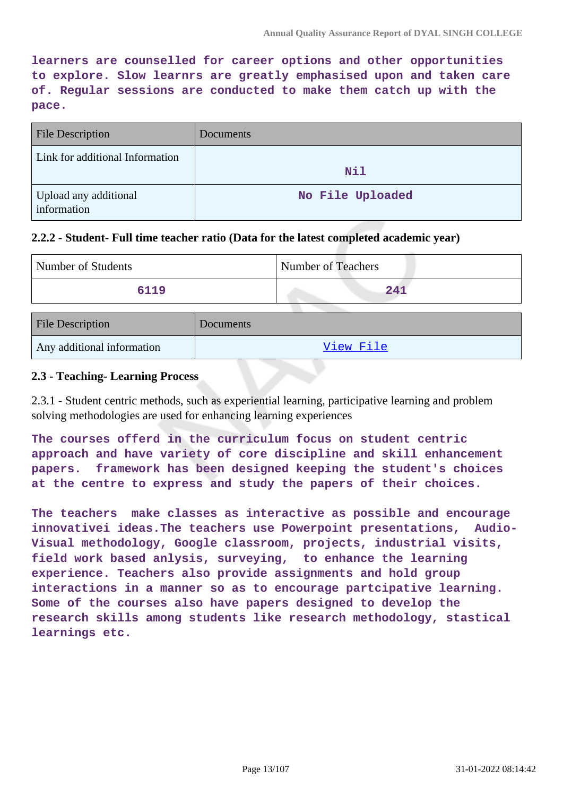**learners are counselled for career options and other opportunities to explore. Slow learnrs are greatly emphasised upon and taken care of. Regular sessions are conducted to make them catch up with the pace.**

| <b>File Description</b>              | Documents        |
|--------------------------------------|------------------|
| Link for additional Information      | Nil              |
| Upload any additional<br>information | No File Uploaded |

#### **2.2.2 - Student- Full time teacher ratio (Data for the latest completed academic year)**

| Number of Students | Number of Teachers |
|--------------------|--------------------|
| 6119               |                    |

| <b>File Description</b>    | <b>Documents</b> |
|----------------------------|------------------|
| Any additional information | View File        |

#### **2.3 - Teaching- Learning Process**

2.3.1 - Student centric methods, such as experiential learning, participative learning and problem solving methodologies are used for enhancing learning experiences

**The courses offerd in the curriculum focus on student centric approach and have variety of core discipline and skill enhancement papers. framework has been designed keeping the student's choices at the centre to express and study the papers of their choices.** 

**The teachers make classes as interactive as possible and encourage innovativei ideas.The teachers use Powerpoint presentations, Audio-Visual methodology, Google classroom, projects, industrial visits, field work based anlysis, surveying, to enhance the learning experience. Teachers also provide assignments and hold group interactions in a manner so as to encourage partcipative learning. Some of the courses also have papers designed to develop the research skills among students like research methodology, stastical learnings etc.**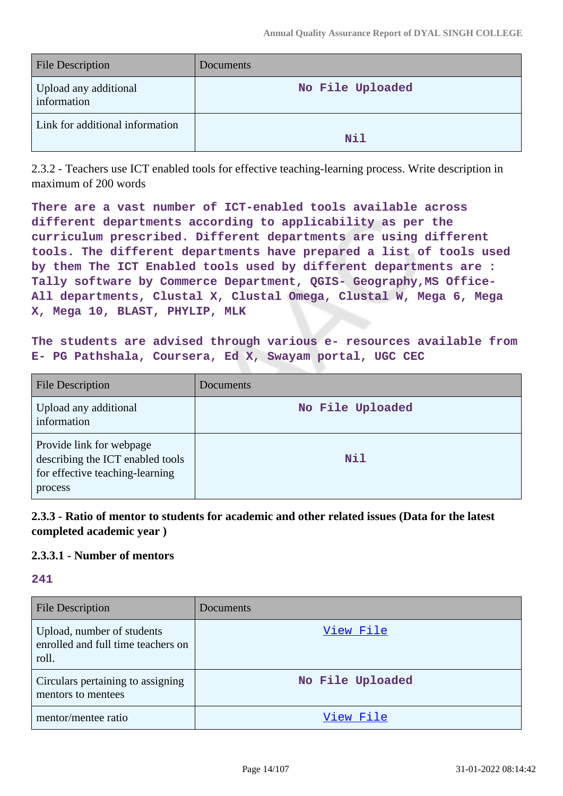| <b>File Description</b>              | Documents        |
|--------------------------------------|------------------|
| Upload any additional<br>information | No File Uploaded |
| Link for additional information      | Nil              |

2.3.2 - Teachers use ICT enabled tools for effective teaching-learning process. Write description in maximum of 200 words

**There are a vast number of ICT-enabled tools available across different departments according to applicability as per the curriculum prescribed. Different departments are using different tools. The different departments have prepared a list of tools used by them The ICT Enabled tools used by different departments are :** Tally software by Commerce Department, QGIS- Geography, MS Office-**All departments, Clustal X, Clustal Omega, Clustal W, Mega 6, Mega X, Mega 10, BLAST, PHYLIP, MLK**

**The students are advised through various e- resources available from E- PG Pathshala, Coursera, Ed X, Swayam portal, UGC CEC**

| <b>File Description</b>                                                                                    | <b>Documents</b> |
|------------------------------------------------------------------------------------------------------------|------------------|
| Upload any additional<br>information                                                                       | No File Uploaded |
| Provide link for webpage<br>describing the ICT enabled tools<br>for effective teaching-learning<br>process | Nil              |

**2.3.3 - Ratio of mentor to students for academic and other related issues (Data for the latest completed academic year )**

### **2.3.3.1 - Number of mentors**

**241**

| <b>File Description</b>                                                   | Documents        |
|---------------------------------------------------------------------------|------------------|
| Upload, number of students<br>enrolled and full time teachers on<br>roll. | View File        |
| Circulars pertaining to assigning<br>mentors to mentees                   | No File Uploaded |
| mentor/mentee ratio                                                       | View File        |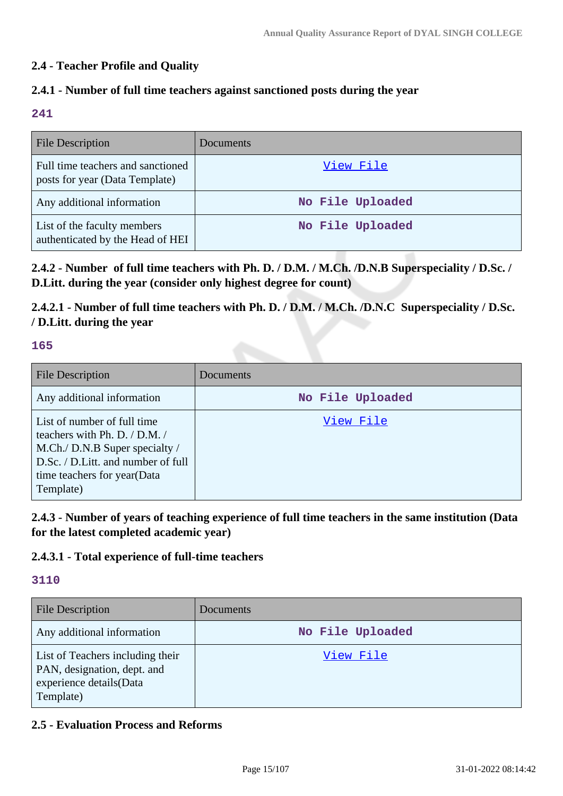### **2.4 - Teacher Profile and Quality**

### **2.4.1 - Number of full time teachers against sanctioned posts during the year**

#### **241**

| <b>File Description</b>                                             | Documents        |
|---------------------------------------------------------------------|------------------|
| Full time teachers and sanctioned<br>posts for year (Data Template) | View File        |
| Any additional information                                          | No File Uploaded |
| List of the faculty members<br>authenticated by the Head of HEI     | No File Uploaded |

**2.4.2 - Number of full time teachers with Ph. D. / D.M. / M.Ch. /D.N.B Superspeciality / D.Sc. / D.Litt. during the year (consider only highest degree for count)**

**2.4.2.1 - Number of full time teachers with Ph. D. / D.M. / M.Ch. /D.N.C Superspeciality / D.Sc. / D.Litt. during the year**

### **165**

| <b>File Description</b>                                                                                                                                                               | Documents        |
|---------------------------------------------------------------------------------------------------------------------------------------------------------------------------------------|------------------|
| Any additional information                                                                                                                                                            | No File Uploaded |
| List of number of full time<br>teachers with Ph. D. $/$ D.M. $/$<br>M.Ch./ D.N.B Super specialty /<br>D.Sc. / D.Litt. and number of full<br>time teachers for year (Data<br>Template) | View File        |

**2.4.3 - Number of years of teaching experience of full time teachers in the same institution (Data for the latest completed academic year)**

### **2.4.3.1 - Total experience of full-time teachers**

#### **3110**

| <b>File Description</b>                                                                                 | Documents        |
|---------------------------------------------------------------------------------------------------------|------------------|
| Any additional information                                                                              | No File Uploaded |
| List of Teachers including their<br>PAN, designation, dept. and<br>experience details(Data<br>Template) | View File        |

### **2.5 - Evaluation Process and Reforms**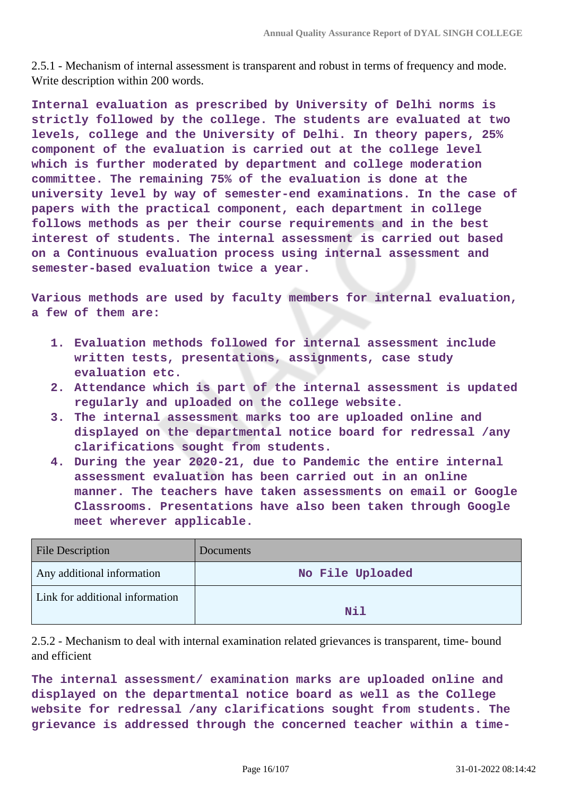2.5.1 - Mechanism of internal assessment is transparent and robust in terms of frequency and mode. Write description within 200 words.

**Internal evaluation as prescribed by University of Delhi norms is strictly followed by the college. The students are evaluated at two levels, college and the University of Delhi. In theory papers, 25% component of the evaluation is carried out at the college level which is further moderated by department and college moderation committee. The remaining 75% of the evaluation is done at the university level by way of semester-end examinations. In the case of papers with the practical component, each department in college follows methods as per their course requirements and in the best interest of students. The internal assessment is carried out based on a Continuous evaluation process using internal assessment and semester-based evaluation twice a year.**

**Various methods are used by faculty members for internal evaluation, a few of them are:**

- **1. Evaluation methods followed for internal assessment include written tests, presentations, assignments, case study evaluation etc.**
- **2. Attendance which is part of the internal assessment is updated regularly and uploaded on the college website.**
- **3. The internal assessment marks too are uploaded online and displayed on the departmental notice board for redressal /any clarifications sought from students.**
- **4. During the year 2020-21, due to Pandemic the entire internal assessment evaluation has been carried out in an online manner. The teachers have taken assessments on email or Google Classrooms. Presentations have also been taken through Google meet wherever applicable.**

| <b>File Description</b>         | <b>Documents</b> |
|---------------------------------|------------------|
| Any additional information      | No File Uploaded |
| Link for additional information | Nil              |

2.5.2 - Mechanism to deal with internal examination related grievances is transparent, time- bound and efficient

**The internal assessment/ examination marks are uploaded online and displayed on the departmental notice board as well as the College website for redressal /any clarifications sought from students. The grievance is addressed through the concerned teacher within a time-**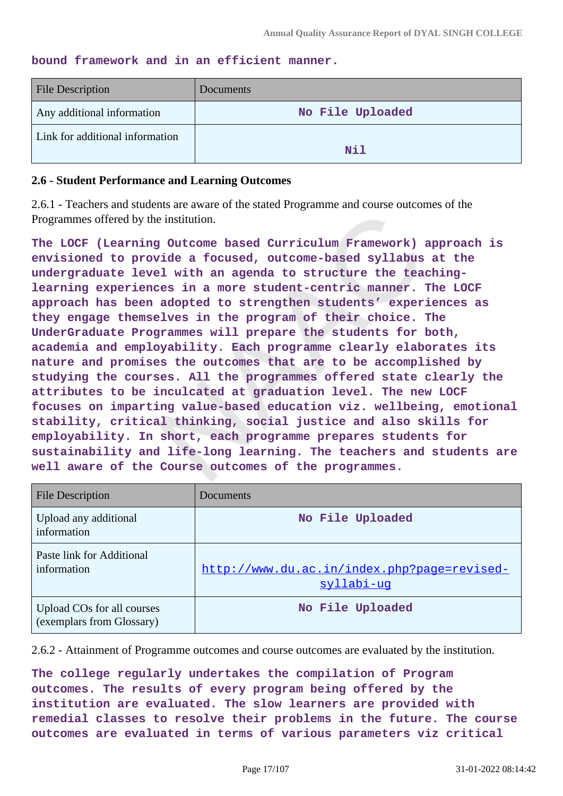#### **bound framework and in an efficient manner.**

| <b>File Description</b>         | <b>Documents</b> |
|---------------------------------|------------------|
| Any additional information      | No File Uploaded |
| Link for additional information | Nil              |

#### **2.6 - Student Performance and Learning Outcomes**

2.6.1 - Teachers and students are aware of the stated Programme and course outcomes of the Programmes offered by the institution.

**The LOCF (Learning Outcome based Curriculum Framework) approach is envisioned to provide a focused, outcome-based syllabus at the undergraduate level with an agenda to structure the teachinglearning experiences in a more student-centric manner. The LOCF approach has been adopted to strengthen students' experiences as they engage themselves in the program of their choice. The UnderGraduate Programmes will prepare the students for both, academia and employability. Each programme clearly elaborates its nature and promises the outcomes that are to be accomplished by studying the courses. All the programmes offered state clearly the attributes to be inculcated at graduation level. The new LOCF focuses on imparting value-based education viz. wellbeing, emotional stability, critical thinking, social justice and also skills for employability. In short, each programme prepares students for sustainability and life-long learning. The teachers and students are well aware of the Course outcomes of the programmes.**

| <b>File Description</b>                                 | Documents                                                 |
|---------------------------------------------------------|-----------------------------------------------------------|
| Upload any additional<br>information                    | No File Uploaded                                          |
| Paste link for Additional<br>information                | http://www.du.ac.in/index.php?page=revised-<br>syllabi-uq |
| Upload COs for all courses<br>(exemplars from Glossary) | No File Uploaded                                          |

2.6.2 - Attainment of Programme outcomes and course outcomes are evaluated by the institution.

**The college regularly undertakes the compilation of Program outcomes. The results of every program being offered by the institution are evaluated. The slow learners are provided with remedial classes to resolve their problems in the future. The course outcomes are evaluated in terms of various parameters viz critical**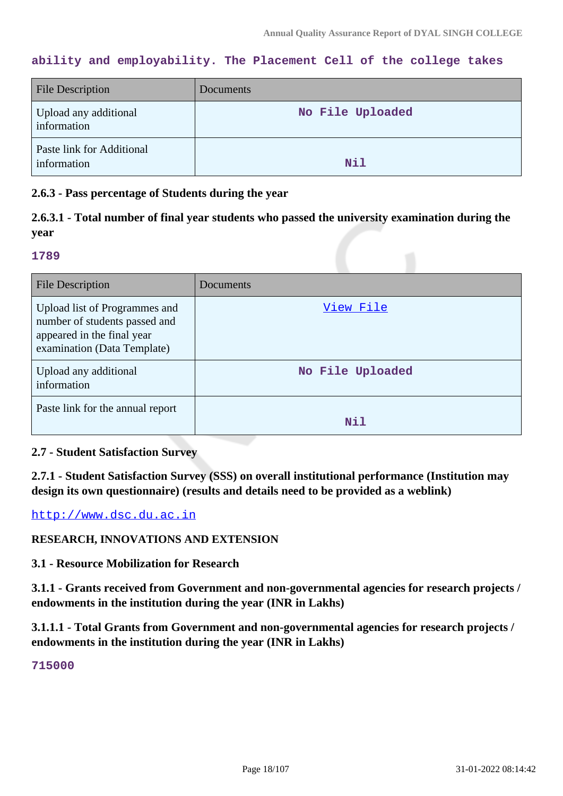### **ability and employability. The Placement Cell of the college takes**

| <b>File Description</b>                  | Documents        |
|------------------------------------------|------------------|
| Upload any additional<br>information     | No File Uploaded |
| Paste link for Additional<br>information | Nil              |

#### **2.6.3 - Pass percentage of Students during the year**

### **2.6.3.1 - Total number of final year students who passed the university examination during the year**

#### **1789**

| <b>File Description</b>                                                                                                     | Documents        |
|-----------------------------------------------------------------------------------------------------------------------------|------------------|
| Upload list of Programmes and<br>number of students passed and<br>appeared in the final year<br>examination (Data Template) | View File        |
| Upload any additional<br>information                                                                                        | No File Uploaded |
| Paste link for the annual report                                                                                            | Nil              |

### **2.7 - Student Satisfaction Survey**

**2.7.1 - Student Satisfaction Survey (SSS) on overall institutional performance (Institution may design its own questionnaire) (results and details need to be provided as a weblink)**

<http://www.dsc.du.ac.in>

### **RESEARCH, INNOVATIONS AND EXTENSION**

**3.1 - Resource Mobilization for Research**

**3.1.1 - Grants received from Government and non-governmental agencies for research projects / endowments in the institution during the year (INR in Lakhs)**

**3.1.1.1 - Total Grants from Government and non-governmental agencies for research projects / endowments in the institution during the year (INR in Lakhs)**

### **715000**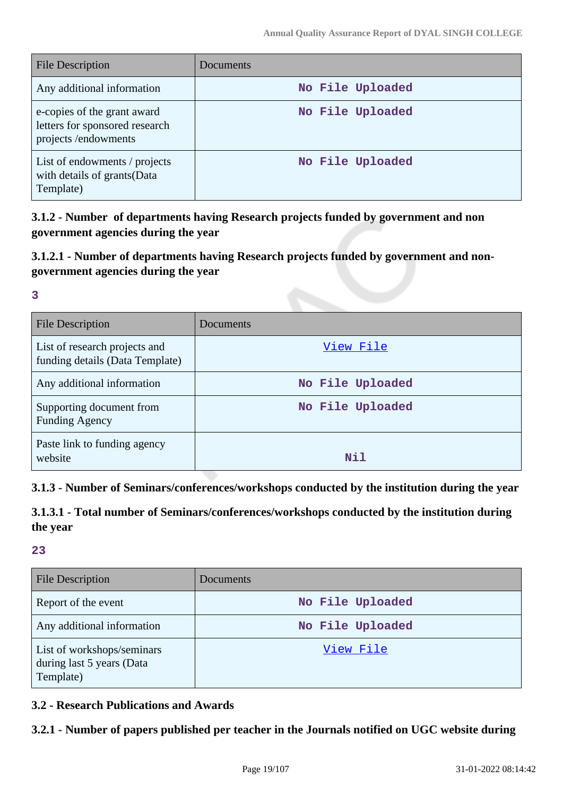| File Description                                                                     | Documents        |
|--------------------------------------------------------------------------------------|------------------|
| Any additional information                                                           | No File Uploaded |
| e-copies of the grant award<br>letters for sponsored research<br>projects/endowments | No File Uploaded |
| List of endowments / projects<br>with details of grants (Data<br>Template)           | No File Uploaded |

**3.1.2 - Number of departments having Research projects funded by government and non government agencies during the year**

### **3.1.2.1 - Number of departments having Research projects funded by government and nongovernment agencies during the year**

**3**

| File Description                                                 | Documents        |
|------------------------------------------------------------------|------------------|
| List of research projects and<br>funding details (Data Template) | View File        |
| Any additional information                                       | No File Uploaded |
| Supporting document from<br><b>Funding Agency</b>                | No File Uploaded |
| Paste link to funding agency<br>website                          | Nil              |

### **3.1.3 - Number of Seminars/conferences/workshops conducted by the institution during the year**

**3.1.3.1 - Total number of Seminars/conferences/workshops conducted by the institution during the year**

**23**

| <b>File Description</b>                                              | Documents        |
|----------------------------------------------------------------------|------------------|
| Report of the event                                                  | No File Uploaded |
| Any additional information                                           | No File Uploaded |
| List of workshops/seminars<br>during last 5 years (Data<br>Template) | View File        |

### **3.2 - Research Publications and Awards**

### **3.2.1 - Number of papers published per teacher in the Journals notified on UGC website during**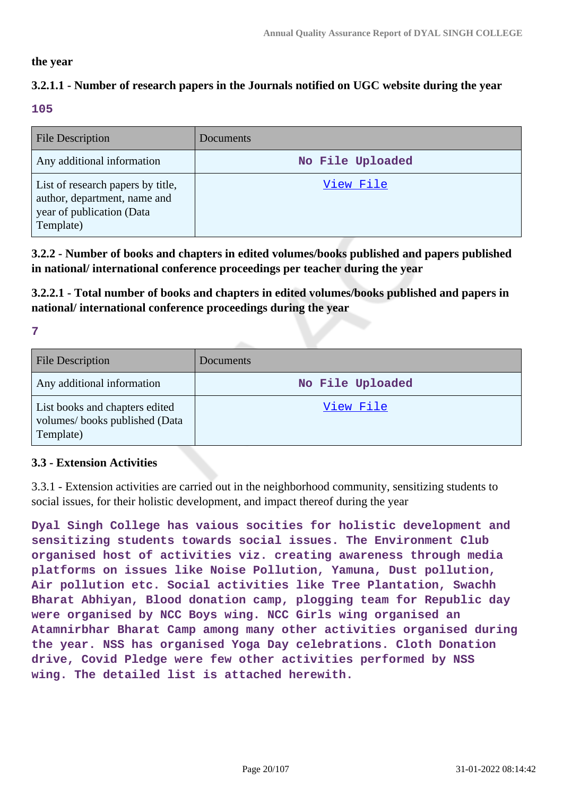#### **the year**

### **3.2.1.1 - Number of research papers in the Journals notified on UGC website during the year**

#### **105**

| <b>File Description</b>                                                                                     | Documents        |
|-------------------------------------------------------------------------------------------------------------|------------------|
| Any additional information                                                                                  | No File Uploaded |
| List of research papers by title,<br>author, department, name and<br>year of publication (Data<br>Template) | View File        |

**3.2.2 - Number of books and chapters in edited volumes/books published and papers published in national/ international conference proceedings per teacher during the year**

**3.2.2.1 - Total number of books and chapters in edited volumes/books published and papers in national/ international conference proceedings during the year**

**7**

| <b>File Description</b>                                                      | <b>Documents</b> |
|------------------------------------------------------------------------------|------------------|
| Any additional information                                                   | No File Uploaded |
| List books and chapters edited<br>volumes/books published (Data<br>Template) | <u>View File</u> |

### **3.3 - Extension Activities**

3.3.1 - Extension activities are carried out in the neighborhood community, sensitizing students to social issues, for their holistic development, and impact thereof during the year

**Dyal Singh College has vaious socities for holistic development and sensitizing students towards social issues. The Environment Club organised host of activities viz. creating awareness through media platforms on issues like Noise Pollution, Yamuna, Dust pollution, Air pollution etc. Social activities like Tree Plantation, Swachh Bharat Abhiyan, Blood donation camp, plogging team for Republic day were organised by NCC Boys wing. NCC Girls wing organised an Atamnirbhar Bharat Camp among many other activities organised during the year. NSS has organised Yoga Day celebrations. Cloth Donation drive, Covid Pledge were few other activities performed by NSS wing. The detailed list is attached herewith.**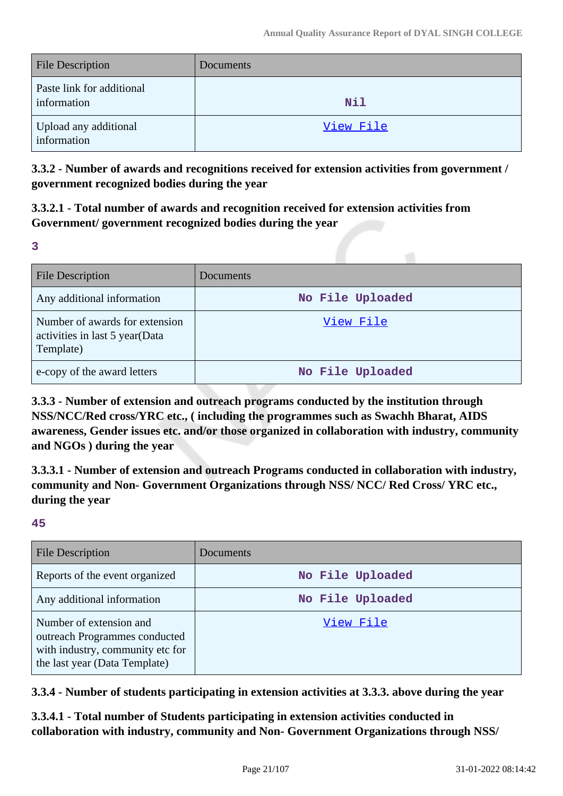| File Description                         | <b>Documents</b> |
|------------------------------------------|------------------|
| Paste link for additional<br>information | <b>Nil</b>       |
| Upload any additional<br>information     | View File        |

**3.3.2 - Number of awards and recognitions received for extension activities from government / government recognized bodies during the year**

**3.3.2.1 - Total number of awards and recognition received for extension activities from Government/ government recognized bodies during the year**

**3**

| <b>File Description</b>                                                       | Documents        |
|-------------------------------------------------------------------------------|------------------|
| Any additional information                                                    | No File Uploaded |
| Number of awards for extension<br>activities in last 5 year(Data<br>Template) | View File        |
| e-copy of the award letters                                                   | No File Uploaded |

**3.3.3 - Number of extension and outreach programs conducted by the institution through NSS/NCC/Red cross/YRC etc., ( including the programmes such as Swachh Bharat, AIDS awareness, Gender issues etc. and/or those organized in collaboration with industry, community and NGOs ) during the year**

**3.3.3.1 - Number of extension and outreach Programs conducted in collaboration with industry, community and Non- Government Organizations through NSS/ NCC/ Red Cross/ YRC etc., during the year**

### **45**

| <b>File Description</b>                                                                                                       | Documents        |
|-------------------------------------------------------------------------------------------------------------------------------|------------------|
| Reports of the event organized                                                                                                | No File Uploaded |
| Any additional information                                                                                                    | No File Uploaded |
| Number of extension and<br>outreach Programmes conducted<br>with industry, community etc for<br>the last year (Data Template) | View File        |

**3.3.4 - Number of students participating in extension activities at 3.3.3. above during the year**

**3.3.4.1 - Total number of Students participating in extension activities conducted in collaboration with industry, community and Non- Government Organizations through NSS/**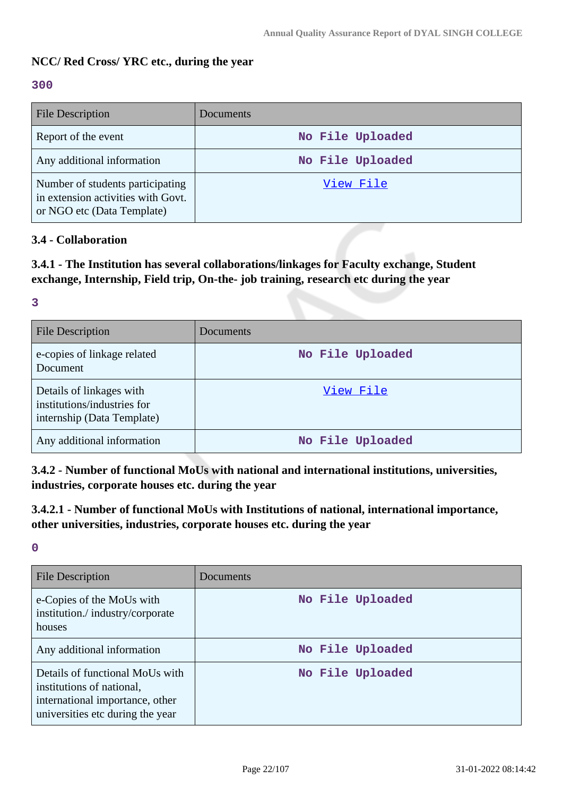### **NCC/ Red Cross/ YRC etc., during the year**

#### **300**

| <b>File Description</b>                                                                              | <b>Documents</b> |
|------------------------------------------------------------------------------------------------------|------------------|
| Report of the event                                                                                  | No File Uploaded |
| Any additional information                                                                           | No File Uploaded |
| Number of students participating<br>in extension activities with Govt.<br>or NGO etc (Data Template) | View File        |

### **3.4 - Collaboration**

**3.4.1 - The Institution has several collaborations/linkages for Faculty exchange, Student exchange, Internship, Field trip, On-the- job training, research etc during the year**

#### **3**

| <b>File Description</b>                                                               | Documents        |
|---------------------------------------------------------------------------------------|------------------|
| e-copies of linkage related<br>Document                                               | No File Uploaded |
| Details of linkages with<br>institutions/industries for<br>internship (Data Template) | View File        |
| Any additional information                                                            | No File Uploaded |

**3.4.2 - Number of functional MoUs with national and international institutions, universities, industries, corporate houses etc. during the year**

**3.4.2.1 - Number of functional MoUs with Institutions of national, international importance, other universities, industries, corporate houses etc. during the year**

**0**

| File Description                                                                                                                    | Documents        |
|-------------------------------------------------------------------------------------------------------------------------------------|------------------|
| e-Copies of the MoUs with<br>institution./industry/corporate<br>houses                                                              | No File Uploaded |
| Any additional information                                                                                                          | No File Uploaded |
| Details of functional MoUs with<br>institutions of national,<br>international importance, other<br>universities etc during the year | No File Uploaded |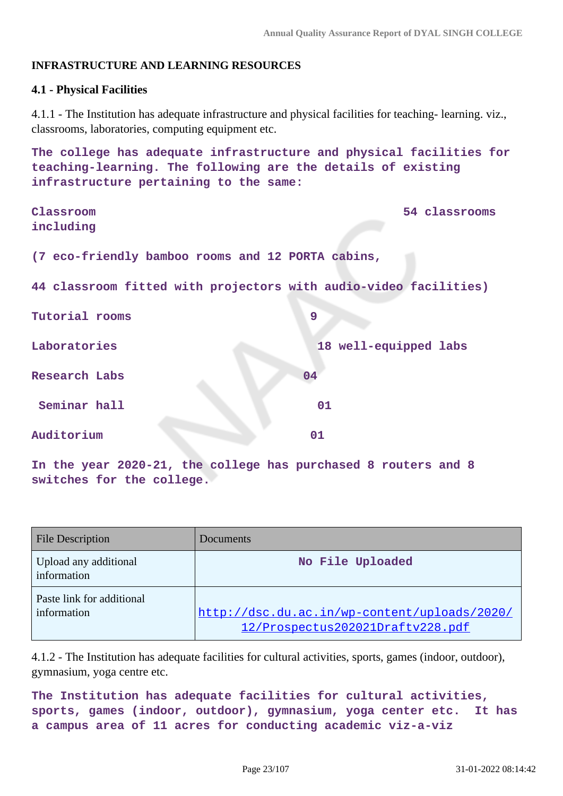### **INFRASTRUCTURE AND LEARNING RESOURCES**

#### **4.1 - Physical Facilities**

4.1.1 - The Institution has adequate infrastructure and physical facilities for teaching- learning. viz., classrooms, laboratories, computing equipment etc.

**The college has adequate infrastructure and physical facilities for teaching-learning. The following are the details of existing infrastructure pertaining to the same:**

**Classroom 54 classrooms including (7 eco-friendly bamboo rooms and 12 PORTA cabins, 44 classroom fitted with projectors with audio-video facilities)** Tutorial rooms 99 **Laboratories 18 well-equipped labs Research Labs 04 Seminar hall 01 Auditorium 01**

**In the year 2020-21, the college has purchased 8 routers and 8 switches for the college.**

| <b>File Description</b>                  | Documents                                                                        |
|------------------------------------------|----------------------------------------------------------------------------------|
| Upload any additional<br>information     | No File Uploaded                                                                 |
| Paste link for additional<br>information | http://dsc.du.ac.in/wp-content/uploads/2020/<br>12/Prospectus202021Draftv228.pdf |

4.1.2 - The Institution has adequate facilities for cultural activities, sports, games (indoor, outdoor), gymnasium, yoga centre etc.

```
The Institution has adequate facilities for cultural activities,
sports, games (indoor, outdoor), gymnasium, yoga center etc. It has
a campus area of 11 acres for conducting academic viz-a-viz
```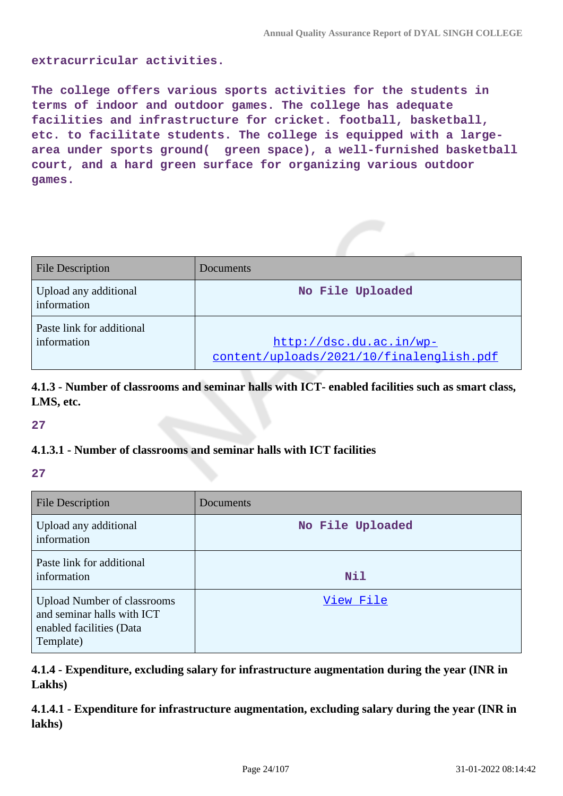#### **extracurricular activities.**

**The college offers various sports activities for the students in terms of indoor and outdoor games. The college has adequate facilities and infrastructure for cricket. football, basketball, etc. to facilitate students. The college is equipped with a largearea under sports ground( green space), a well-furnished basketball court, and a hard green surface for organizing various outdoor games.**

| <b>File Description</b>                  | Documents                                                           |
|------------------------------------------|---------------------------------------------------------------------|
| Upload any additional<br>information     | No File Uploaded                                                    |
| Paste link for additional<br>information | http://dsc.du.ac.in/wp-<br>content/uploads/2021/10/finalenglish.pdf |

**4.1.3 - Number of classrooms and seminar halls with ICT- enabled facilities such as smart class, LMS, etc.**

**27**

### **4.1.3.1 - Number of classrooms and seminar halls with ICT facilities**

**27**

| <b>File Description</b>                                                                                   | Documents        |
|-----------------------------------------------------------------------------------------------------------|------------------|
| Upload any additional<br>information                                                                      | No File Uploaded |
| Paste link for additional<br>information                                                                  | <b>Nil</b>       |
| <b>Upload Number of classrooms</b><br>and seminar halls with ICT<br>enabled facilities (Data<br>Template) | View File        |

**4.1.4 - Expenditure, excluding salary for infrastructure augmentation during the year (INR in Lakhs)**

**4.1.4.1 - Expenditure for infrastructure augmentation, excluding salary during the year (INR in lakhs)**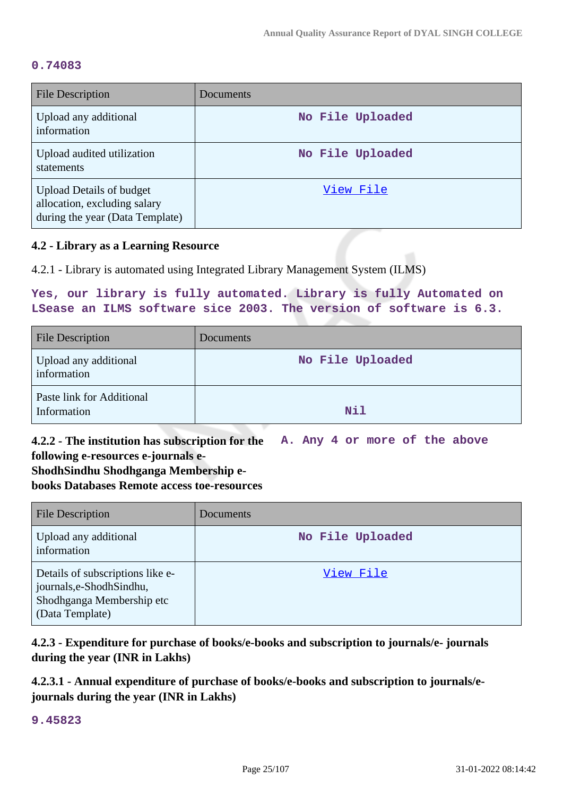#### **0.74083**

| File Description                                                                                   | Documents        |
|----------------------------------------------------------------------------------------------------|------------------|
| Upload any additional<br>information                                                               | No File Uploaded |
| Upload audited utilization<br>statements                                                           | No File Uploaded |
| <b>Upload Details of budget</b><br>allocation, excluding salary<br>during the year (Data Template) | View File        |

#### **4.2 - Library as a Learning Resource**

4.2.1 - Library is automated using Integrated Library Management System (ILMS)

### **Yes, our library is fully automated. Library is fully Automated on LSease an ILMS software sice 2003. The version of software is 6.3.**

| <b>File Description</b>                  | Documents        |
|------------------------------------------|------------------|
| Upload any additional<br>information     | No File Uploaded |
| Paste link for Additional<br>Information | Nil              |

**4.2.2 - The institution has subscription for the following e-resources e-journals e-A. Any 4 or more of the above**

## **ShodhSindhu Shodhganga Membership ebooks Databases Remote access toe-resources**

| <b>File Description</b>                                                                                       | <b>Documents</b> |
|---------------------------------------------------------------------------------------------------------------|------------------|
| Upload any additional<br>information                                                                          | No File Uploaded |
| Details of subscriptions like e-<br>journals, e-Shodh Sindhu,<br>Shodhganga Membership etc<br>(Data Template) | View File        |

**4.2.3 - Expenditure for purchase of books/e-books and subscription to journals/e- journals during the year (INR in Lakhs)**

**4.2.3.1 - Annual expenditure of purchase of books/e-books and subscription to journals/ejournals during the year (INR in Lakhs)**

**9.45823**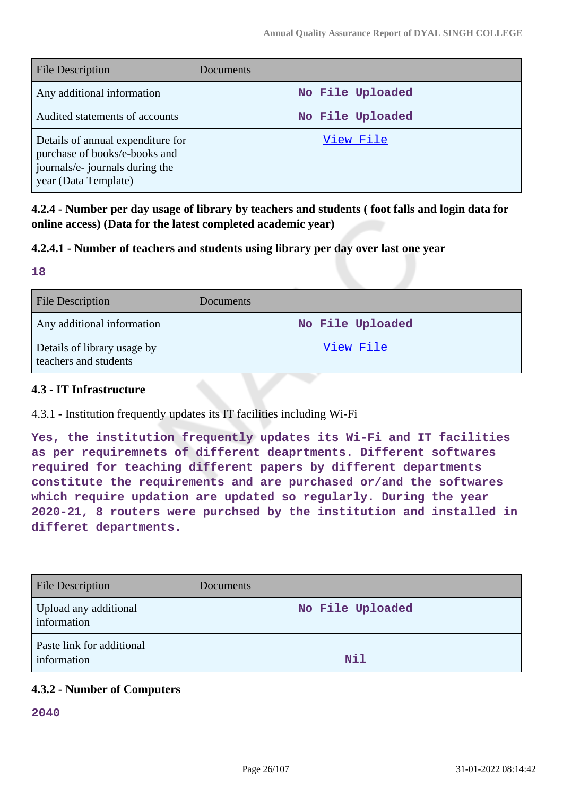| <b>File Description</b>                                                                                                       | <b>Documents</b> |
|-------------------------------------------------------------------------------------------------------------------------------|------------------|
| Any additional information                                                                                                    | No File Uploaded |
| Audited statements of accounts                                                                                                | No File Uploaded |
| Details of annual expenditure for<br>purchase of books/e-books and<br>journals/e- journals during the<br>year (Data Template) | View File        |

**4.2.4 - Number per day usage of library by teachers and students ( foot falls and login data for online access) (Data for the latest completed academic year)**

### **4.2.4.1 - Number of teachers and students using library per day over last one year**

#### **18**

| <b>File Description</b>                              | <b>Documents</b> |
|------------------------------------------------------|------------------|
| Any additional information                           | No File Uploaded |
| Details of library usage by<br>teachers and students | View File        |

### **4.3 - IT Infrastructure**

### 4.3.1 - Institution frequently updates its IT facilities including Wi-Fi

**Yes, the institution frequently updates its Wi-Fi and IT facilities as per requiremnets of different deaprtments. Different softwares required for teaching different papers by different departments constitute the requirements and are purchased or/and the softwares which require updation are updated so regularly. During the year 2020-21, 8 routers were purchsed by the institution and installed in differet departments.**

| <b>File Description</b>                  | Documents        |
|------------------------------------------|------------------|
| Upload any additional<br>information     | No File Uploaded |
| Paste link for additional<br>information | Nil              |

### **4.3.2 - Number of Computers**

**2040**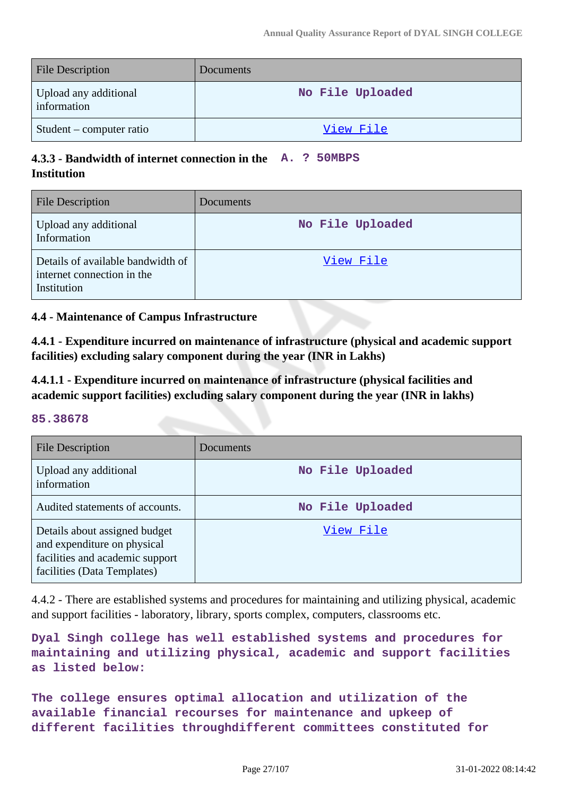| <b>File Description</b>              | <b>Documents</b> |
|--------------------------------------|------------------|
| Upload any additional<br>information | No File Uploaded |
| Student – computer ratio             | <u>View File</u> |

### **4.3.3 - Bandwidth of internet connection in the A. ? 50MBPS Institution**

| File Description                                                               | Documents        |
|--------------------------------------------------------------------------------|------------------|
| Upload any additional<br>Information                                           | No File Uploaded |
| Details of available bandwidth of<br>internet connection in the<br>Institution | View File        |

### **4.4 - Maintenance of Campus Infrastructure**

**4.4.1 - Expenditure incurred on maintenance of infrastructure (physical and academic support facilities) excluding salary component during the year (INR in Lakhs)**

**4.4.1.1 - Expenditure incurred on maintenance of infrastructure (physical facilities and academic support facilities) excluding salary component during the year (INR in lakhs)**

#### **85.38678**

| <b>File Description</b>                                                                                                        | Documents        |
|--------------------------------------------------------------------------------------------------------------------------------|------------------|
| Upload any additional<br>information                                                                                           | No File Uploaded |
| Audited statements of accounts.                                                                                                | No File Uploaded |
| Details about assigned budget<br>and expenditure on physical<br>facilities and academic support<br>facilities (Data Templates) | View File        |

4.4.2 - There are established systems and procedures for maintaining and utilizing physical, academic and support facilities - laboratory, library, sports complex, computers, classrooms etc.

**Dyal Singh college has well established systems and procedures for maintaining and utilizing physical, academic and support facilities as listed below:**

**The college ensures optimal allocation and utilization of the available financial recourses for maintenance and upkeep of different facilities throughdifferent committees constituted for**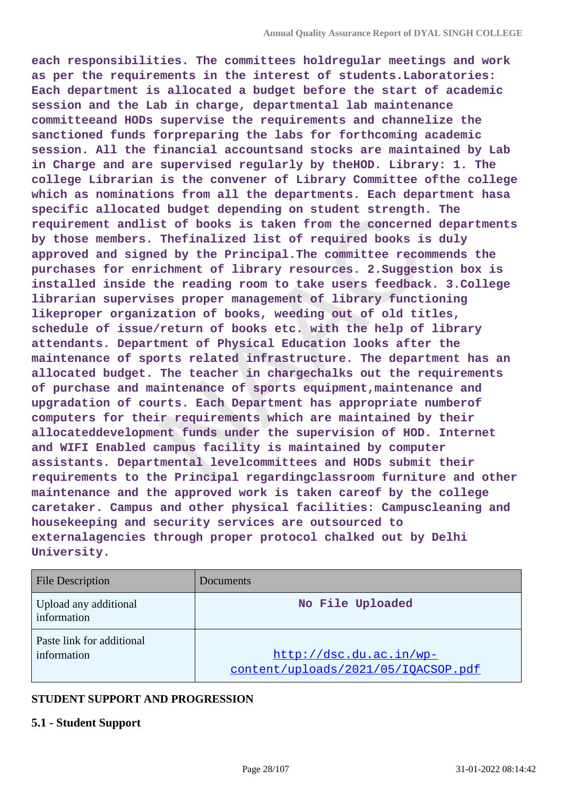**each responsibilities. The committees holdregular meetings and work as per the requirements in the interest of students.Laboratories: Each department is allocated a budget before the start of academic session and the Lab in charge, departmental lab maintenance committeeand HODs supervise the requirements and channelize the sanctioned funds forpreparing the labs for forthcoming academic session. All the financial accountsand stocks are maintained by Lab in Charge and are supervised regularly by theHOD. Library: 1. The college Librarian is the convener of Library Committee ofthe college which as nominations from all the departments. Each department hasa specific allocated budget depending on student strength. The requirement andlist of books is taken from the concerned departments by those members. Thefinalized list of required books is duly approved and signed by the Principal.The committee recommends the purchases for enrichment of library resources. 2.Suggestion box is installed inside the reading room to take users feedback. 3.College librarian supervises proper management of library functioning likeproper organization of books, weeding out of old titles, schedule of issue/return of books etc. with the help of library attendants. Department of Physical Education looks after the maintenance of sports related infrastructure. The department has an allocated budget. The teacher in chargechalks out the requirements of purchase and maintenance of sports equipment,maintenance and upgradation of courts. Each Department has appropriate numberof computers for their requirements which are maintained by their allocateddevelopment funds under the supervision of HOD. Internet and WIFI Enabled campus facility is maintained by computer assistants. Departmental levelcommittees and HODs submit their requirements to the Principal regardingclassroom furniture and other maintenance and the approved work is taken careof by the college caretaker. Campus and other physical facilities: Campuscleaning and housekeeping and security services are outsourced to externalagencies through proper protocol chalked out by Delhi University.**

| <b>File Description</b>                  | Documents                                                      |
|------------------------------------------|----------------------------------------------------------------|
| Upload any additional<br>information     | No File Uploaded                                               |
| Paste link for additional<br>information | http://dsc.du.ac.in/wp-<br>content/uploads/2021/05/IQACSOP.pdf |

#### **STUDENT SUPPORT AND PROGRESSION**

#### **5.1 - Student Support**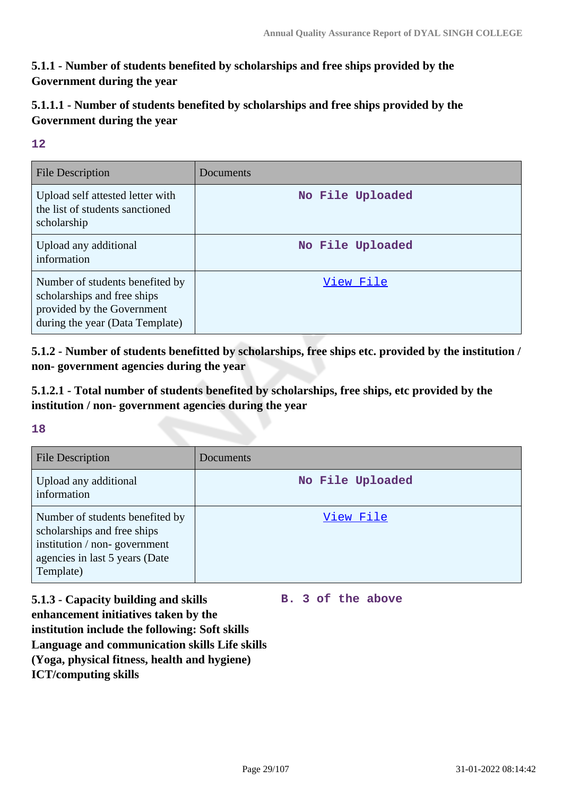### **5.1.1 - Number of students benefited by scholarships and free ships provided by the Government during the year**

### **5.1.1.1 - Number of students benefited by scholarships and free ships provided by the Government during the year**

### **12**

| File Description                                                                                                                | Documents        |
|---------------------------------------------------------------------------------------------------------------------------------|------------------|
| Upload self attested letter with<br>the list of students sanctioned<br>scholarship                                              | No File Uploaded |
| Upload any additional<br>information                                                                                            | No File Uploaded |
| Number of students benefited by<br>scholarships and free ships<br>provided by the Government<br>during the year (Data Template) | View File        |

**5.1.2 - Number of students benefitted by scholarships, free ships etc. provided by the institution / non- government agencies during the year**

**5.1.2.1 - Total number of students benefited by scholarships, free ships, etc provided by the institution / non- government agencies during the year**

### **18**

| <b>File Description</b>                                                                                                                       | Documents        |
|-----------------------------------------------------------------------------------------------------------------------------------------------|------------------|
| Upload any additional<br>information                                                                                                          | No File Uploaded |
| Number of students benefited by<br>scholarships and free ships<br>institution / non-government<br>agencies in last 5 years (Date<br>Template) | View File        |

**5.1.3 - Capacity building and skills enhancement initiatives taken by the institution include the following: Soft skills Language and communication skills Life skills (Yoga, physical fitness, health and hygiene) ICT/computing skills**

**B. 3 of the above**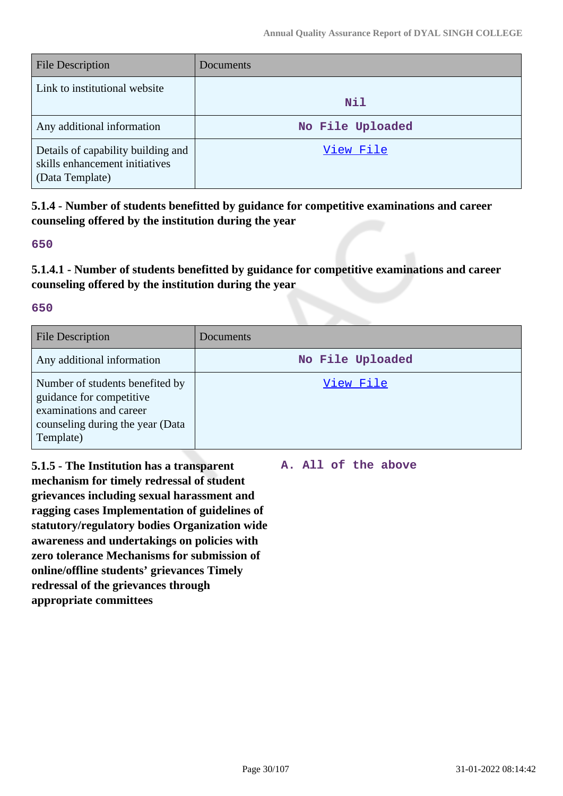| <b>File Description</b>                                                                 | Documents        |
|-----------------------------------------------------------------------------------------|------------------|
| Link to institutional website                                                           | Nil              |
| Any additional information                                                              | No File Uploaded |
| Details of capability building and<br>skills enhancement initiatives<br>(Data Template) | View File        |

**5.1.4 - Number of students benefitted by guidance for competitive examinations and career counseling offered by the institution during the year**

#### **650**

**5.1.4.1 - Number of students benefitted by guidance for competitive examinations and career counseling offered by the institution during the year**

#### **650**

| <b>File Description</b>                                                                                                                 | Documents        |
|-----------------------------------------------------------------------------------------------------------------------------------------|------------------|
| Any additional information                                                                                                              | No File Uploaded |
| Number of students benefited by<br>guidance for competitive<br>examinations and career<br>counseling during the year (Data<br>Template) | View File        |

**5.1.5 - The Institution has a transparent mechanism for timely redressal of student grievances including sexual harassment and ragging cases Implementation of guidelines of statutory/regulatory bodies Organization wide awareness and undertakings on policies with zero tolerance Mechanisms for submission of online/offline students' grievances Timely redressal of the grievances through appropriate committees**

**A. All of the above**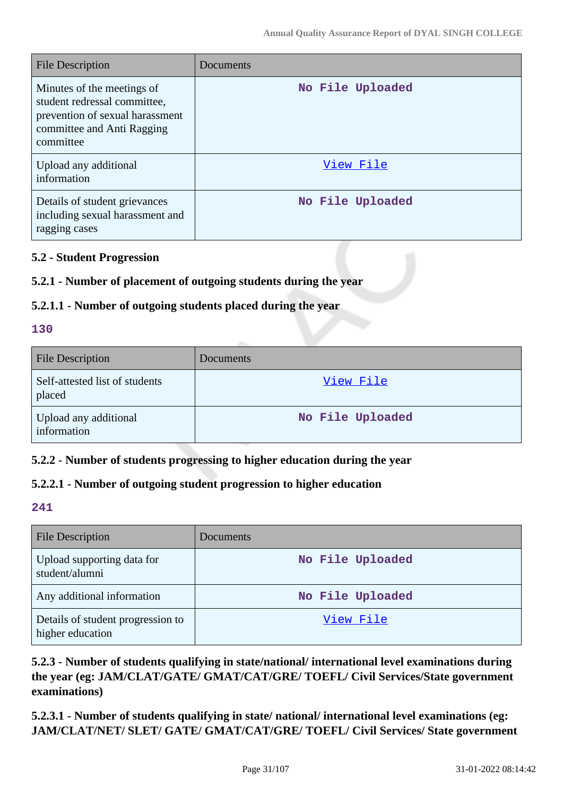| <b>File Description</b>                                                                                                                  | Documents        |
|------------------------------------------------------------------------------------------------------------------------------------------|------------------|
| Minutes of the meetings of<br>student redressal committee,<br>prevention of sexual harassment<br>committee and Anti Ragging<br>committee | No File Uploaded |
| Upload any additional<br>information                                                                                                     | View File        |
| Details of student grievances<br>including sexual harassment and<br>ragging cases                                                        | No File Uploaded |

### **5.2 - Student Progression**

### **5.2.1 - Number of placement of outgoing students during the year**

### **5.2.1.1 - Number of outgoing students placed during the year**

#### **130**

| <b>File Description</b>                  | <b>Documents</b> |
|------------------------------------------|------------------|
| Self-attested list of students<br>placed | View File        |
| Upload any additional<br>information     | No File Uploaded |

### **5.2.2 - Number of students progressing to higher education during the year**

### **5.2.2.1 - Number of outgoing student progression to higher education**

#### **241**

| <b>File Description</b>                               | <b>Documents</b> |
|-------------------------------------------------------|------------------|
| Upload supporting data for<br>student/alumni          | No File Uploaded |
| Any additional information                            | No File Uploaded |
| Details of student progression to<br>higher education | View File        |

### **5.2.3 - Number of students qualifying in state/national/ international level examinations during the year (eg: JAM/CLAT/GATE/ GMAT/CAT/GRE/ TOEFL/ Civil Services/State government examinations)**

**5.2.3.1 - Number of students qualifying in state/ national/ international level examinations (eg: JAM/CLAT/NET/ SLET/ GATE/ GMAT/CAT/GRE/ TOEFL/ Civil Services/ State government**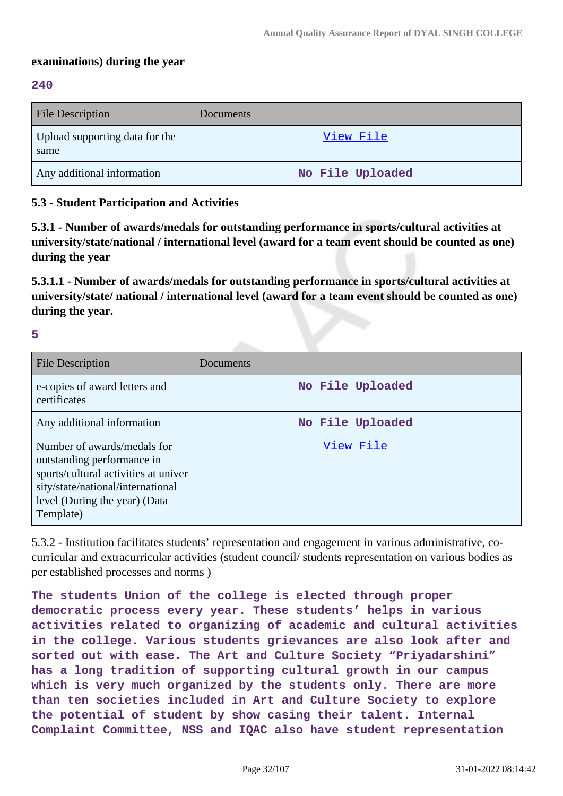#### **examinations) during the year**

#### **240**

| <b>File Description</b>                | <b>Documents</b> |
|----------------------------------------|------------------|
| Upload supporting data for the<br>same | View File        |
| Any additional information             | No File Uploaded |

#### **5.3 - Student Participation and Activities**

**5.3.1 - Number of awards/medals for outstanding performance in sports/cultural activities at university/state/national / international level (award for a team event should be counted as one) during the year**

**5.3.1.1 - Number of awards/medals for outstanding performance in sports/cultural activities at university/state/ national / international level (award for a team event should be counted as one) during the year.**

**5**

| <b>File Description</b>                                                                                                                                                              | Documents        |
|--------------------------------------------------------------------------------------------------------------------------------------------------------------------------------------|------------------|
| e-copies of award letters and<br>certificates                                                                                                                                        | No File Uploaded |
| Any additional information                                                                                                                                                           | No File Uploaded |
| Number of awards/medals for<br>outstanding performance in<br>sports/cultural activities at univer<br>sity/state/national/international<br>level (During the year) (Data<br>Template) | View File        |

5.3.2 - Institution facilitates students' representation and engagement in various administrative, cocurricular and extracurricular activities (student council/ students representation on various bodies as per established processes and norms )

**The students Union of the college is elected through proper democratic process every year. These students' helps in various activities related to organizing of academic and cultural activities in the college. Various students grievances are also look after and sorted out with ease. The Art and Culture Society "Priyadarshini" has a long tradition of supporting cultural growth in our campus which is very much organized by the students only. There are more than ten societies included in Art and Culture Society to explore the potential of student by show casing their talent. Internal Complaint Committee, NSS and IQAC also have student representation**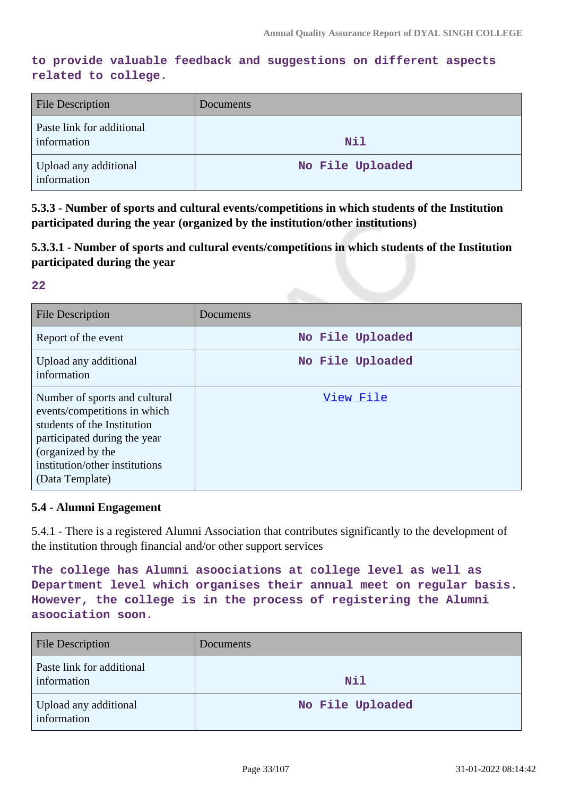### **to provide valuable feedback and suggestions on different aspects related to college.**

| <b>File Description</b>                  | Documents        |
|------------------------------------------|------------------|
| Paste link for additional<br>information | Nil              |
| Upload any additional<br>information     | No File Uploaded |

**5.3.3 - Number of sports and cultural events/competitions in which students of the Institution participated during the year (organized by the institution/other institutions)**

**5.3.3.1 - Number of sports and cultural events/competitions in which students of the Institution participated during the year**

**22**

| <b>File Description</b>                                                                                                                                                                                | Documents        |
|--------------------------------------------------------------------------------------------------------------------------------------------------------------------------------------------------------|------------------|
| Report of the event                                                                                                                                                                                    | No File Uploaded |
| Upload any additional<br>information                                                                                                                                                                   | No File Uploaded |
| Number of sports and cultural<br>events/competitions in which<br>students of the Institution<br>participated during the year<br>(organized by the<br>institution/other institutions<br>(Data Template) | View File        |

#### **5.4 - Alumni Engagement**

5.4.1 - There is a registered Alumni Association that contributes significantly to the development of the institution through financial and/or other support services

**The college has Alumni asoociations at college level as well as Department level which organises their annual meet on regular basis. However, the college is in the process of registering the Alumni asoociation soon.**

| <b>File Description</b>                  | Documents        |
|------------------------------------------|------------------|
| Paste link for additional<br>information | Nil              |
| Upload any additional<br>information     | No File Uploaded |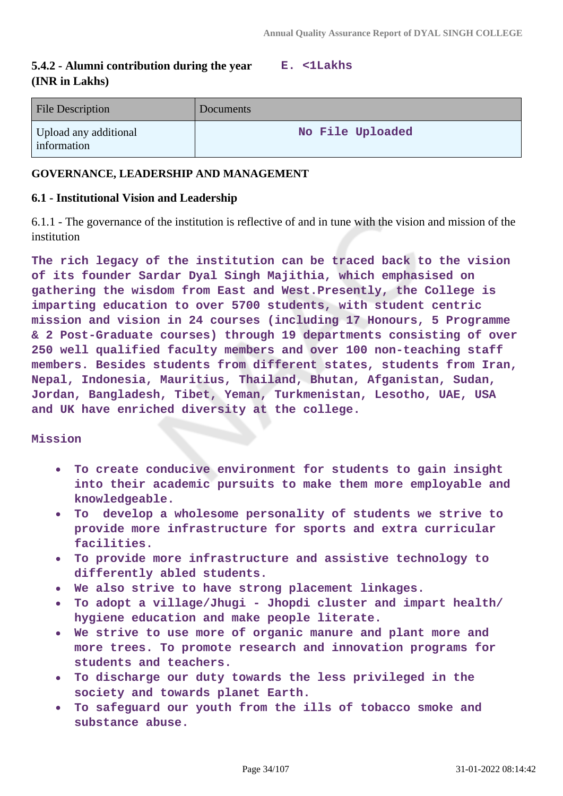#### **5.4.2 - Alumni contribution during the year (INR in Lakhs) E. <1Lakhs**

| <b>File Description</b>              | Documents        |
|--------------------------------------|------------------|
| Upload any additional<br>information | No File Uploaded |

#### **GOVERNANCE, LEADERSHIP AND MANAGEMENT**

#### **6.1 - Institutional Vision and Leadership**

6.1.1 - The governance of the institution is reflective of and in tune with the vision and mission of the institution

**The rich legacy of the institution can be traced back to the vision of its founder Sardar Dyal Singh Majithia, which emphasised on gathering the wisdom from East and West.Presently, the College is imparting education to over 5700 students, with student centric mission and vision in 24 courses (including 17 Honours, 5 Programme & 2 Post-Graduate courses) through 19 departments consisting of over 250 well qualified faculty members and over 100 non-teaching staff members. Besides students from different states, students from Iran, Nepal, Indonesia, Mauritius, Thailand, Bhutan, Afganistan, Sudan, Jordan, Bangladesh, Tibet, Yeman, Turkmenistan, Lesotho, UAE, USA and UK have enriched diversity at the college.**

#### **Mission**

- $\bullet$ **To create conducive environment for students to gain insight into their academic pursuits to make them more employable and knowledgeable.**
- **To develop a wholesome personality of students we strive to**  $\bullet$ **provide more infrastructure for sports and extra curricular facilities.**
- **To provide more infrastructure and assistive technology to differently abled students.**
- **We also strive to have strong placement linkages.**
- **To adopt a village/Jhugi Jhopdi cluster and impart health/ hygiene education and make people literate.**
- **We strive to use more of organic manure and plant more and more trees. To promote research and innovation programs for students and teachers.**
- **To discharge our duty towards the less privileged in the society and towards planet Earth.**
- **To safeguard our youth from the ills of tobacco smoke and substance abuse.**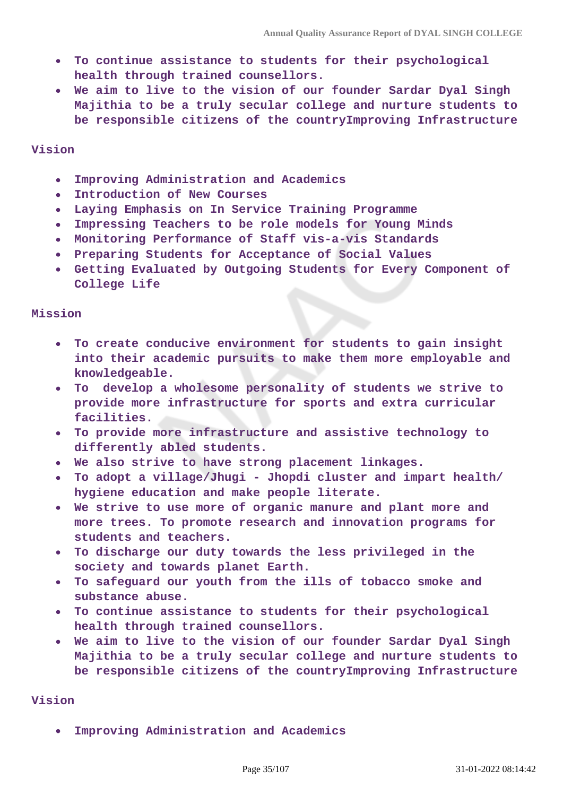- **To continue assistance to students for their psychological health through trained counsellors.**
- **We aim to live to the vision of our founder Sardar Dyal Singh Majithia to be a truly secular college and nurture students to be responsible citizens of the countryImproving Infrastructure**

#### **Vision**

- **Improving Administration and Academics**  $\bullet$
- **Introduction of New Courses**  $\bullet$
- **Laying Emphasis on In Service Training Programme**
- **Impressing Teachers to be role models for Young Minds**  $\bullet$
- **Monitoring Performance of Staff vis-a-vis Standards**
- **Preparing Students for Acceptance of Social Values**
- **Getting Evaluated by Outgoing Students for Every Component of College Life**

#### **Mission**

- **To create conducive environment for students to gain insight into their academic pursuits to make them more employable and knowledgeable.**
- **To develop a wholesome personality of students we strive to provide more infrastructure for sports and extra curricular facilities.**
- **To provide more infrastructure and assistive technology to differently abled students.**
- **We also strive to have strong placement linkages.**
- **To adopt a village/Jhugi Jhopdi cluster and impart health/ hygiene education and make people literate.**
- **We strive to use more of organic manure and plant more and more trees. To promote research and innovation programs for students and teachers.**
- **To discharge our duty towards the less privileged in the society and towards planet Earth.**
- **To safeguard our youth from the ills of tobacco smoke and substance abuse.**
- **To continue assistance to students for their psychological health through trained counsellors.**
- **We aim to live to the vision of our founder Sardar Dyal Singh Majithia to be a truly secular college and nurture students to be responsible citizens of the countryImproving Infrastructure**

#### **Vision**

**Improving Administration and Academics**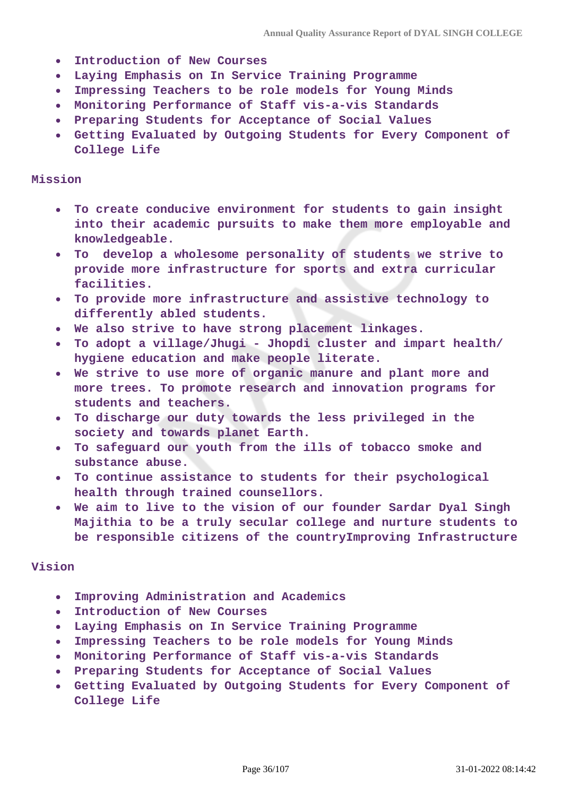- **Introduction of New Courses**  $\bullet$
- **Laying Emphasis on In Service Training Programme**  $\bullet$
- **Impressing Teachers to be role models for Young Minds**  $\bullet$
- **Monitoring Performance of Staff vis-a-vis Standards**
- **Preparing Students for Acceptance of Social Values**
- **Getting Evaluated by Outgoing Students for Every Component of College Life**

#### **Mission**

- **To create conducive environment for students to gain insight into their academic pursuits to make them more employable and knowledgeable.**
- **To develop a wholesome personality of students we strive to provide more infrastructure for sports and extra curricular facilities.**
- **To provide more infrastructure and assistive technology to**  $\bullet$ **differently abled students.**
- **We also strive to have strong placement linkages.**
- **To adopt a village/Jhugi Jhopdi cluster and impart health/**  $\bullet$ **hygiene education and make people literate.**
- **We strive to use more of organic manure and plant more and more trees. To promote research and innovation programs for students and teachers.**
- **To discharge our duty towards the less privileged in the**  $\bullet$ **society and towards planet Earth.**
- **To safeguard our youth from the ills of tobacco smoke and substance abuse.**
- **To continue assistance to students for their psychological health through trained counsellors.**
- **We aim to live to the vision of our founder Sardar Dyal Singh Majithia to be a truly secular college and nurture students to be responsible citizens of the countryImproving Infrastructure**

#### **Vision**

- **Improving Administration and Academics**  $\bullet$
- **Introduction of New Courses**  $\bullet$
- **Laying Emphasis on In Service Training Programme**  $\bullet$
- **Impressing Teachers to be role models for Young Minds**
- **Monitoring Performance of Staff vis-a-vis Standards**
- **Preparing Students for Acceptance of Social Values**
- **Getting Evaluated by Outgoing Students for Every Component of**  $\bullet$ **College Life**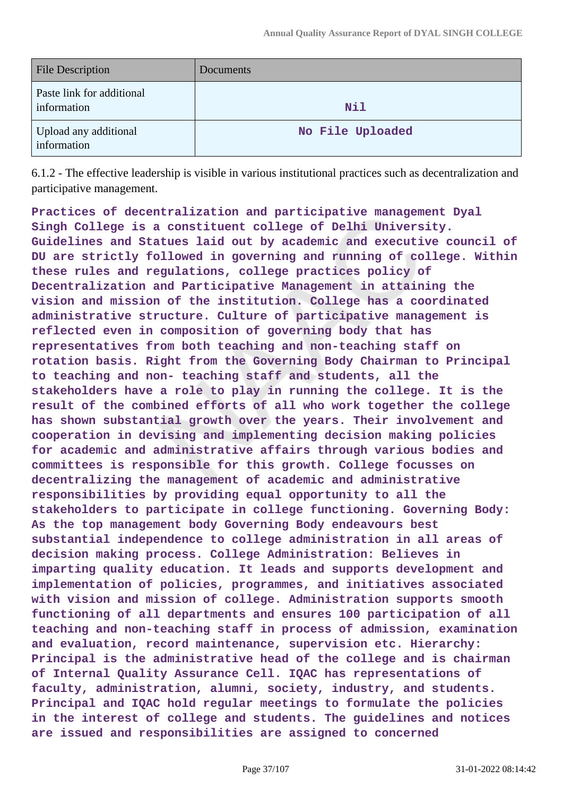| <b>File Description</b>                  | Documents        |
|------------------------------------------|------------------|
| Paste link for additional<br>information | Nil              |
| Upload any additional<br>information     | No File Uploaded |

6.1.2 - The effective leadership is visible in various institutional practices such as decentralization and participative management.

**Practices of decentralization and participative management Dyal Singh College is a constituent college of Delhi University. Guidelines and Statues laid out by academic and executive council of DU are strictly followed in governing and running of college. Within these rules and regulations, college practices policy of Decentralization and Participative Management in attaining the vision and mission of the institution. College has a coordinated administrative structure. Culture of participative management is reflected even in composition of governing body that has representatives from both teaching and non-teaching staff on rotation basis. Right from the Governing Body Chairman to Principal to teaching and non- teaching staff and students, all the stakeholders have a role to play in running the college. It is the result of the combined efforts of all who work together the college has shown substantial growth over the years. Their involvement and cooperation in devising and implementing decision making policies for academic and administrative affairs through various bodies and committees is responsible for this growth. College focusses on decentralizing the management of academic and administrative responsibilities by providing equal opportunity to all the stakeholders to participate in college functioning. Governing Body: As the top management body Governing Body endeavours best substantial independence to college administration in all areas of decision making process. College Administration: Believes in imparting quality education. It leads and supports development and implementation of policies, programmes, and initiatives associated with vision and mission of college. Administration supports smooth functioning of all departments and ensures 100 participation of all teaching and non-teaching staff in process of admission, examination and evaluation, record maintenance, supervision etc. Hierarchy: Principal is the administrative head of the college and is chairman of Internal Quality Assurance Cell. IQAC has representations of faculty, administration, alumni, society, industry, and students. Principal and IQAC hold regular meetings to formulate the policies in the interest of college and students. The guidelines and notices are issued and responsibilities are assigned to concerned**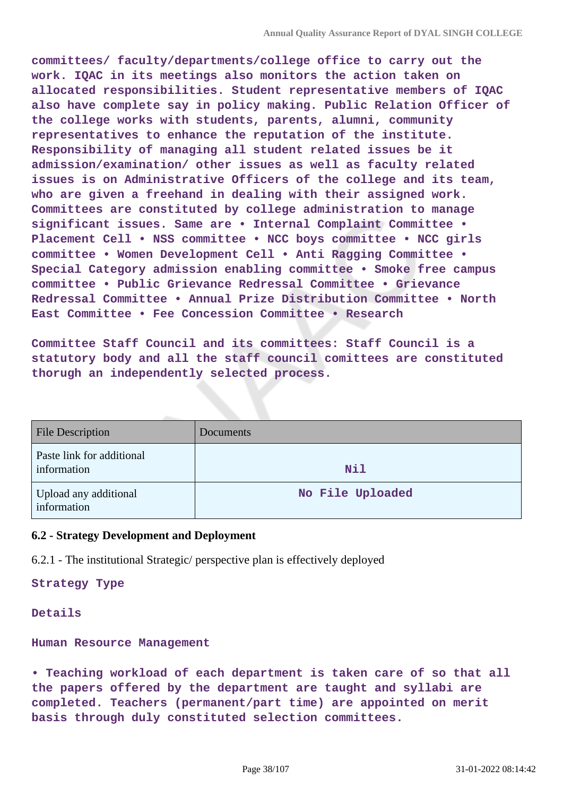**committees/ faculty/departments/college office to carry out the work. IQAC in its meetings also monitors the action taken on allocated responsibilities. Student representative members of IQAC also have complete say in policy making. Public Relation Officer of the college works with students, parents, alumni, community representatives to enhance the reputation of the institute. Responsibility of managing all student related issues be it admission/examination/ other issues as well as faculty related issues is on Administrative Officers of the college and its team, who are given a freehand in dealing with their assigned work. Committees are constituted by college administration to manage significant issues. Same are • Internal Complaint Committee • Placement Cell • NSS committee • NCC boys committee • NCC girls committee • Women Development Cell • Anti Ragging Committee • Special Category admission enabling committee • Smoke free campus committee • Public Grievance Redressal Committee • Grievance Redressal Committee • Annual Prize Distribution Committee • North East Committee • Fee Concession Committee • Research**

**Committee Staff Council and its committees: Staff Council is a statutory body and all the staff council comittees are constituted thorugh an independently selected process.**

| <b>File Description</b>                  | Documents        |
|------------------------------------------|------------------|
| Paste link for additional<br>information | <b>Nil</b>       |
| Upload any additional<br>information     | No File Uploaded |

## **6.2 - Strategy Development and Deployment**

6.2.1 - The institutional Strategic/ perspective plan is effectively deployed

**Strategy Type**

#### **Details**

**Human Resource Management**

**• Teaching workload of each department is taken care of so that all the papers offered by the department are taught and syllabi are completed. Teachers (permanent/part time) are appointed on merit basis through duly constituted selection committees.**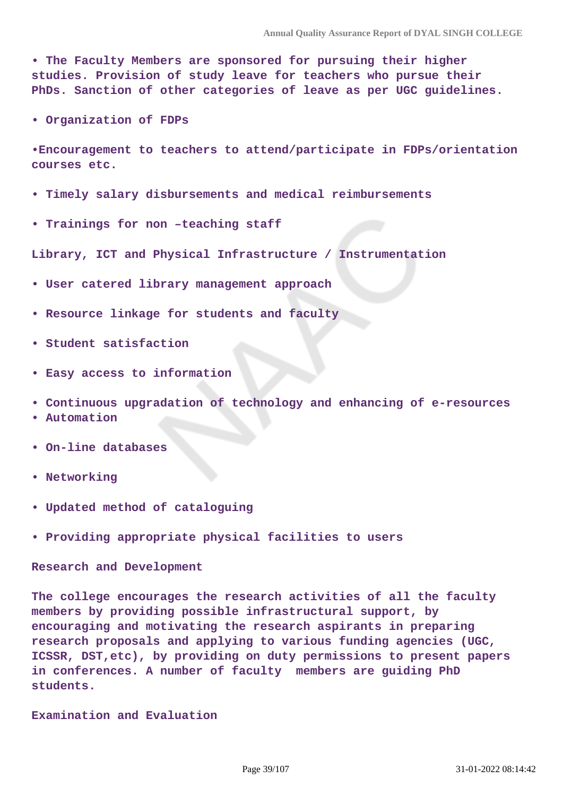**• The Faculty Members are sponsored for pursuing their higher studies. Provision of study leave for teachers who pursue their PhDs. Sanction of other categories of leave as per UGC guidelines.**

**• Organization of FDPs**

**•Encouragement to teachers to attend/participate in FDPs/orientation courses etc.**

- **Timely salary disbursements and medical reimbursements**
- **Trainings for non –teaching staff**

**Library, ICT and Physical Infrastructure / Instrumentation**

- **User catered library management approach**
- **Resource linkage for students and faculty**
- **Student satisfaction**
- **Easy access to information**
- **Continuous upgradation of technology and enhancing of e-resources**
- **Automation**
- **On-line databases**
- **Networking**
- **Updated method of cataloguing**
- **Providing appropriate physical facilities to users**

**Research and Development**

**The college encourages the research activities of all the faculty members by providing possible infrastructural support, by encouraging and motivating the research aspirants in preparing research proposals and applying to various funding agencies (UGC, ICSSR, DST,etc), by providing on duty permissions to present papers in conferences. A number of faculty members are guiding PhD students.**

**Examination and Evaluation**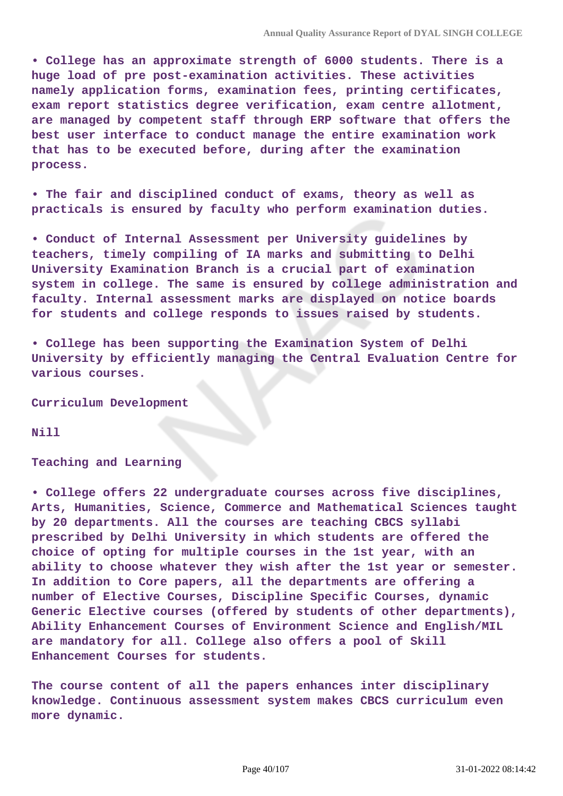**• College has an approximate strength of 6000 students. There is a huge load of pre post-examination activities. These activities namely application forms, examination fees, printing certificates, exam report statistics degree verification, exam centre allotment, are managed by competent staff through ERP software that offers the best user interface to conduct manage the entire examination work that has to be executed before, during after the examination process.**

**• The fair and disciplined conduct of exams, theory as well as practicals is ensured by faculty who perform examination duties.**

**• Conduct of Internal Assessment per University guidelines by teachers, timely compiling of IA marks and submitting to Delhi University Examination Branch is a crucial part of examination system in college. The same is ensured by college administration and faculty. Internal assessment marks are displayed on notice boards for students and college responds to issues raised by students.**

**• College has been supporting the Examination System of Delhi University by efficiently managing the Central Evaluation Centre for various courses.**

**Curriculum Development**

**Nill**

#### **Teaching and Learning**

**• College offers 22 undergraduate courses across five disciplines, Arts, Humanities, Science, Commerce and Mathematical Sciences taught by 20 departments. All the courses are teaching CBCS syllabi prescribed by Delhi University in which students are offered the choice of opting for multiple courses in the 1st year, with an ability to choose whatever they wish after the 1st year or semester. In addition to Core papers, all the departments are offering a number of Elective Courses, Discipline Specific Courses, dynamic Generic Elective courses (offered by students of other departments), Ability Enhancement Courses of Environment Science and English/MIL are mandatory for all. College also offers a pool of Skill Enhancement Courses for students.**

**The course content of all the papers enhances inter disciplinary knowledge. Continuous assessment system makes CBCS curriculum even more dynamic.**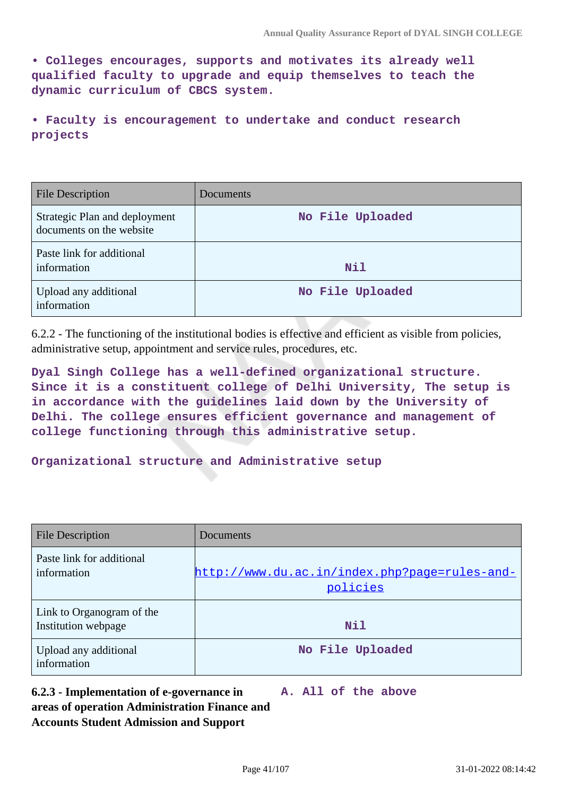**• Colleges encourages, supports and motivates its already well qualified faculty to upgrade and equip themselves to teach the dynamic curriculum of CBCS system.**

**• Faculty is encouragement to undertake and conduct research projects**

| <b>File Description</b>                                   | Documents        |
|-----------------------------------------------------------|------------------|
| Strategic Plan and deployment<br>documents on the website | No File Uploaded |
| Paste link for additional<br>information                  | <b>Nil</b>       |
| Upload any additional<br>information                      | No File Uploaded |

6.2.2 - The functioning of the institutional bodies is effective and efficient as visible from policies, administrative setup, appointment and service rules, procedures, etc.

**Dyal Singh College has a well-defined organizational structure. Since it is a constituent college of Delhi University, The setup is in accordance with the guidelines laid down by the University of Delhi. The college ensures efficient governance and management of college functioning through this administrative setup.**

**Organizational structure and Administrative setup**

| <b>File Description</b>                          | Documents                                                 |
|--------------------------------------------------|-----------------------------------------------------------|
| Paste link for additional<br>information         | http://www.du.ac.in/index.php?page=rules-and-<br>policies |
| Link to Organogram of the<br>Institution webpage | Nil                                                       |
| Upload any additional<br>information             | No File Uploaded                                          |

**6.2.3 - Implementation of e-governance in areas of operation Administration Finance and Accounts Student Admission and Support A. All of the above**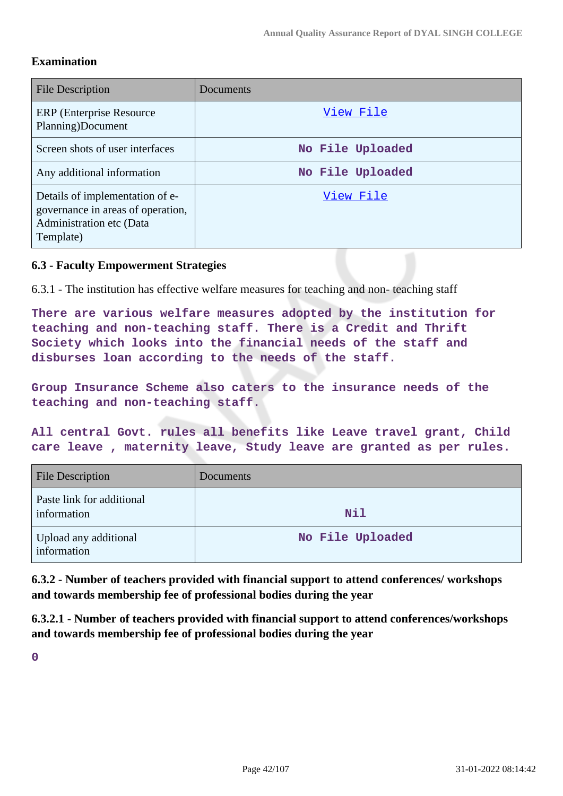#### **Examination**

| <b>File Description</b>                                                                                       | Documents        |
|---------------------------------------------------------------------------------------------------------------|------------------|
| ERP (Enterprise Resource)<br>Planning)Document                                                                | View File        |
| Screen shots of user interfaces                                                                               | No File Uploaded |
| Any additional information                                                                                    | No File Uploaded |
| Details of implementation of e-<br>governance in areas of operation,<br>Administration etc (Data<br>Template) | View File        |

### **6.3 - Faculty Empowerment Strategies**

6.3.1 - The institution has effective welfare measures for teaching and non- teaching staff

**There are various welfare measures adopted by the institution for teaching and non-teaching staff. There is a Credit and Thrift Society which looks into the financial needs of the staff and disburses loan according to the needs of the staff.**

**Group Insurance Scheme also caters to the insurance needs of the teaching and non-teaching staff.** 

**All central Govt. rules all benefits like Leave travel grant, Child care leave , maternity leave, Study leave are granted as per rules.**

| <b>File Description</b>                  | <b>Documents</b> |
|------------------------------------------|------------------|
| Paste link for additional<br>information | <b>Nil</b>       |
| Upload any additional<br>information     | No File Uploaded |

**6.3.2 - Number of teachers provided with financial support to attend conferences/ workshops and towards membership fee of professional bodies during the year**

**6.3.2.1 - Number of teachers provided with financial support to attend conferences/workshops and towards membership fee of professional bodies during the year**

**0**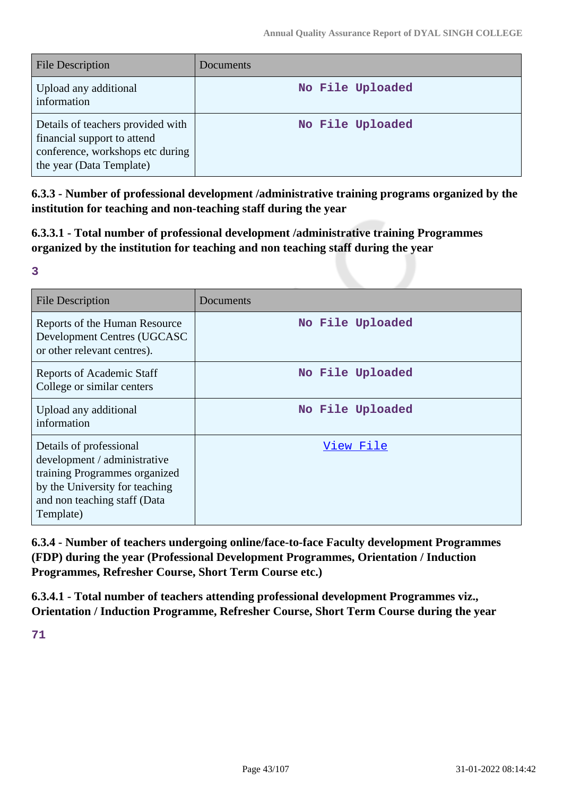| <b>File Description</b>                                                                                                          | <b>Documents</b> |
|----------------------------------------------------------------------------------------------------------------------------------|------------------|
| Upload any additional<br>information                                                                                             | No File Uploaded |
| Details of teachers provided with<br>financial support to attend<br>conference, workshops etc during<br>the year (Data Template) | No File Uploaded |

**6.3.3 - Number of professional development /administrative training programs organized by the institution for teaching and non-teaching staff during the year**

**6.3.3.1 - Total number of professional development /administrative training Programmes organized by the institution for teaching and non teaching staff during the year**

| $\rightarrow$ |                       |  |
|---------------|-----------------------|--|
|               |                       |  |
|               | a se<br>$\frac{1}{2}$ |  |
|               |                       |  |
|               | ۰.                    |  |
|               |                       |  |

| <b>File Description</b>                                                                                                                                                 | Documents        |
|-------------------------------------------------------------------------------------------------------------------------------------------------------------------------|------------------|
| Reports of the Human Resource<br>Development Centres (UGCASC<br>or other relevant centres).                                                                             | No File Uploaded |
| Reports of Academic Staff<br>College or similar centers                                                                                                                 | No File Uploaded |
| Upload any additional<br>information                                                                                                                                    | No File Uploaded |
| Details of professional<br>development / administrative<br>training Programmes organized<br>by the University for teaching<br>and non teaching staff (Data<br>Template) | View File        |

**6.3.4 - Number of teachers undergoing online/face-to-face Faculty development Programmes (FDP) during the year (Professional Development Programmes, Orientation / Induction Programmes, Refresher Course, Short Term Course etc.)**

**6.3.4.1 - Total number of teachers attending professional development Programmes viz., Orientation / Induction Programme, Refresher Course, Short Term Course during the year**

**71**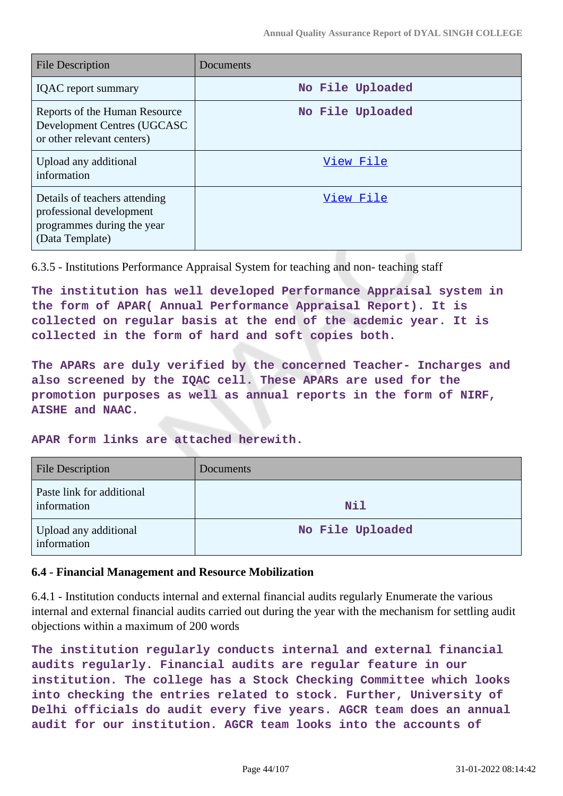| <b>File Description</b>                                                                                    | Documents        |
|------------------------------------------------------------------------------------------------------------|------------------|
| <b>IQAC</b> report summary                                                                                 | No File Uploaded |
| Reports of the Human Resource<br>Development Centres (UGCASC<br>or other relevant centers)                 | No File Uploaded |
| Upload any additional<br>information                                                                       | View File        |
| Details of teachers attending<br>professional development<br>programmes during the year<br>(Data Template) | View File        |

6.3.5 - Institutions Performance Appraisal System for teaching and non- teaching staff

**The institution has well developed Performance Appraisal system in the form of APAR( Annual Performance Appraisal Report). It is collected on regular basis at the end of the acdemic year. It is collected in the form of hard and soft copies both.**

**The APARs are duly verified by the concerned Teacher- Incharges and also screened by the IQAC cell. These APARs are used for the promotion purposes as well as annual reports in the form of NIRF, AISHE and NAAC.**

**APAR form links are attached herewith.**

| <b>File Description</b>                  | <b>Documents</b> |
|------------------------------------------|------------------|
| Paste link for additional<br>information | <b>Nil</b>       |
| Upload any additional<br>information     | No File Uploaded |

#### **6.4 - Financial Management and Resource Mobilization**

6.4.1 - Institution conducts internal and external financial audits regularly Enumerate the various internal and external financial audits carried out during the year with the mechanism for settling audit objections within a maximum of 200 words

**The institution regularly conducts internal and external financial audits regularly. Financial audits are regular feature in our institution. The college has a Stock Checking Committee which looks into checking the entries related to stock. Further, University of Delhi officials do audit every five years. AGCR team does an annual audit for our institution. AGCR team looks into the accounts of**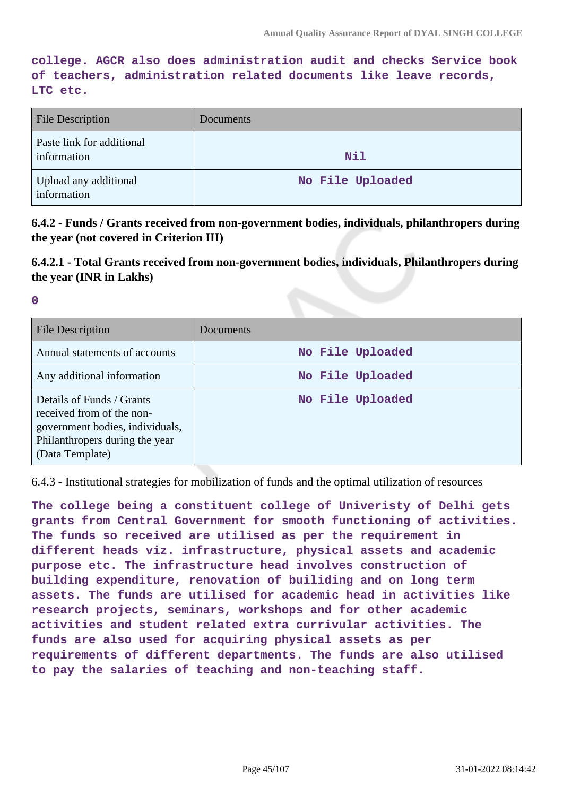**college. AGCR also does administration audit and checks Service book of teachers, administration related documents like leave records, LTC etc.**

| <b>File Description</b>                  | Documents        |
|------------------------------------------|------------------|
| Paste link for additional<br>information | <b>Nil</b>       |
| Upload any additional<br>information     | No File Uploaded |

**6.4.2 - Funds / Grants received from non-government bodies, individuals, philanthropers during the year (not covered in Criterion III)**

**6.4.2.1 - Total Grants received from non-government bodies, individuals, Philanthropers during the year (INR in Lakhs)**

**0**

| File Description                                                                                                                               | Documents        |
|------------------------------------------------------------------------------------------------------------------------------------------------|------------------|
| Annual statements of accounts                                                                                                                  | No File Uploaded |
| Any additional information                                                                                                                     | No File Uploaded |
| Details of Funds / Grants<br>received from of the non-<br>government bodies, individuals,<br>Philanthropers during the year<br>(Data Template) | No File Uploaded |

6.4.3 - Institutional strategies for mobilization of funds and the optimal utilization of resources

**The college being a constituent college of Univeristy of Delhi gets grants from Central Government for smooth functioning of activities. The funds so received are utilised as per the requirement in different heads viz. infrastructure, physical assets and academic purpose etc. The infrastructure head involves construction of building expenditure, renovation of builiding and on long term assets. The funds are utilised for academic head in activities like research projects, seminars, workshops and for other academic activities and student related extra currivular activities. The funds are also used for acquiring physical assets as per requirements of different departments. The funds are also utilised to pay the salaries of teaching and non-teaching staff.**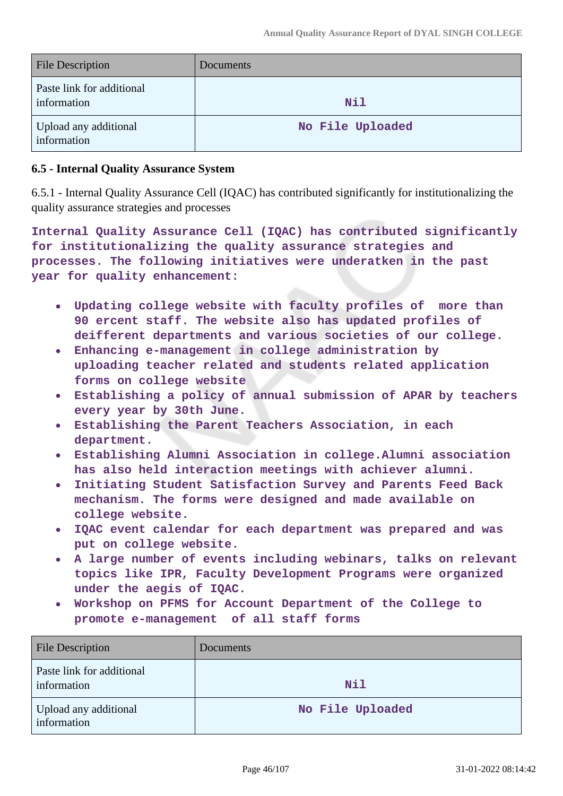| <b>File Description</b>                  | <b>Documents</b> |
|------------------------------------------|------------------|
| Paste link for additional<br>information | <b>Nil</b>       |
| Upload any additional<br>information     | No File Uploaded |

#### **6.5 - Internal Quality Assurance System**

6.5.1 - Internal Quality Assurance Cell (IQAC) has contributed significantly for institutionalizing the quality assurance strategies and processes

**Internal Quality Assurance Cell (IQAC) has contributed significantly for institutionalizing the quality assurance strategies and processes. The following initiatives were underatken in the past year for quality enhancement:**

- **Updating college website with faculty profiles of more than 90 ercent staff. The website also has updated profiles of deifferent departments and various societies of our college.**
- **Enhancing e-management in college administration by**  $\bullet$ **uploading teacher related and students related application forms on college website**
- **Establishing a policy of annual submission of APAR by teachers every year by 30th June.**
- **Establishing the Parent Teachers Association, in each**  $\bullet$ **department.**
- **Establishing Alumni Association in college.Alumni association has also held interaction meetings with achiever alumni.**
- **Initiating Student Satisfaction Survey and Parents Feed Back**  $\bullet$ **mechanism. The forms were designed and made available on college website.**
- **IQAC event calendar for each department was prepared and was put on college website.**
- **A large number of events including webinars, talks on relevant topics like IPR, Faculty Development Programs were organized under the aegis of IQAC.**
- **Workshop on PFMS for Account Department of the College to promote e-management of all staff forms**

| <b>File Description</b>                  | Documents        |
|------------------------------------------|------------------|
| Paste link for additional<br>information | Nil              |
| Upload any additional<br>information     | No File Uploaded |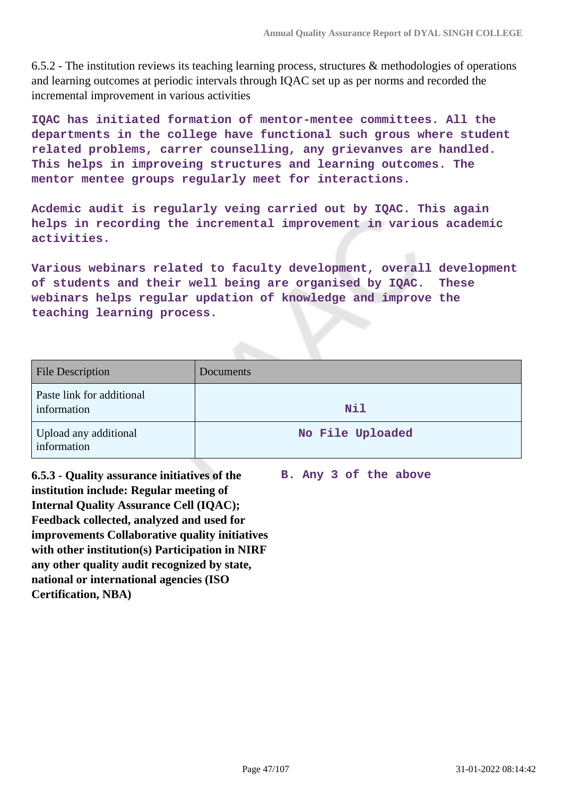6.5.2 - The institution reviews its teaching learning process, structures & methodologies of operations and learning outcomes at periodic intervals through IQAC set up as per norms and recorded the incremental improvement in various activities

**IQAC has initiated formation of mentor-mentee committees. All the departments in the college have functional such grous where student related problems, carrer counselling, any grievanves are handled. This helps in improveing structures and learning outcomes. The mentor mentee groups regularly meet for interactions.**

**Acdemic audit is regularly veing carried out by IQAC. This again helps in recording the incremental improvement in various academic activities.**

**Various webinars related to faculty development, overall development of students and their well being are organised by IQAC. These webinars helps regular updation of knowledge and improve the teaching learning process.**

| <b>File Description</b>                  | Documents        |
|------------------------------------------|------------------|
| Paste link for additional<br>information | Nil              |
| Upload any additional<br>information     | No File Uploaded |

**6.5.3 - Quality assurance initiatives of the institution include: Regular meeting of Internal Quality Assurance Cell (IQAC); Feedback collected, analyzed and used for improvements Collaborative quality initiatives with other institution(s) Participation in NIRF any other quality audit recognized by state, national or international agencies (ISO Certification, NBA)**

**B. Any 3 of the above**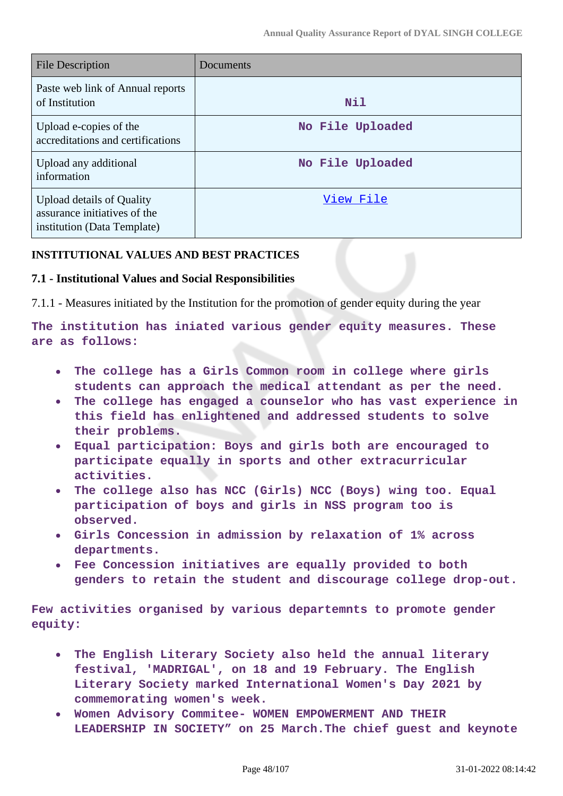| <b>File Description</b>                                                                  | Documents        |
|------------------------------------------------------------------------------------------|------------------|
| Paste web link of Annual reports<br>of Institution                                       | Nil              |
| Upload e-copies of the<br>accreditations and certifications                              | No File Uploaded |
| Upload any additional<br>information                                                     | No File Uploaded |
| Upload details of Quality<br>assurance initiatives of the<br>institution (Data Template) | View File        |

#### **INSTITUTIONAL VALUES AND BEST PRACTICES**

#### **7.1 - Institutional Values and Social Responsibilities**

7.1.1 - Measures initiated by the Institution for the promotion of gender equity during the year

**The institution has iniated various gender equity measures. These are as follows:**

- **The college has a Girls Common room in college where girls students can approach the medical attendant as per the need.**
- **The college has engaged a counselor who has vast experience in this field has enlightened and addressed students to solve their problems.**
- **Equal participation: Boys and girls both are encouraged to participate equally in sports and other extracurricular activities.**
- **The college also has NCC (Girls) NCC (Boys) wing too. Equal participation of boys and girls in NSS program too is observed.**
- **Girls Concession in admission by relaxation of 1% across departments.**
- **Fee Concession initiatives are equally provided to both genders to retain the student and discourage college drop-out.**

**Few activities organised by various departemnts to promote gender equity:**

- **The English Literary Society also held the annual literary**  $\bullet$ **festival, 'MADRIGAL', on 18 and 19 February. The English Literary Society marked International Women's Day 2021 by commemorating women's week.**
- **Women Advisory Commitee- WOMEN EMPOWERMENT AND THEIR LEADERSHIP IN SOCIETY" on 25 March.The chief guest and keynote**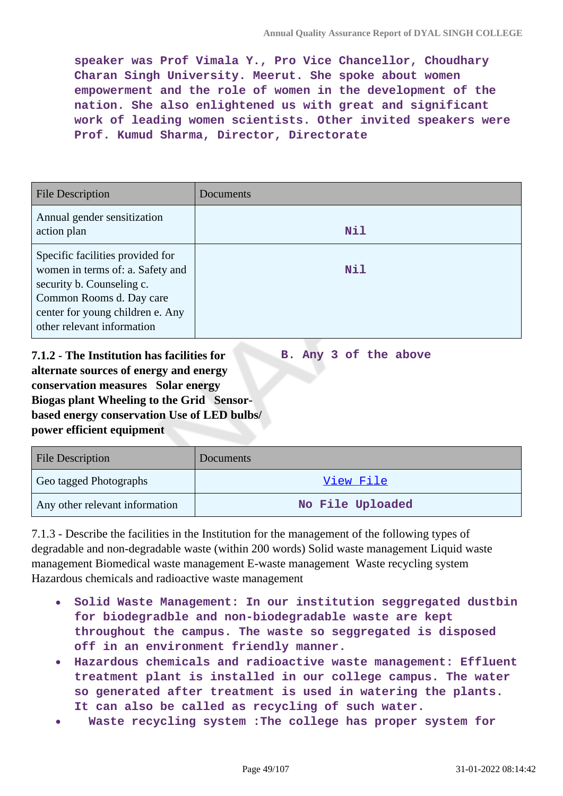**speaker was Prof Vimala Y., Pro Vice Chancellor, Choudhary Charan Singh University. Meerut. She spoke about women empowerment and the role of women in the development of the nation. She also enlightened us with great and significant work of leading women scientists. Other invited speakers were Prof. Kumud Sharma, Director, Directorate**

| <b>File Description</b>                                                                                                                                                                         | Documents |
|-------------------------------------------------------------------------------------------------------------------------------------------------------------------------------------------------|-----------|
| Annual gender sensitization<br>action plan                                                                                                                                                      | Nil       |
| Specific facilities provided for<br>women in terms of: a. Safety and<br>security b. Counseling c.<br>Common Rooms d. Day care<br>center for young children e. Any<br>other relevant information | Nil       |

**7.1.2 - The Institution has facilities for alternate sources of energy and energy conservation measures Solar energy Biogas plant Wheeling to the Grid Sensorbased energy conservation Use of LED bulbs/ power efficient equipment B. Any 3 of the above**

| <b>File Description</b>        | Documents        |
|--------------------------------|------------------|
| Geo tagged Photographs         | View File        |
| Any other relevant information | No File Uploaded |

7.1.3 - Describe the facilities in the Institution for the management of the following types of degradable and non-degradable waste (within 200 words) Solid waste management Liquid waste management Biomedical waste management E-waste management Waste recycling system Hazardous chemicals and radioactive waste management

- **Solid Waste Management: In our institution seggregated dustbin for biodegradble and non-biodegradable waste are kept throughout the campus. The waste so seggregated is disposed off in an environment friendly manner.**
- **Hazardous chemicals and radioactive waste management: Effluent treatment plant is installed in our college campus. The water so generated after treatment is used in watering the plants. It can also be called as recycling of such water.**
- **Waste recycling system :The college has proper system for**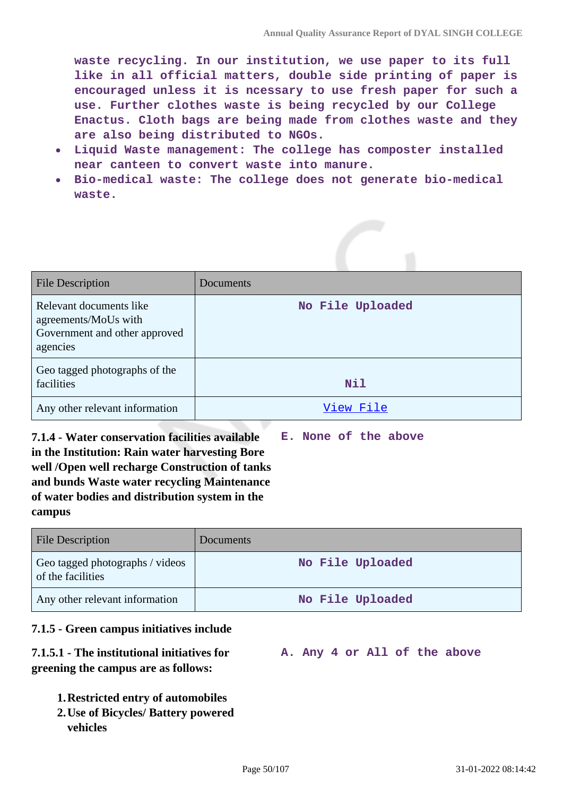**waste recycling. In our institution, we use paper to its full like in all official matters, double side printing of paper is encouraged unless it is ncessary to use fresh paper for such a use. Further clothes waste is being recycled by our College Enactus. Cloth bags are being made from clothes waste and they are also being distributed to NGOs.**

- **Liquid Waste management: The college has composter installed near canteen to convert waste into manure.**
- **Bio-medical waste: The college does not generate bio-medical waste.**

| File Description                                                                             | Documents        |
|----------------------------------------------------------------------------------------------|------------------|
| Relevant documents like<br>agreements/MoUs with<br>Government and other approved<br>agencies | No File Uploaded |
| Geo tagged photographs of the<br>facilities                                                  | Nil              |
| Any other relevant information                                                               | View File        |

**7.1.4 - Water conservation facilities available in the Institution: Rain water harvesting Bore well /Open well recharge Construction of tanks and bunds Waste water recycling Maintenance of water bodies and distribution system in the campus E. None of the above**

| <b>File Description</b>                              | <b>Documents</b> |
|------------------------------------------------------|------------------|
| Geo tagged photographs / videos<br>of the facilities | No File Uploaded |
| Any other relevant information                       | No File Uploaded |

#### **7.1.5 - Green campus initiatives include**

#### **7.1.5.1 - The institutional initiatives for greening the campus are as follows: A. Any 4 or All of the above**

- **1.Restricted entry of automobiles**
- **2.Use of Bicycles/ Battery powered vehicles**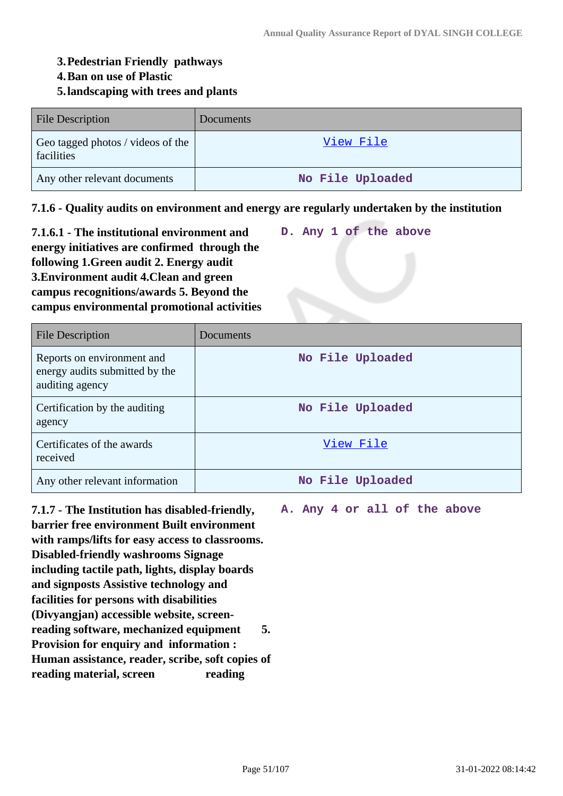#### **3.Pedestrian Friendly pathways**

#### **4.Ban on use of Plastic**

#### **5.landscaping with trees and plants**

| <b>File Description</b>                         | Documents        |
|-------------------------------------------------|------------------|
| Geo tagged photos / videos of the<br>facilities | View File        |
| Any other relevant documents                    | No File Uploaded |

**7.1.6 - Quality audits on environment and energy are regularly undertaken by the institution**

**7.1.6.1 - The institutional environment and energy initiatives are confirmed through the following 1.Green audit 2. Energy audit 3.Environment audit 4.Clean and green campus recognitions/awards 5. Beyond the campus environmental promotional activities D. Any 1 of the above**

| <b>File Description</b>                                                         | Documents        |
|---------------------------------------------------------------------------------|------------------|
| Reports on environment and<br>energy audits submitted by the<br>auditing agency | No File Uploaded |
| Certification by the auditing<br>agency                                         | No File Uploaded |
| Certificates of the awards<br>received                                          | View File        |
| Any other relevant information                                                  | No File Uploaded |

**7.1.7 - The Institution has disabled-friendly, barrier free environment Built environment with ramps/lifts for easy access to classrooms. Disabled-friendly washrooms Signage including tactile path, lights, display boards and signposts Assistive technology and facilities for persons with disabilities (Divyangjan) accessible website, screenreading software, mechanized equipment 5. Provision for enquiry and information : Human assistance, reader, scribe, soft copies of reading material, screen reading**

**A. Any 4 or all of the above**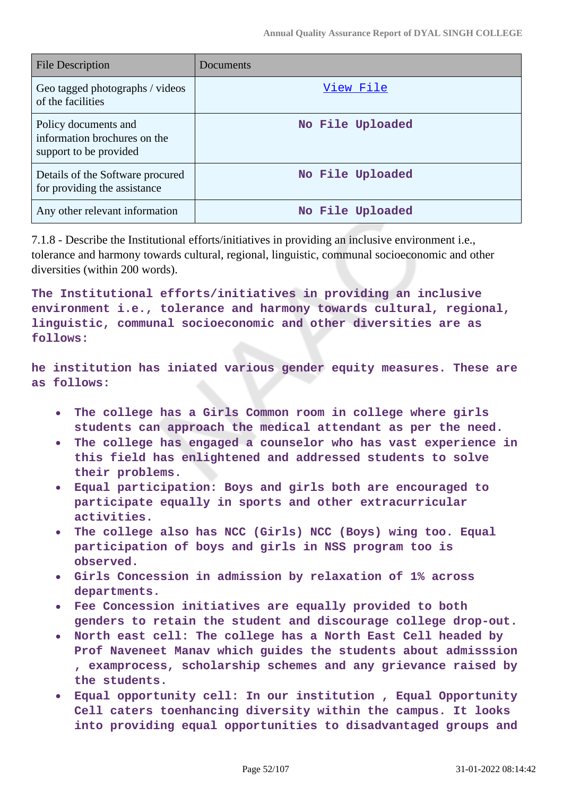| <b>File Description</b>                                                        | Documents        |
|--------------------------------------------------------------------------------|------------------|
| Geo tagged photographs / videos<br>of the facilities                           | <u>View File</u> |
| Policy documents and<br>information brochures on the<br>support to be provided | No File Uploaded |
| Details of the Software procured<br>for providing the assistance               | No File Uploaded |
| Any other relevant information                                                 | No File Uploaded |

7.1.8 - Describe the Institutional efforts/initiatives in providing an inclusive environment i.e., tolerance and harmony towards cultural, regional, linguistic, communal socioeconomic and other diversities (within 200 words).

**The Institutional efforts/initiatives in providing an inclusive environment i.e., tolerance and harmony towards cultural, regional, linguistic, communal socioeconomic and other diversities are as follows:**

**he institution has iniated various gender equity measures. These are as follows:**

- **The college has a Girls Common room in college where girls**  $\bullet$ **students can approach the medical attendant as per the need.**
- **The college has engaged a counselor who has vast experience in this field has enlightened and addressed students to solve their problems.**
- **Equal participation: Boys and girls both are encouraged to participate equally in sports and other extracurricular activities.**
- **The college also has NCC (Girls) NCC (Boys) wing too. Equal participation of boys and girls in NSS program too is observed.**
- **Girls Concession in admission by relaxation of 1% across departments.**
- **Fee Concession initiatives are equally provided to both genders to retain the student and discourage college drop-out.**
- **North east cell: The college has a North East Cell headed by Prof Naveneet Manav which guides the students about admisssion , examprocess, scholarship schemes and any grievance raised by the students.**
- **Equal opportunity cell: In our institution , Equal Opportunity Cell caters toenhancing diversity within the campus. It looks into providing equal opportunities to disadvantaged groups and**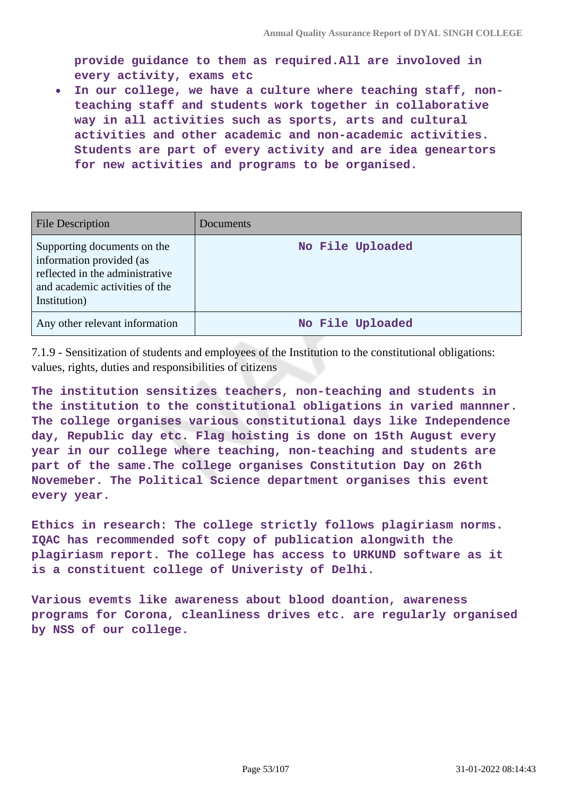**provide guidance to them as required.All are involoved in every activity, exams etc**

**In our college, we have a culture where teaching staff, non-** $\bullet$ **teaching staff and students work together in collaborative way in all activities such as sports, arts and cultural activities and other academic and non-academic activities. Students are part of every activity and are idea geneartors for new activities and programs to be organised.**

| <b>File Description</b>                                                                                                                      | Documents        |
|----------------------------------------------------------------------------------------------------------------------------------------------|------------------|
| Supporting documents on the<br>information provided (as<br>reflected in the administrative<br>and academic activities of the<br>Institution) | No File Uploaded |
| Any other relevant information                                                                                                               | No File Uploaded |

7.1.9 - Sensitization of students and employees of the Institution to the constitutional obligations: values, rights, duties and responsibilities of citizens

**The institution sensitizes teachers, non-teaching and students in the institution to the constitutional obligations in varied mannner. The college organises various constitutional days like Independence day, Republic day etc. Flag hoisting is done on 15th August every year in our college where teaching, non-teaching and students are part of the same.The college organises Constitution Day on 26th Novemeber. The Political Science department organises this event every year.**

**Ethics in research: The college strictly follows plagiriasm norms. IQAC has recommended soft copy of publication alongwith the plagiriasm report. The college has access to URKUND software as it is a constituent college of Univeristy of Delhi.**

**Various evemts like awareness about blood doantion, awareness programs for Corona, cleanliness drives etc. are regularly organised by NSS of our college.**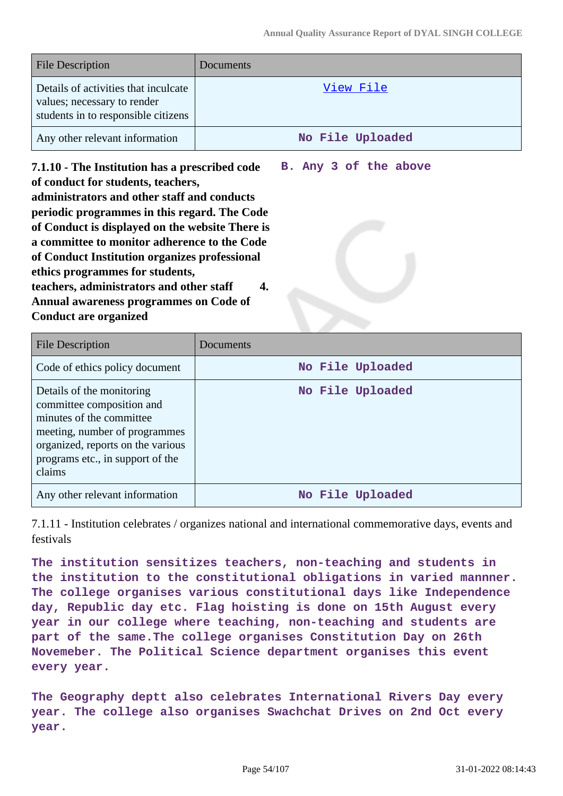**B. Any 3 of the above**

| <b>File Description</b>                                                                                    | Documents        |
|------------------------------------------------------------------------------------------------------------|------------------|
| Details of activities that inculcate<br>values; necessary to render<br>students in to responsible citizens | View File        |
| Any other relevant information                                                                             | No File Uploaded |

**7.1.10 - The Institution has a prescribed code of conduct for students, teachers, administrators and other staff and conducts periodic programmes in this regard. The Code of Conduct is displayed on the website There is a committee to monitor adherence to the Code of Conduct Institution organizes professional ethics programmes for students, teachers, administrators and other staff 4. Annual awareness programmes on Code of Conduct are organized**

File Description Documents Code of ethics policy document **No File Uploaded** Details of the monitoring committee composition and minutes of the committee meeting, number of programmes organized, reports on the various programs etc., in support of the claims **No File Uploaded** Any other relevant information **No File Uploaded** 

7.1.11 - Institution celebrates / organizes national and international commemorative days, events and festivals

**The institution sensitizes teachers, non-teaching and students in the institution to the constitutional obligations in varied mannner. The college organises various constitutional days like Independence day, Republic day etc. Flag hoisting is done on 15th August every year in our college where teaching, non-teaching and students are part of the same.The college organises Constitution Day on 26th Novemeber. The Political Science department organises this event every year.**

**The Geography deptt also celebrates International Rivers Day every year. The college also organises Swachchat Drives on 2nd Oct every year.**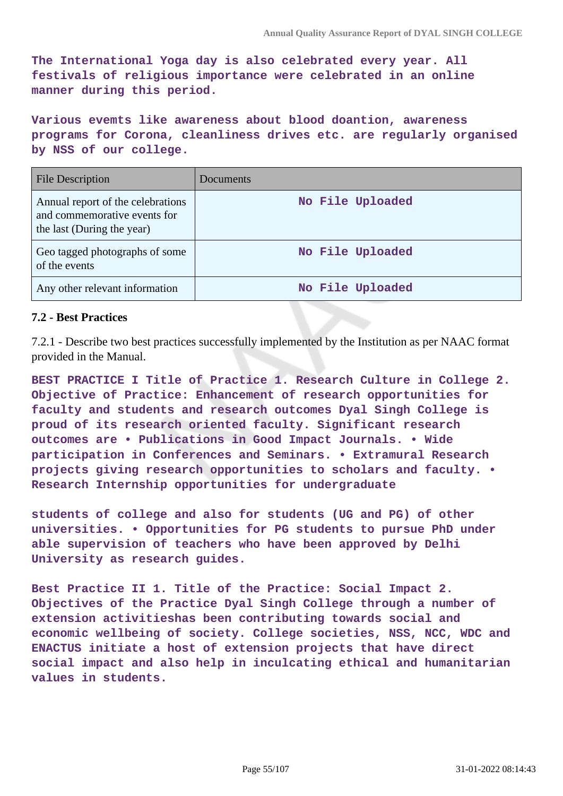**The International Yoga day is also celebrated every year. All festivals of religious importance were celebrated in an online manner during this period.**

**Various evemts like awareness about blood doantion, awareness programs for Corona, cleanliness drives etc. are regularly organised by NSS of our college.**

| <b>File Description</b>                                                                         | Documents        |
|-------------------------------------------------------------------------------------------------|------------------|
| Annual report of the celebrations<br>and commemorative events for<br>the last (During the year) | No File Uploaded |
| Geo tagged photographs of some<br>of the events                                                 | No File Uploaded |
| Any other relevant information                                                                  | No File Uploaded |

### **7.2 - Best Practices**

7.2.1 - Describe two best practices successfully implemented by the Institution as per NAAC format provided in the Manual.

**BEST PRACTICE I Title of Practice 1. Research Culture in College 2. Objective of Practice: Enhancement of research opportunities for faculty and students and research outcomes Dyal Singh College is proud of its research oriented faculty. Significant research outcomes are • Publications in Good Impact Journals. • Wide participation in Conferences and Seminars. • Extramural Research projects giving research opportunities to scholars and faculty. • Research Internship opportunities for undergraduate**

**students of college and also for students (UG and PG) of other universities. • Opportunities for PG students to pursue PhD under able supervision of teachers who have been approved by Delhi University as research guides.**

**Best Practice II 1. Title of the Practice: Social Impact 2. Objectives of the Practice Dyal Singh College through a number of extension activitieshas been contributing towards social and economic wellbeing of society. College societies, NSS, NCC, WDC and ENACTUS initiate a host of extension projects that have direct social impact and also help in inculcating ethical and humanitarian values in students.**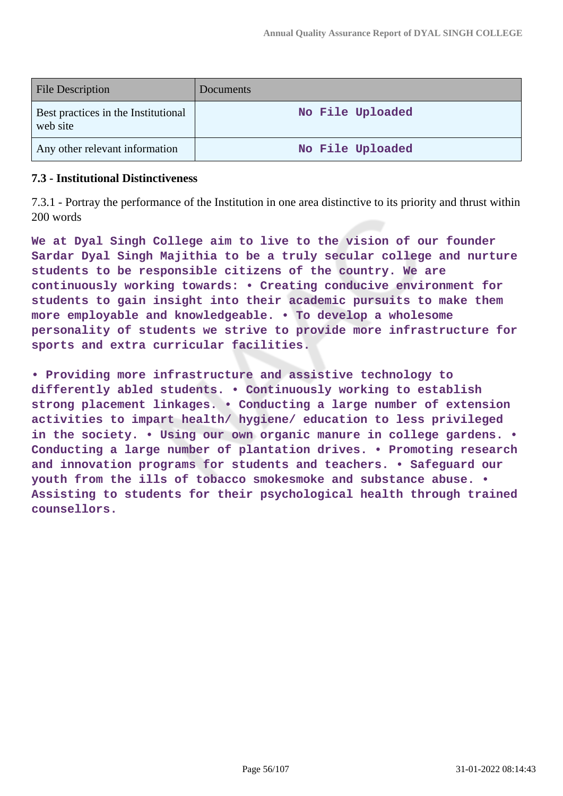| <b>File Description</b>                         | <b>Documents</b> |
|-------------------------------------------------|------------------|
| Best practices in the Institutional<br>web site | No File Uploaded |
| Any other relevant information                  | No File Uploaded |

#### **7.3 - Institutional Distinctiveness**

7.3.1 - Portray the performance of the Institution in one area distinctive to its priority and thrust within 200 words

**We at Dyal Singh College aim to live to the vision of our founder Sardar Dyal Singh Majithia to be a truly secular college and nurture students to be responsible citizens of the country. We are continuously working towards: • Creating conducive environment for students to gain insight into their academic pursuits to make them more employable and knowledgeable. • To develop a wholesome personality of students we strive to provide more infrastructure for sports and extra curricular facilities.**

**• Providing more infrastructure and assistive technology to differently abled students. • Continuously working to establish strong placement linkages. • Conducting a large number of extension activities to impart health/ hygiene/ education to less privileged in the society. • Using our own organic manure in college gardens. • Conducting a large number of plantation drives. • Promoting research and innovation programs for students and teachers. • Safeguard our youth from the ills of tobacco smokesmoke and substance abuse. • Assisting to students for their psychological health through trained counsellors.**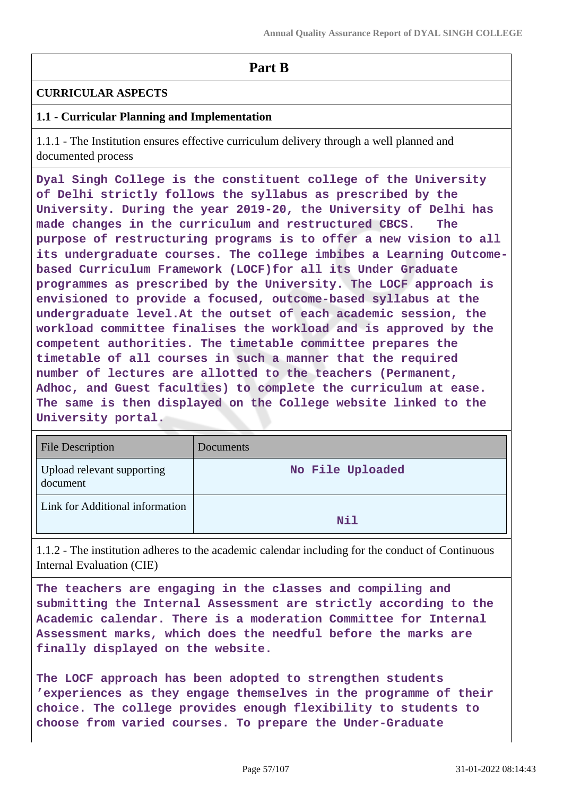## **Part B**

### **CURRICULAR ASPECTS**

### **1.1 - Curricular Planning and Implementation**

1.1.1 - The Institution ensures effective curriculum delivery through a well planned and documented process

**Dyal Singh College is the constituent college of the University of Delhi strictly follows the syllabus as prescribed by the University. During the year 2019-20, the University of Delhi has made changes in the curriculum and restructured CBCS. The purpose of restructuring programs is to offer a new vision to all its undergraduate courses. The college imbibes a Learning Outcomebased Curriculum Framework (LOCF)for all its Under Graduate programmes as prescribed by the University. The LOCF approach is envisioned to provide a focused, outcome-based syllabus at the undergraduate level.At the outset of each academic session, the workload committee finalises the workload and is approved by the competent authorities. The timetable committee prepares the timetable of all courses in such a manner that the required number of lectures are allotted to the teachers (Permanent, Adhoc, and Guest faculties) to complete the curriculum at ease. The same is then displayed on the College website linked to the University portal.**

| <b>File Description</b>                | Documents        |
|----------------------------------------|------------------|
| Upload relevant supporting<br>document | No File Uploaded |
| Link for Additional information        | Nil              |

1.1.2 - The institution adheres to the academic calendar including for the conduct of Continuous Internal Evaluation (CIE)

**The teachers are engaging in the classes and compiling and submitting the Internal Assessment are strictly according to the Academic calendar. There is a moderation Committee for Internal Assessment marks, which does the needful before the marks are finally displayed on the website.**

**The LOCF approach has been adopted to strengthen students 'experiences as they engage themselves in the programme of their choice. The college provides enough flexibility to students to choose from varied courses. To prepare the Under-Graduate**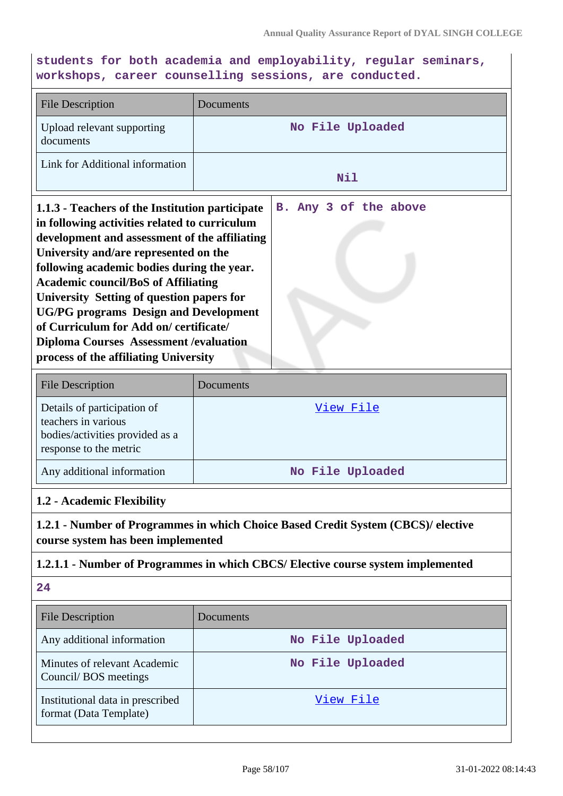**students for both academia and employability, regular seminars, workshops, career counselling sessions, are conducted.**

| <b>File Description</b>                                                                                                                                                                                                                                                                                                                                                                                                                                                                                                 | Documents |                       |
|-------------------------------------------------------------------------------------------------------------------------------------------------------------------------------------------------------------------------------------------------------------------------------------------------------------------------------------------------------------------------------------------------------------------------------------------------------------------------------------------------------------------------|-----------|-----------------------|
| Upload relevant supporting<br>documents                                                                                                                                                                                                                                                                                                                                                                                                                                                                                 |           | No File Uploaded      |
| Link for Additional information                                                                                                                                                                                                                                                                                                                                                                                                                                                                                         |           | Nil                   |
| 1.1.3 - Teachers of the Institution participate<br>in following activities related to curriculum<br>development and assessment of the affiliating<br>University and/are represented on the<br>following academic bodies during the year.<br><b>Academic council/BoS of Affiliating</b><br>University Setting of question papers for<br><b>UG/PG programs Design and Development</b><br>of Curriculum for Add on/certificate/<br><b>Diploma Courses Assessment / evaluation</b><br>process of the affiliating University |           | B. Any 3 of the above |
| <b>File Description</b>                                                                                                                                                                                                                                                                                                                                                                                                                                                                                                 | Documents |                       |
| Details of participation of<br>teachers in various<br>bodies/activities provided as a<br>response to the metric                                                                                                                                                                                                                                                                                                                                                                                                         |           | View File             |

Any additional information **No File Uploaded**

## **1.2 - Academic Flexibility**

**1.2.1 - Number of Programmes in which Choice Based Credit System (CBCS)/ elective course system has been implemented**

#### **1.2.1.1 - Number of Programmes in which CBCS/ Elective course system implemented**

**24**

| <b>File Description</b>                                    | Documents        |
|------------------------------------------------------------|------------------|
| Any additional information                                 | No File Uploaded |
| Minutes of relevant Academic<br>Council/BOS meetings       | No File Uploaded |
| Institutional data in prescribed<br>format (Data Template) | View File        |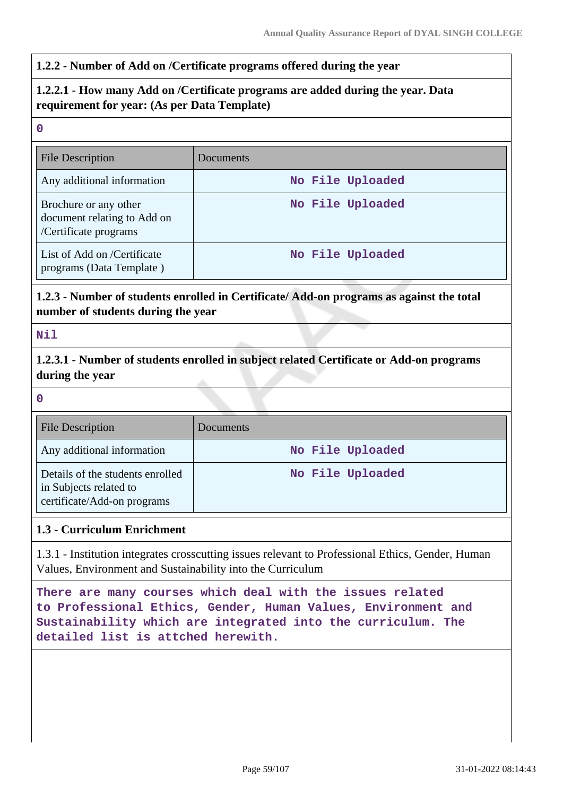#### **1.2.2 - Number of Add on /Certificate programs offered during the year**

## **1.2.2.1 - How many Add on /Certificate programs are added during the year. Data requirement for year: (As per Data Template)**

#### **0**

| <b>File Description</b>                                                       | Documents        |
|-------------------------------------------------------------------------------|------------------|
| Any additional information                                                    | No File Uploaded |
| Brochure or any other<br>document relating to Add on<br>/Certificate programs | No File Uploaded |
| List of Add on /Certificate<br>programs (Data Template)                       | No File Uploaded |

## **1.2.3 - Number of students enrolled in Certificate/ Add-on programs as against the total number of students during the year**

#### **Nil**

**1.2.3.1 - Number of students enrolled in subject related Certificate or Add-on programs during the year**

#### **0**

| <b>File Description</b>                                                                   | Documents        |
|-------------------------------------------------------------------------------------------|------------------|
| Any additional information                                                                | No File Uploaded |
| Details of the students enrolled<br>in Subjects related to<br>certificate/Add-on programs | No File Uploaded |

## **1.3 - Curriculum Enrichment**

1.3.1 - Institution integrates crosscutting issues relevant to Professional Ethics, Gender, Human Values, Environment and Sustainability into the Curriculum

**There are many courses which deal with the issues related to Professional Ethics, Gender, Human Values, Environment and Sustainability which are integrated into the curriculum. The detailed list is attched herewith.**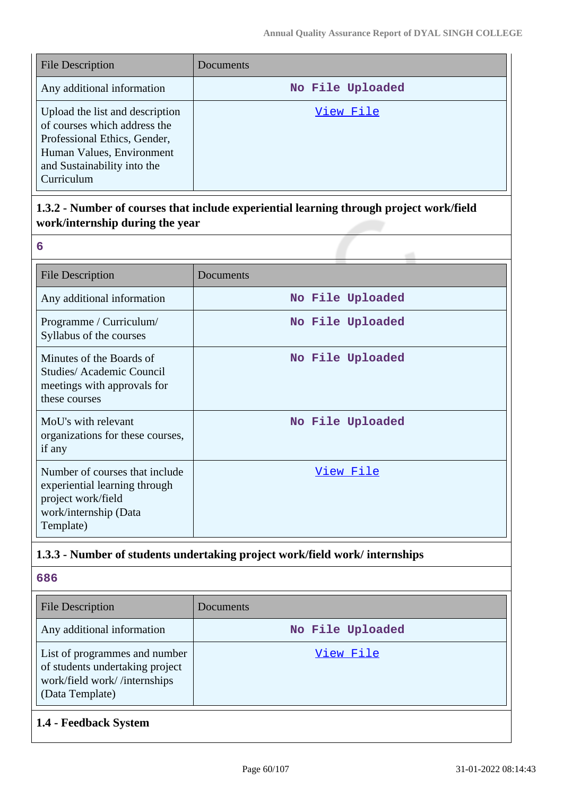| <b>File Description</b>                                                                                                                                                   | Documents        |
|---------------------------------------------------------------------------------------------------------------------------------------------------------------------------|------------------|
| Any additional information                                                                                                                                                | No File Uploaded |
| Upload the list and description<br>of courses which address the<br>Professional Ethics, Gender,<br>Human Values, Environment<br>and Sustainability into the<br>Curriculum | View File        |

## **1.3.2 - Number of courses that include experiential learning through project work/field work/internship during the year**

| 6                                                                                                                           |                  |
|-----------------------------------------------------------------------------------------------------------------------------|------------------|
| <b>File Description</b>                                                                                                     | Documents        |
| Any additional information                                                                                                  | No File Uploaded |
| Programme / Curriculum/<br>Syllabus of the courses                                                                          | No File Uploaded |
| Minutes of the Boards of<br>Studies/Academic Council<br>meetings with approvals for<br>these courses                        | No File Uploaded |
| MoU's with relevant<br>organizations for these courses,<br>if any                                                           | No File Uploaded |
| Number of courses that include<br>experiential learning through<br>project work/field<br>work/internship (Data<br>Template) | <u>View File</u> |

## **1.3.3 - Number of students undertaking project work/field work/ internships**

| 686                                                                                                                 |                  |
|---------------------------------------------------------------------------------------------------------------------|------------------|
| <b>File Description</b>                                                                                             | Documents        |
| Any additional information                                                                                          | No File Uploaded |
| List of programmes and number<br>of students undertaking project<br>work/field work//internships<br>(Data Template) | View File        |

## **1.4 - Feedback System**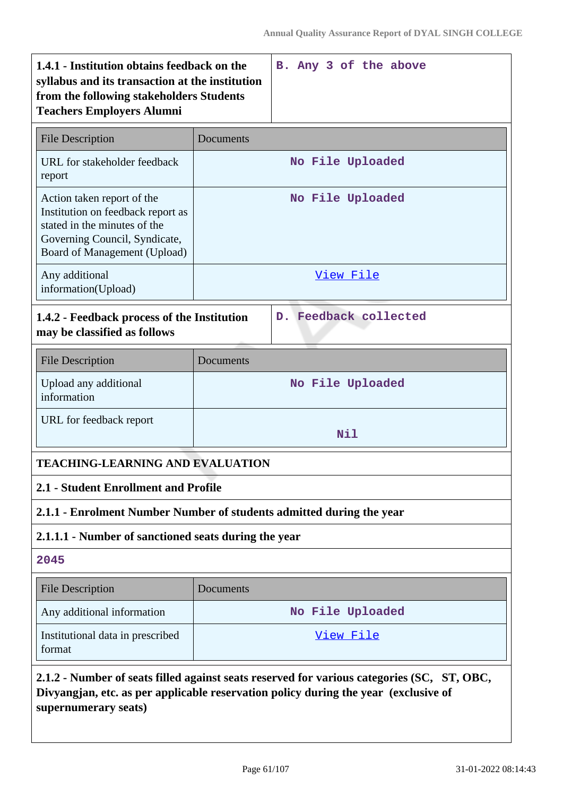| 1.4.1 - Institution obtains feedback on the<br>syllabus and its transaction at the institution<br>from the following stakeholders Students<br><b>Teachers Employers Alumni</b>                            | B. Any 3 of the above                                                |  |  |
|-----------------------------------------------------------------------------------------------------------------------------------------------------------------------------------------------------------|----------------------------------------------------------------------|--|--|
| <b>File Description</b>                                                                                                                                                                                   | Documents                                                            |  |  |
| URL for stakeholder feedback<br>report                                                                                                                                                                    | No File Uploaded                                                     |  |  |
| Action taken report of the<br>Institution on feedback report as<br>stated in the minutes of the<br>Governing Council, Syndicate,<br>Board of Management (Upload)                                          | No File Uploaded                                                     |  |  |
| Any additional<br>information(Upload)                                                                                                                                                                     | View File                                                            |  |  |
| 1.4.2 - Feedback process of the Institution<br>may be classified as follows                                                                                                                               | D. Feedback collected                                                |  |  |
| <b>File Description</b>                                                                                                                                                                                   | Documents                                                            |  |  |
| Upload any additional<br>information                                                                                                                                                                      | No File Uploaded                                                     |  |  |
| URL for feedback report                                                                                                                                                                                   | Nil                                                                  |  |  |
|                                                                                                                                                                                                           | <b>TEACHING-LEARNING AND EVALUATION</b>                              |  |  |
| 2.1 - Student Enrollment and Profile                                                                                                                                                                      |                                                                      |  |  |
|                                                                                                                                                                                                           | 2.1.1 - Enrolment Number Number of students admitted during the year |  |  |
| 2.1.1.1 - Number of sanctioned seats during the year                                                                                                                                                      |                                                                      |  |  |
| 2045                                                                                                                                                                                                      |                                                                      |  |  |
| <b>File Description</b>                                                                                                                                                                                   | Documents                                                            |  |  |
| Any additional information                                                                                                                                                                                | No File Uploaded                                                     |  |  |
| Institutional data in prescribed<br>format                                                                                                                                                                | View File                                                            |  |  |
| 2.1.2 - Number of seats filled against seats reserved for various categories (SC, ST, OBC,<br>Divyangjan, etc. as per applicable reservation policy during the year (exclusive of<br>supernumerary seats) |                                                                      |  |  |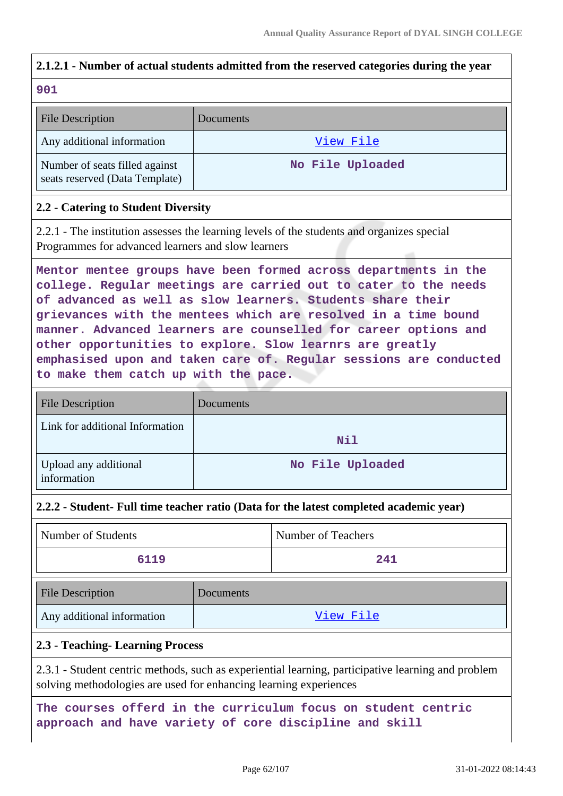# **2.1.2.1 - Number of actual students admitted from the reserved categories during the year**

#### **901**

| <b>File Description</b>                                          | Documents        |
|------------------------------------------------------------------|------------------|
| Any additional information                                       | View File        |
| Number of seats filled against<br>seats reserved (Data Template) | No File Uploaded |

### **2.2 - Catering to Student Diversity**

2.2.1 - The institution assesses the learning levels of the students and organizes special Programmes for advanced learners and slow learners

**Mentor mentee groups have been formed across departments in the college. Regular meetings are carried out to cater to the needs of advanced as well as slow learners. Students share their grievances with the mentees which are resolved in a time bound manner. Advanced learners are counselled for career options and other opportunities to explore. Slow learnrs are greatly emphasised upon and taken care of. Regular sessions are conducted to make them catch up with the pace.**

| <b>File Description</b>              | Documents        |
|--------------------------------------|------------------|
| Link for additional Information      | Nil              |
| Upload any additional<br>information | No File Uploaded |

#### **2.2.2 - Student- Full time teacher ratio (Data for the latest completed academic year)**

| Number of Students | Number of Teachers |
|--------------------|--------------------|
| 6119               | 241                |

| <b>File Description</b>    | <b>Documents</b> |
|----------------------------|------------------|
| Any additional information | View File        |

## **2.3 - Teaching- Learning Process**

2.3.1 - Student centric methods, such as experiential learning, participative learning and problem solving methodologies are used for enhancing learning experiences

**The courses offerd in the curriculum focus on student centric approach and have variety of core discipline and skill**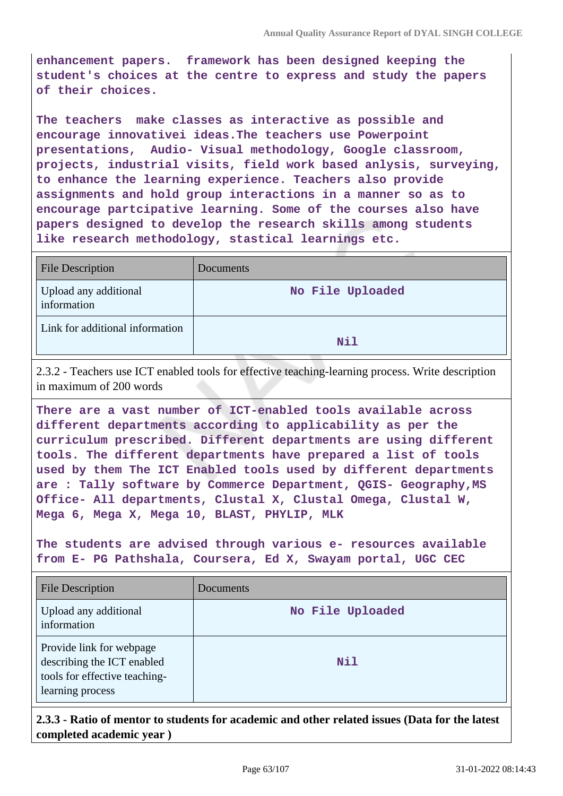**enhancement papers. framework has been designed keeping the student's choices at the centre to express and study the papers of their choices.** 

**The teachers make classes as interactive as possible and encourage innovativei ideas.The teachers use Powerpoint presentations, Audio- Visual methodology, Google classroom, projects, industrial visits, field work based anlysis, surveying, to enhance the learning experience. Teachers also provide assignments and hold group interactions in a manner so as to encourage partcipative learning. Some of the courses also have papers designed to develop the research skills among students like research methodology, stastical learnings etc.**

| <b>File Description</b>              | Documents        |
|--------------------------------------|------------------|
| Upload any additional<br>information | No File Uploaded |
| Link for additional information      | Nil              |

2.3.2 - Teachers use ICT enabled tools for effective teaching-learning process. Write description in maximum of 200 words

**There are a vast number of ICT-enabled tools available across different departments according to applicability as per the curriculum prescribed. Different departments are using different tools. The different departments have prepared a list of tools used by them The ICT Enabled tools used by different departments are : Tally software by Commerce Department, QGIS- Geography,MS Office- All departments, Clustal X, Clustal Omega, Clustal W, Mega 6, Mega X, Mega 10, BLAST, PHYLIP, MLK**

**The students are advised through various e- resources available from E- PG Pathshala, Coursera, Ed X, Swayam portal, UGC CEC**

| <b>File Description</b>                                                                                     | Documents        |
|-------------------------------------------------------------------------------------------------------------|------------------|
| Upload any additional<br>information                                                                        | No File Uploaded |
| Provide link for webpage<br>describing the ICT enabled<br>tools for effective teaching-<br>learning process | Nil              |

**2.3.3 - Ratio of mentor to students for academic and other related issues (Data for the latest completed academic year )**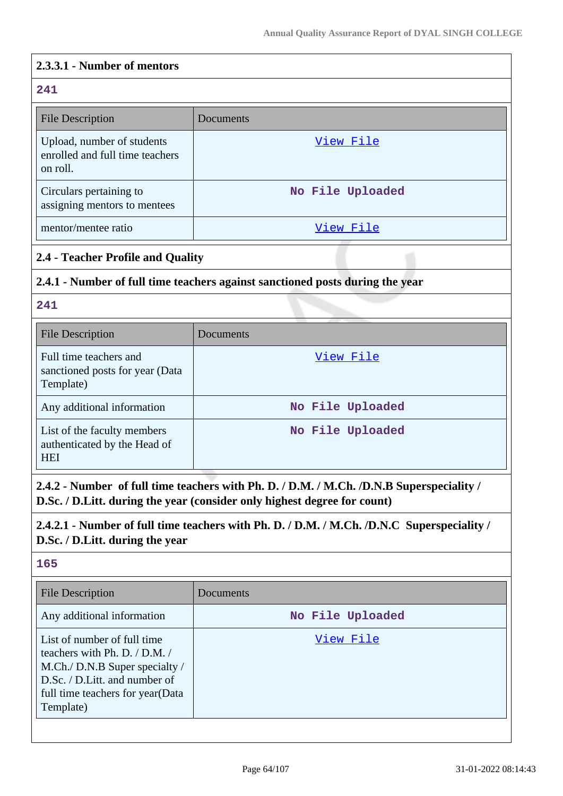#### **2.3.3.1 - Number of mentors**

## **241** File Description Documents Upload, number of students enrolled and full time teachers on roll. [View File](https://assessmentonline.naac.gov.in/storage/app/public/aqar/14702/14702_19_38.xlsx?1643640276) Circulars pertaining to assigning mentors to mentees **No File Uploaded** mentor/mentee ratio [View File](https://assessmentonline.naac.gov.in/storage/app/public/aqar/14702/14702_19_40.xlsx?1643640276)

## **2.4 - Teacher Profile and Quality**

## **2.4.1 - Number of full time teachers against sanctioned posts during the year**

#### **241**

| <b>File Description</b>                                                   | Documents        |
|---------------------------------------------------------------------------|------------------|
| Full time teachers and<br>sanctioned posts for year (Data<br>Template)    | View File        |
| Any additional information                                                | No File Uploaded |
| List of the faculty members<br>authenticated by the Head of<br><b>HEI</b> | No File Uploaded |

**2.4.2 - Number of full time teachers with Ph. D. / D.M. / M.Ch. /D.N.B Superspeciality / D.Sc. / D.Litt. during the year (consider only highest degree for count)**

## **2.4.2.1 - Number of full time teachers with Ph. D. / D.M. / M.Ch. /D.N.C Superspeciality / D.Sc. / D.Litt. during the year**

## **165**

| <b>File Description</b>                                                                                                                                                               | Documents        |
|---------------------------------------------------------------------------------------------------------------------------------------------------------------------------------------|------------------|
| Any additional information                                                                                                                                                            | No File Uploaded |
| List of number of full time<br>teachers with Ph. D. $/$ D.M. $/$<br>M.Ch./ D.N.B Super specialty /<br>D.Sc. / D.Litt. and number of<br>full time teachers for year (Data<br>Template) | View File        |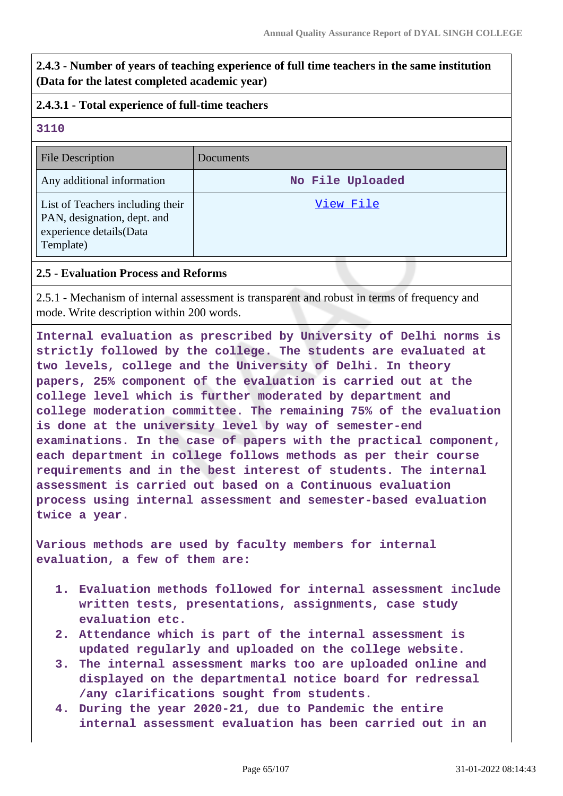**2.4.3 - Number of years of teaching experience of full time teachers in the same institution (Data for the latest completed academic year)**

## **2.4.3.1 - Total experience of full-time teachers**

### **3110**

| File Description                                                                                        | Documents        |
|---------------------------------------------------------------------------------------------------------|------------------|
| Any additional information                                                                              | No File Uploaded |
| List of Teachers including their<br>PAN, designation, dept. and<br>experience details(Data<br>Template) | View File        |

#### **2.5 - Evaluation Process and Reforms**

2.5.1 - Mechanism of internal assessment is transparent and robust in terms of frequency and mode. Write description within 200 words.

**Internal evaluation as prescribed by University of Delhi norms is strictly followed by the college. The students are evaluated at two levels, college and the University of Delhi. In theory papers, 25% component of the evaluation is carried out at the college level which is further moderated by department and college moderation committee. The remaining 75% of the evaluation is done at the university level by way of semester-end examinations. In the case of papers with the practical component, each department in college follows methods as per their course requirements and in the best interest of students. The internal assessment is carried out based on a Continuous evaluation process using internal assessment and semester-based evaluation twice a year.**

**Various methods are used by faculty members for internal evaluation, a few of them are:**

- **1. Evaluation methods followed for internal assessment include written tests, presentations, assignments, case study evaluation etc.**
- **2. Attendance which is part of the internal assessment is updated regularly and uploaded on the college website.**
- **3. The internal assessment marks too are uploaded online and displayed on the departmental notice board for redressal /any clarifications sought from students.**
- **4. During the year 2020-21, due to Pandemic the entire internal assessment evaluation has been carried out in an**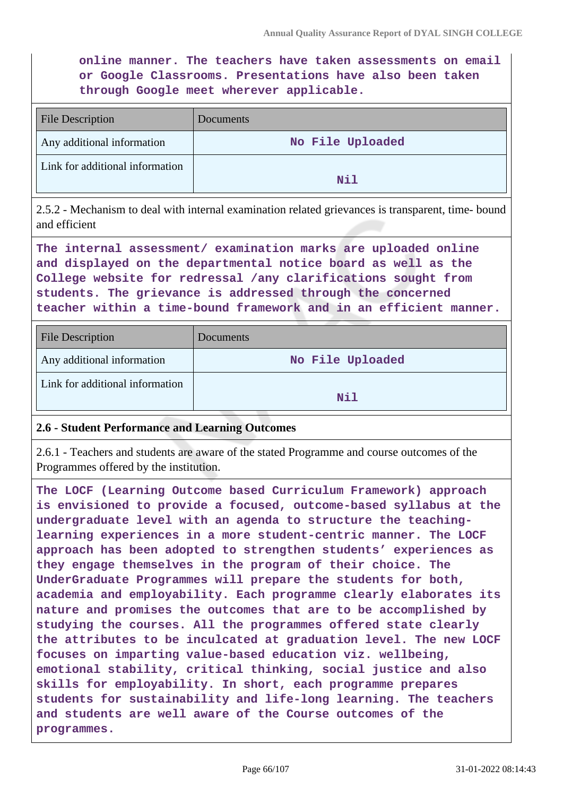**online manner. The teachers have taken assessments on email or Google Classrooms. Presentations have also been taken through Google meet wherever applicable.**

| <b>File Description</b>         | Documents        |
|---------------------------------|------------------|
| Any additional information      | No File Uploaded |
| Link for additional information | Nil              |

2.5.2 - Mechanism to deal with internal examination related grievances is transparent, time- bound and efficient

**The internal assessment/ examination marks are uploaded online and displayed on the departmental notice board as well as the College website for redressal /any clarifications sought from students. The grievance is addressed through the concerned teacher within a time-bound framework and in an efficient manner.**

| <b>File Description</b>         | Documents        |
|---------------------------------|------------------|
| Any additional information      | No File Uploaded |
| Link for additional information | Nil              |

## **2.6 - Student Performance and Learning Outcomes**

2.6.1 - Teachers and students are aware of the stated Programme and course outcomes of the Programmes offered by the institution.

**The LOCF (Learning Outcome based Curriculum Framework) approach is envisioned to provide a focused, outcome-based syllabus at the undergraduate level with an agenda to structure the teachinglearning experiences in a more student-centric manner. The LOCF approach has been adopted to strengthen students' experiences as they engage themselves in the program of their choice. The UnderGraduate Programmes will prepare the students for both, academia and employability. Each programme clearly elaborates its nature and promises the outcomes that are to be accomplished by studying the courses. All the programmes offered state clearly the attributes to be inculcated at graduation level. The new LOCF focuses on imparting value-based education viz. wellbeing, emotional stability, critical thinking, social justice and also skills for employability. In short, each programme prepares students for sustainability and life-long learning. The teachers and students are well aware of the Course outcomes of the programmes.**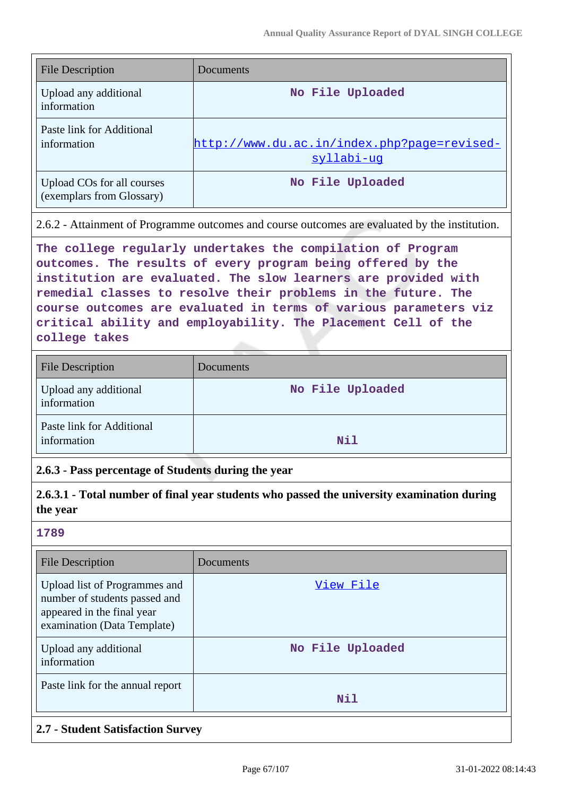| <b>File Description</b>                                 | Documents                                                 |
|---------------------------------------------------------|-----------------------------------------------------------|
| Upload any additional<br>information                    | No File Uploaded                                          |
| Paste link for Additional<br>information                | http://www.du.ac.in/index.php?page=revised-<br>syllabi-uq |
| Upload COs for all courses<br>(exemplars from Glossary) | No File Uploaded                                          |

2.6.2 - Attainment of Programme outcomes and course outcomes are evaluated by the institution.

**The college regularly undertakes the compilation of Program outcomes. The results of every program being offered by the institution are evaluated. The slow learners are provided with remedial classes to resolve their problems in the future. The course outcomes are evaluated in terms of various parameters viz critical ability and employability. The Placement Cell of the college takes** 

| <b>File Description</b>                  | Documents        |
|------------------------------------------|------------------|
| Upload any additional<br>information     | No File Uploaded |
| Paste link for Additional<br>information | <b>Nil</b>       |

#### **2.6.3 - Pass percentage of Students during the year**

**2.6.3.1 - Total number of final year students who passed the university examination during the year**

### **1789**

| <b>File Description</b>                                                                                                     | Documents        |
|-----------------------------------------------------------------------------------------------------------------------------|------------------|
| Upload list of Programmes and<br>number of students passed and<br>appeared in the final year<br>examination (Data Template) | View File        |
| Upload any additional<br>information                                                                                        | No File Uploaded |
| Paste link for the annual report                                                                                            | Nil              |

## **2.7 - Student Satisfaction Survey**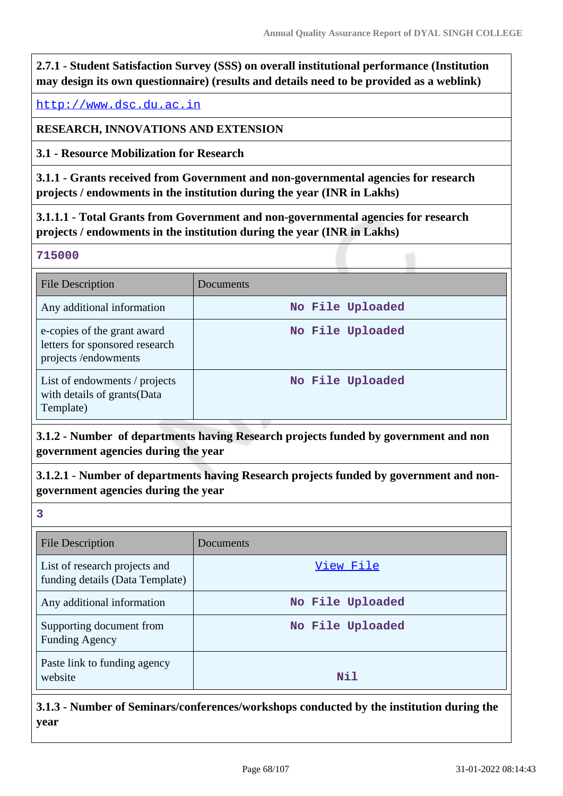**2.7.1 - Student Satisfaction Survey (SSS) on overall institutional performance (Institution may design its own questionnaire) (results and details need to be provided as a weblink)**

<http://www.dsc.du.ac.in>

**RESEARCH, INNOVATIONS AND EXTENSION**

**3.1 - Resource Mobilization for Research**

**3.1.1 - Grants received from Government and non-governmental agencies for research projects / endowments in the institution during the year (INR in Lakhs)**

**3.1.1.1 - Total Grants from Government and non-governmental agencies for research projects / endowments in the institution during the year (INR in Lakhs)**

#### **715000**

| File Description                                                                     | Documents        |
|--------------------------------------------------------------------------------------|------------------|
| Any additional information                                                           | No File Uploaded |
| e-copies of the grant award<br>letters for sponsored research<br>projects/endowments | No File Uploaded |
| List of endowments / projects<br>with details of grants (Data<br>Template)           | No File Uploaded |

**3.1.2 - Number of departments having Research projects funded by government and non government agencies during the year**

**3.1.2.1 - Number of departments having Research projects funded by government and nongovernment agencies during the year**

**3**

| <b>File Description</b>                                          | Documents        |
|------------------------------------------------------------------|------------------|
| List of research projects and<br>funding details (Data Template) | View File        |
| Any additional information                                       | No File Uploaded |
| Supporting document from<br><b>Funding Agency</b>                | No File Uploaded |
| Paste link to funding agency<br>website                          | Nil              |

**3.1.3 - Number of Seminars/conferences/workshops conducted by the institution during the year**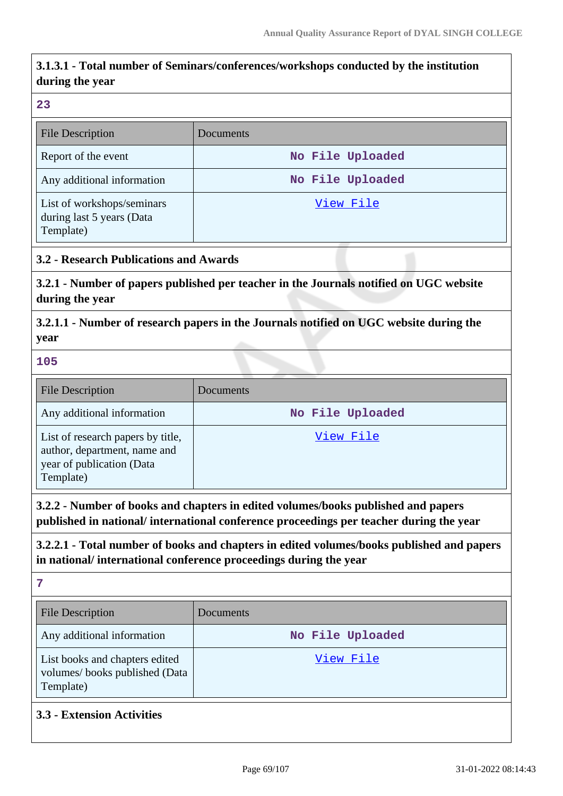## **3.1.3.1 - Total number of Seminars/conferences/workshops conducted by the institution during the year**

#### **23**

| <b>File Description</b>                                              | Documents        |
|----------------------------------------------------------------------|------------------|
| Report of the event                                                  | No File Uploaded |
| Any additional information                                           | No File Uploaded |
| List of workshops/seminars<br>during last 5 years (Data<br>Template) | View File        |

## **3.2 - Research Publications and Awards**

**3.2.1 - Number of papers published per teacher in the Journals notified on UGC website during the year**

**3.2.1.1 - Number of research papers in the Journals notified on UGC website during the year**

#### **105**

| <b>File Description</b>                                                                                     | Documents        |
|-------------------------------------------------------------------------------------------------------------|------------------|
| Any additional information                                                                                  | No File Uploaded |
| List of research papers by title,<br>author, department, name and<br>year of publication (Data<br>Template) | View File        |

**3.2.2 - Number of books and chapters in edited volumes/books published and papers published in national/ international conference proceedings per teacher during the year**

**3.2.2.1 - Total number of books and chapters in edited volumes/books published and papers in national/ international conference proceedings during the year**

**7**

| <b>File Description</b>                                                      | <b>Documents</b> |
|------------------------------------------------------------------------------|------------------|
| Any additional information                                                   | No File Uploaded |
| List books and chapters edited<br>volumes/books published (Data<br>Template) | View File        |

## **3.3 - Extension Activities**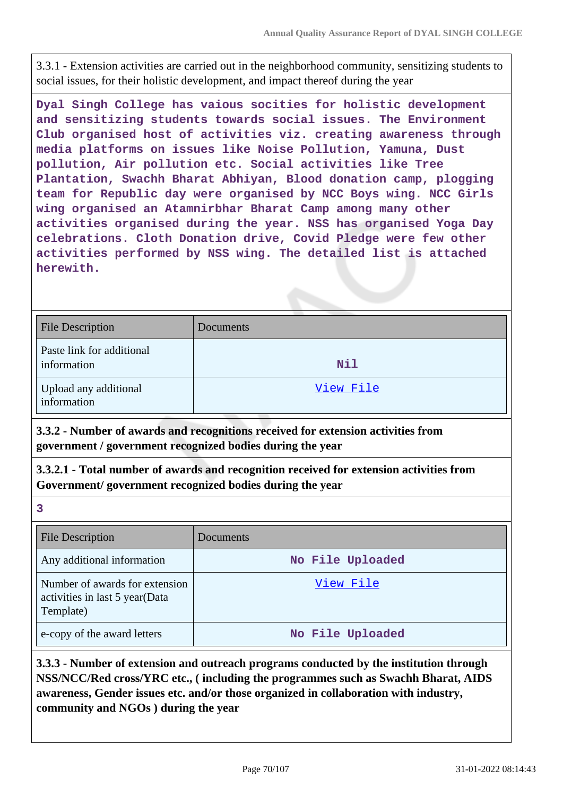3.3.1 - Extension activities are carried out in the neighborhood community, sensitizing students to social issues, for their holistic development, and impact thereof during the year

**Dyal Singh College has vaious socities for holistic development and sensitizing students towards social issues. The Environment Club organised host of activities viz. creating awareness through media platforms on issues like Noise Pollution, Yamuna, Dust pollution, Air pollution etc. Social activities like Tree Plantation, Swachh Bharat Abhiyan, Blood donation camp, plogging team for Republic day were organised by NCC Boys wing. NCC Girls wing organised an Atamnirbhar Bharat Camp among many other activities organised during the year. NSS has organised Yoga Day celebrations. Cloth Donation drive, Covid Pledge were few other activities performed by NSS wing. The detailed list is attached herewith.**

| <b>File Description</b>                  | Documents  |
|------------------------------------------|------------|
| Paste link for additional<br>information | <b>Nil</b> |
| Upload any additional<br>information     | View File  |

**3.3.2 - Number of awards and recognitions received for extension activities from government / government recognized bodies during the year**

**3.3.2.1 - Total number of awards and recognition received for extension activities from Government/ government recognized bodies during the year**

| e e<br>×                 |
|--------------------------|
| I<br>۰,<br>×<br>. .<br>w |
|                          |

| <b>File Description</b>                                                       | Documents        |
|-------------------------------------------------------------------------------|------------------|
| Any additional information                                                    | No File Uploaded |
| Number of awards for extension<br>activities in last 5 year(Data<br>Template) | View File        |
| e-copy of the award letters                                                   | No File Uploaded |

**3.3.3 - Number of extension and outreach programs conducted by the institution through NSS/NCC/Red cross/YRC etc., ( including the programmes such as Swachh Bharat, AIDS awareness, Gender issues etc. and/or those organized in collaboration with industry, community and NGOs ) during the year**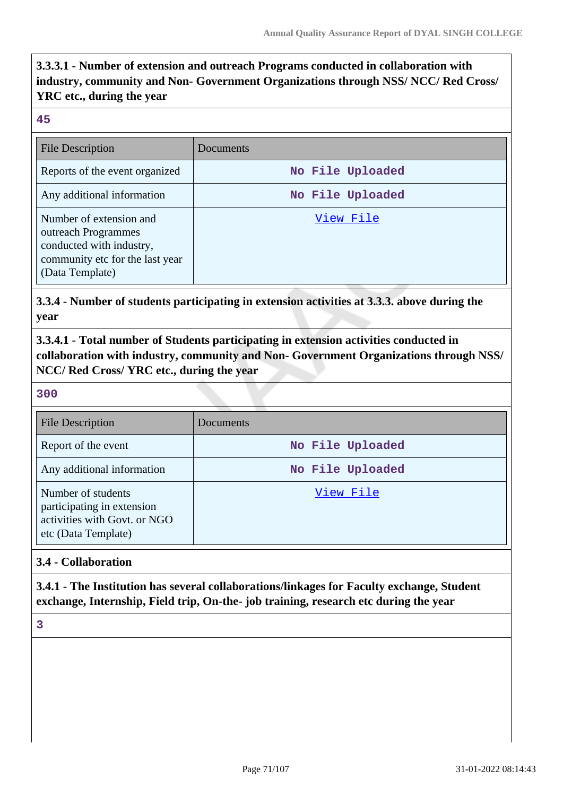**3.3.3.1 - Number of extension and outreach Programs conducted in collaboration with industry, community and Non- Government Organizations through NSS/ NCC/ Red Cross/ YRC etc., during the year**

#### **45**

| <b>File Description</b>                                                                                                          | Documents        |
|----------------------------------------------------------------------------------------------------------------------------------|------------------|
| Reports of the event organized                                                                                                   | No File Uploaded |
| Any additional information                                                                                                       | No File Uploaded |
| Number of extension and<br>outreach Programmes<br>conducted with industry,<br>community etc for the last year<br>(Data Template) | View File        |

**3.3.4 - Number of students participating in extension activities at 3.3.3. above during the year**

**3.3.4.1 - Total number of Students participating in extension activities conducted in collaboration with industry, community and Non- Government Organizations through NSS/ NCC/ Red Cross/ YRC etc., during the year**

#### **300**

| <b>File Description</b>                                                                                 | Documents        |
|---------------------------------------------------------------------------------------------------------|------------------|
| Report of the event                                                                                     | No File Uploaded |
| Any additional information                                                                              | No File Uploaded |
| Number of students<br>participating in extension<br>activities with Govt. or NGO<br>etc (Data Template) | View File        |

## **3.4 - Collaboration**

**3.4.1 - The Institution has several collaborations/linkages for Faculty exchange, Student exchange, Internship, Field trip, On-the- job training, research etc during the year**

**3**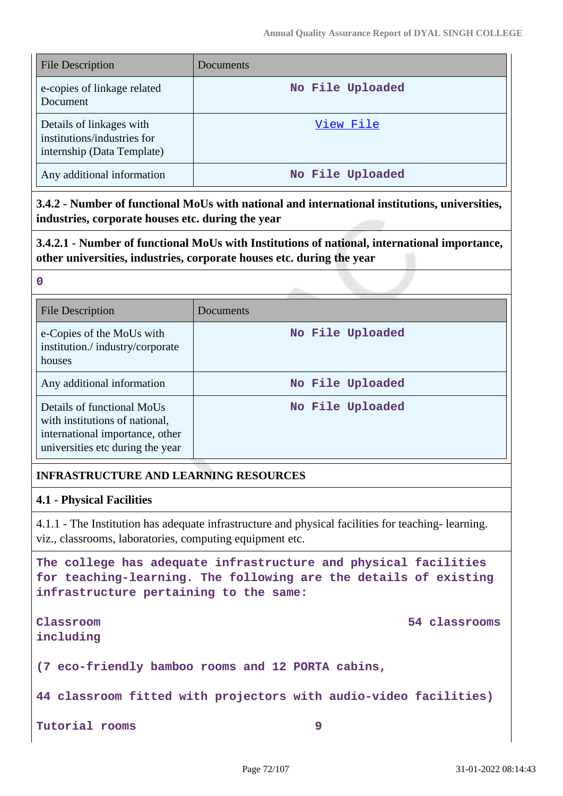| <b>File Description</b>                                                               | Documents        |
|---------------------------------------------------------------------------------------|------------------|
| e-copies of linkage related<br>Document                                               | No File Uploaded |
| Details of linkages with<br>institutions/industries for<br>internship (Data Template) | View File        |
| Any additional information                                                            | No File Uploaded |

**3.4.2 - Number of functional MoUs with national and international institutions, universities, industries, corporate houses etc. during the year**

**3.4.2.1 - Number of functional MoUs with Institutions of national, international importance, other universities, industries, corporate houses etc. during the year**

| ۰<br>×<br>×<br>٧ | I |
|------------------|---|

| <b>File Description</b>                                                                                                             | Documents        |
|-------------------------------------------------------------------------------------------------------------------------------------|------------------|
| e-Copies of the MoUs with<br>institution./industry/corporate<br>houses                                                              | No File Uploaded |
| Any additional information                                                                                                          | No File Uploaded |
| Details of functional MoUs<br>with institutions of national,<br>international importance, other<br>universities etc during the year | No File Uploaded |

## **INFRASTRUCTURE AND LEARNING RESOURCES**

## **4.1 - Physical Facilities**

4.1.1 - The Institution has adequate infrastructure and physical facilities for teaching- learning. viz., classrooms, laboratories, computing equipment etc.

**The college has adequate infrastructure and physical facilities for teaching-learning. The following are the details of existing infrastructure pertaining to the same:**

**including**

**Classroom 54 classrooms**

**(7 eco-friendly bamboo rooms and 12 PORTA cabins,**

**44 classroom fitted with projectors with audio-video facilities)**

**Tutorial rooms 9**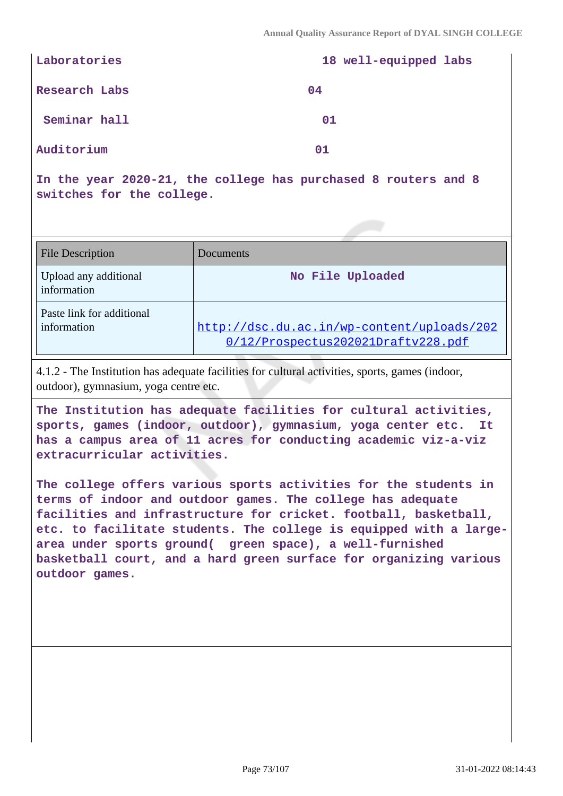| Laboratories  | 18 well-equipped labs |
|---------------|-----------------------|
| Research Labs | 04                    |
| Seminar hall  | 01                    |
| Auditorium    | 01                    |

**In the year 2020-21, the college has purchased 8 routers and 8 switches for the college.**

| <b>File Description</b>                  | Documents                                                                        |
|------------------------------------------|----------------------------------------------------------------------------------|
| Upload any additional<br>information     | No File Uploaded                                                                 |
| Paste link for additional<br>information | http://dsc.du.ac.in/wp-content/uploads/202<br>0/12/Prospectus202021Draftv228.pdf |

4.1.2 - The Institution has adequate facilities for cultural activities, sports, games (indoor, outdoor), gymnasium, yoga centre etc.

**The Institution has adequate facilities for cultural activities, sports, games (indoor, outdoor), gymnasium, yoga center etc. It has a campus area of 11 acres for conducting academic viz-a-viz extracurricular activities.**

**The college offers various sports activities for the students in terms of indoor and outdoor games. The college has adequate facilities and infrastructure for cricket. football, basketball, etc. to facilitate students. The college is equipped with a largearea under sports ground( green space), a well-furnished basketball court, and a hard green surface for organizing various outdoor games.**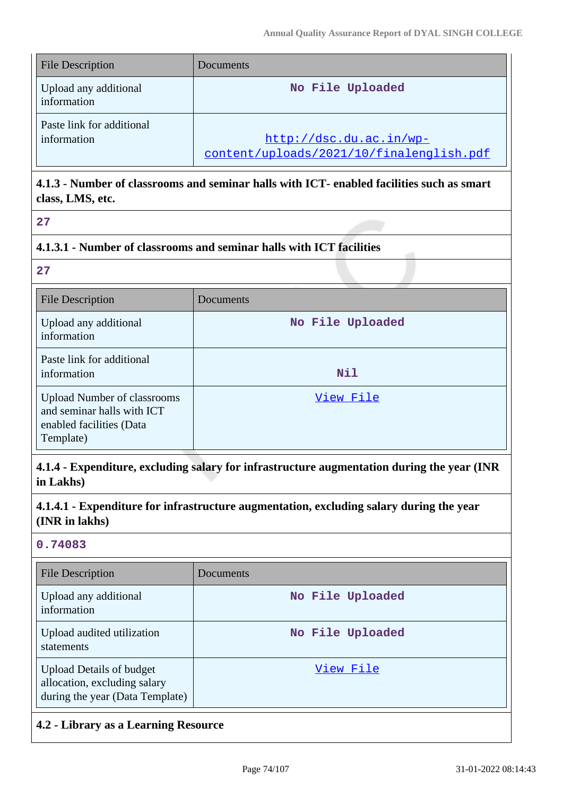| <b>File Description</b>                  | Documents                                                           |
|------------------------------------------|---------------------------------------------------------------------|
| Upload any additional<br>information     | No File Uploaded                                                    |
| Paste link for additional<br>information | http://dsc.du.ac.in/wp-<br>content/uploads/2021/10/finalenglish.pdf |

# **4.1.3 - Number of classrooms and seminar halls with ICT- enabled facilities such as smart class, LMS, etc.**

## **4.1.3.1 - Number of classrooms and seminar halls with ICT facilities**

**27**

| <b>File Description</b>                                                                                   | Documents        |
|-----------------------------------------------------------------------------------------------------------|------------------|
| Upload any additional<br>information                                                                      | No File Uploaded |
| Paste link for additional<br>information                                                                  | <b>Nil</b>       |
| <b>Upload Number of classrooms</b><br>and seminar halls with ICT<br>enabled facilities (Data<br>Template) | View File        |

**4.1.4 - Expenditure, excluding salary for infrastructure augmentation during the year (INR in Lakhs)**

**4.1.4.1 - Expenditure for infrastructure augmentation, excluding salary during the year (INR in lakhs)**

## **0.74083**

| File Description                                                                                   | Documents        |
|----------------------------------------------------------------------------------------------------|------------------|
| Upload any additional<br>information                                                               | No File Uploaded |
| Upload audited utilization<br>statements                                                           | No File Uploaded |
| <b>Upload Details of budget</b><br>allocation, excluding salary<br>during the year (Data Template) | View File        |

## **4.2 - Library as a Learning Resource**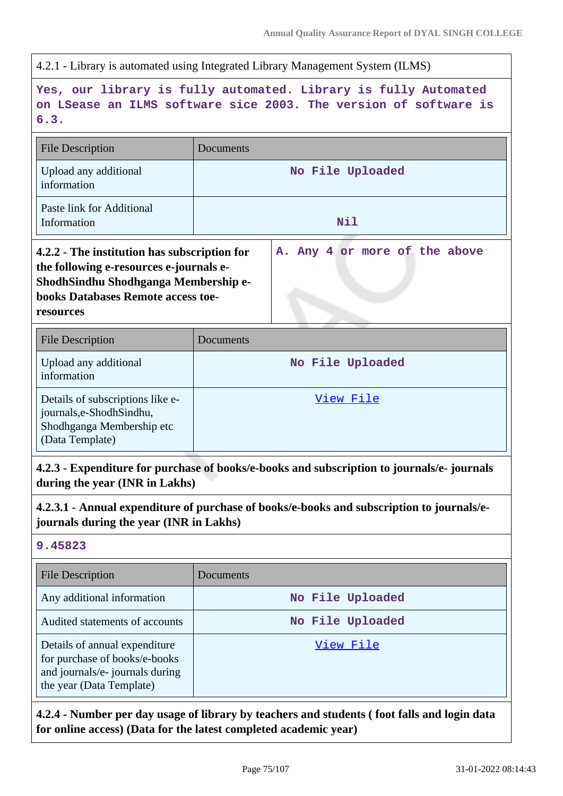4.2.1 - Library is automated using Integrated Library Management System (ILMS)

**Yes, our library is fully automated. Library is fully Automated on LSease an ILMS software sice 2003. The version of software is 6.3.**

| <b>File Description</b>                                                                                                                                                                   | Documents                     |
|-------------------------------------------------------------------------------------------------------------------------------------------------------------------------------------------|-------------------------------|
| Upload any additional<br>information                                                                                                                                                      | No File Uploaded              |
| Paste link for Additional<br>Information                                                                                                                                                  | Nil                           |
| 4.2.2 - The institution has subscription for<br>the following e-resources e-journals e-<br>ShodhSindhu Shodhganga Membership e-<br><b>books Databases Remote access toe-</b><br>resources | A. Any 4 or more of the above |
| <b>File Description</b>                                                                                                                                                                   | Documents                     |
| Upload any additional<br>information                                                                                                                                                      | No File Uploaded              |
| Details of subscriptions like e-<br>journals,e-ShodhSindhu,<br>Shodhganga Membership etc<br>(Data Template)                                                                               | View File                     |

**4.2.3 - Expenditure for purchase of books/e-books and subscription to journals/e- journals during the year (INR in Lakhs)**

**4.2.3.1 - Annual expenditure of purchase of books/e-books and subscription to journals/ejournals during the year (INR in Lakhs)**

## **9.45823**

| <b>File Description</b>                                                                                                       | Documents        |
|-------------------------------------------------------------------------------------------------------------------------------|------------------|
| Any additional information                                                                                                    | No File Uploaded |
| Audited statements of accounts                                                                                                | No File Uploaded |
| Details of annual expenditure<br>for purchase of books/e-books<br>and journals/e- journals during<br>the year (Data Template) | View File        |

**4.2.4 - Number per day usage of library by teachers and students ( foot falls and login data for online access) (Data for the latest completed academic year)**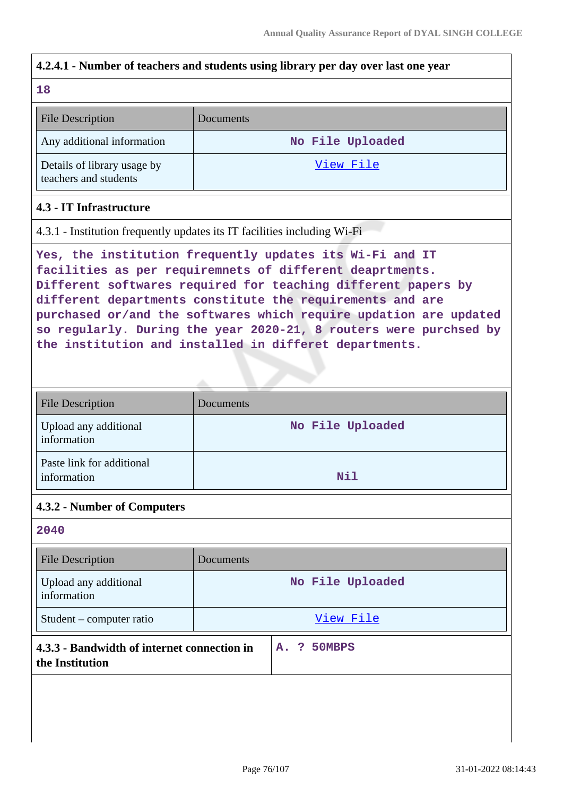# **4.2.4.1 - Number of teachers and students using library per day over last one year**

| - 1 |  |  |
|-----|--|--|

| <b>File Description</b>                              | <b>Documents</b> |
|------------------------------------------------------|------------------|
| Any additional information                           | No File Uploaded |
| Details of library usage by<br>teachers and students | View File        |

### **4.3 - IT Infrastructure**

4.3.1 - Institution frequently updates its IT facilities including Wi-Fi

**Yes, the institution frequently updates its Wi-Fi and IT facilities as per requiremnets of different deaprtments. Different softwares required for teaching different papers by different departments constitute the requirements and are purchased or/and the softwares which require updation are updated so regularly. During the year 2020-21, 8 routers were purchsed by the institution and installed in differet departments.**

| <b>File Description</b>                  | Documents        |
|------------------------------------------|------------------|
| Upload any additional<br>information     | No File Uploaded |
| Paste link for additional<br>information | <b>Nil</b>       |

#### **4.3.2 - Number of Computers**

#### **2040**

| Documents                                                  |
|------------------------------------------------------------|
| No File Uploaded                                           |
| View File                                                  |
| A. ? 50MBPS<br>4.3.3 - Bandwidth of internet connection in |
|                                                            |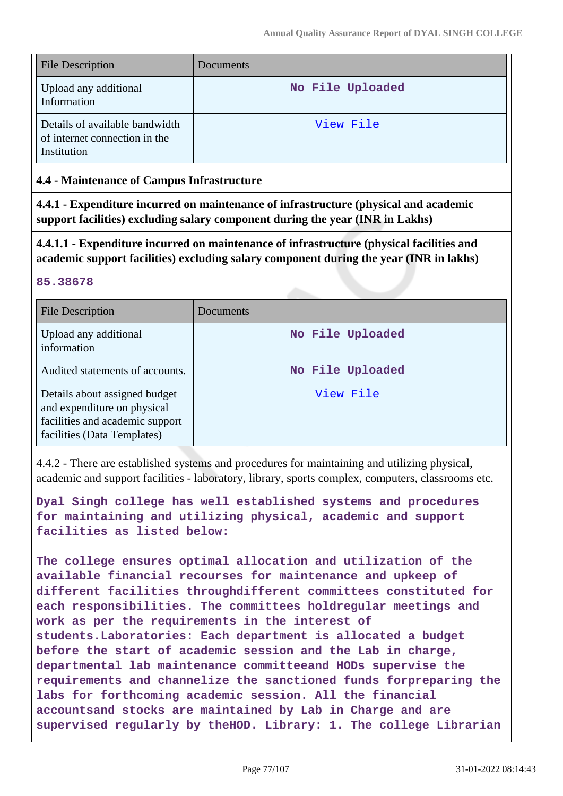| <b>File Description</b>                                                        | Documents        |
|--------------------------------------------------------------------------------|------------------|
| Upload any additional<br>Information                                           | No File Uploaded |
| Details of available bandwidth<br>of internet connection in the<br>Institution | View File        |

## **4.4 - Maintenance of Campus Infrastructure**

**4.4.1 - Expenditure incurred on maintenance of infrastructure (physical and academic support facilities) excluding salary component during the year (INR in Lakhs)**

**4.4.1.1 - Expenditure incurred on maintenance of infrastructure (physical facilities and academic support facilities) excluding salary component during the year (INR in lakhs)**

### **85.38678**

| File Description                                                                                                               | Documents        |
|--------------------------------------------------------------------------------------------------------------------------------|------------------|
| Upload any additional<br>information                                                                                           | No File Uploaded |
| Audited statements of accounts.                                                                                                | No File Uploaded |
| Details about assigned budget<br>and expenditure on physical<br>facilities and academic support<br>facilities (Data Templates) | View File        |

4.4.2 - There are established systems and procedures for maintaining and utilizing physical, academic and support facilities - laboratory, library, sports complex, computers, classrooms etc.

**Dyal Singh college has well established systems and procedures for maintaining and utilizing physical, academic and support facilities as listed below:**

**The college ensures optimal allocation and utilization of the available financial recourses for maintenance and upkeep of different facilities throughdifferent committees constituted for each responsibilities. The committees holdregular meetings and work as per the requirements in the interest of students.Laboratories: Each department is allocated a budget before the start of academic session and the Lab in charge, departmental lab maintenance committeeand HODs supervise the requirements and channelize the sanctioned funds forpreparing the labs for forthcoming academic session. All the financial accountsand stocks are maintained by Lab in Charge and are supervised regularly by theHOD. Library: 1. The college Librarian**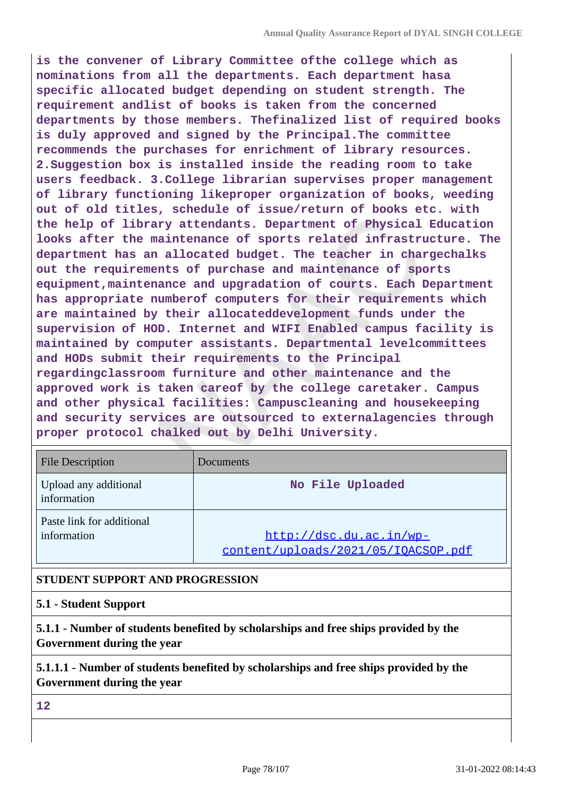**is the convener of Library Committee ofthe college which as nominations from all the departments. Each department hasa specific allocated budget depending on student strength. The requirement andlist of books is taken from the concerned departments by those members. Thefinalized list of required books is duly approved and signed by the Principal.The committee recommends the purchases for enrichment of library resources. 2.Suggestion box is installed inside the reading room to take users feedback. 3.College librarian supervises proper management of library functioning likeproper organization of books, weeding out of old titles, schedule of issue/return of books etc. with the help of library attendants. Department of Physical Education looks after the maintenance of sports related infrastructure. The department has an allocated budget. The teacher in chargechalks out the requirements of purchase and maintenance of sports equipment,maintenance and upgradation of courts. Each Department has appropriate numberof computers for their requirements which are maintained by their allocateddevelopment funds under the supervision of HOD. Internet and WIFI Enabled campus facility is maintained by computer assistants. Departmental levelcommittees and HODs submit their requirements to the Principal regardingclassroom furniture and other maintenance and the approved work is taken careof by the college caretaker. Campus and other physical facilities: Campuscleaning and housekeeping and security services are outsourced to externalagencies through proper protocol chalked out by Delhi University.**

| <b>File Description</b>                  | Documents                                                      |
|------------------------------------------|----------------------------------------------------------------|
| Upload any additional<br>information     | No File Uploaded                                               |
| Paste link for additional<br>information | http://dsc.du.ac.in/wp-<br>content/uploads/2021/05/IOACSOP.pdf |

## **STUDENT SUPPORT AND PROGRESSION**

### **5.1 - Student Support**

**5.1.1 - Number of students benefited by scholarships and free ships provided by the Government during the year**

**5.1.1.1 - Number of students benefited by scholarships and free ships provided by the Government during the year**

**12**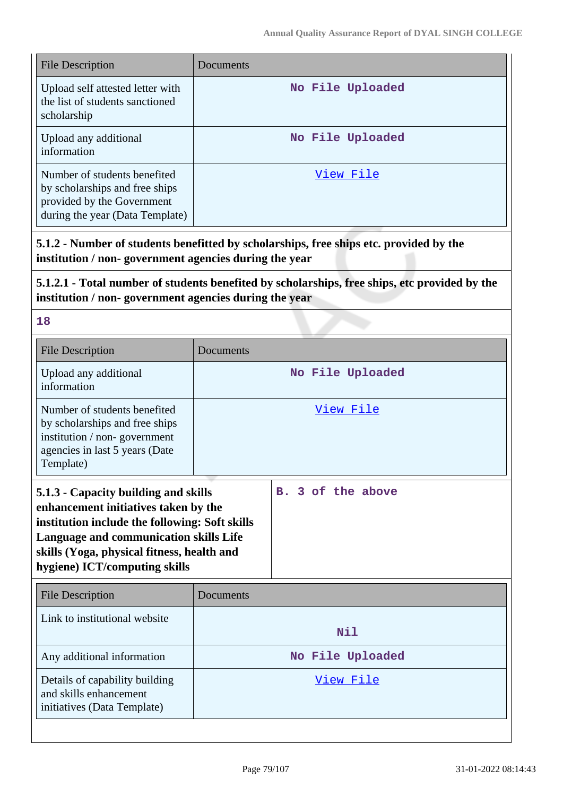| <b>File Description</b>                                                                                                         | Documents        |
|---------------------------------------------------------------------------------------------------------------------------------|------------------|
| Upload self attested letter with<br>the list of students sanctioned<br>scholarship                                              | No File Uploaded |
| Upload any additional<br>information                                                                                            | No File Uploaded |
| Number of students benefited<br>by scholarships and free ships<br>provided by the Government<br>during the year (Data Template) | View File        |

**5.1.2 - Number of students benefitted by scholarships, free ships etc. provided by the institution / non- government agencies during the year**

**5.1.2.1 - Total number of students benefited by scholarships, free ships, etc provided by the institution / non- government agencies during the year**

**18**

| <b>File Description</b>                                                                                                                                                                                                                                 | Documents        |                   |
|---------------------------------------------------------------------------------------------------------------------------------------------------------------------------------------------------------------------------------------------------------|------------------|-------------------|
| Upload any additional<br>information                                                                                                                                                                                                                    | No File Uploaded |                   |
| Number of students benefited<br>by scholarships and free ships<br>institution / non-government<br>agencies in last 5 years (Date<br>Template)                                                                                                           |                  | View File         |
| 5.1.3 - Capacity building and skills<br>enhancement initiatives taken by the<br>institution include the following: Soft skills<br>Language and communication skills Life<br>skills (Yoga, physical fitness, health and<br>hygiene) ICT/computing skills |                  | B. 3 of the above |
| <b>File Description</b>                                                                                                                                                                                                                                 | Documents        |                   |
| Link to institutional website                                                                                                                                                                                                                           |                  | <b>Nil</b>        |
| Any additional information                                                                                                                                                                                                                              | No File Uploaded |                   |
| Details of capability building<br>and skills enhancement<br>initiatives (Data Template)                                                                                                                                                                 |                  | View File         |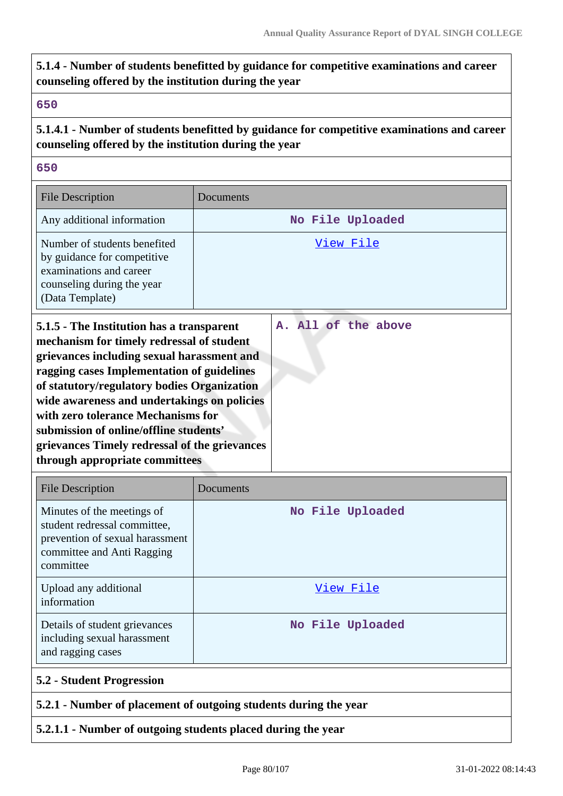# **5.1.4 - Number of students benefitted by guidance for competitive examinations and career counseling offered by the institution during the year**

#### **650**

# **5.1.4.1 - Number of students benefitted by guidance for competitive examinations and career counseling offered by the institution during the year**

### **650**

| <b>File Description</b>                                                                                                                                                                                                                                                                                                                                                                                                                             | Documents           |
|-----------------------------------------------------------------------------------------------------------------------------------------------------------------------------------------------------------------------------------------------------------------------------------------------------------------------------------------------------------------------------------------------------------------------------------------------------|---------------------|
| Any additional information                                                                                                                                                                                                                                                                                                                                                                                                                          | No File Uploaded    |
| Number of students benefited<br>by guidance for competitive<br>examinations and career<br>counseling during the year<br>(Data Template)                                                                                                                                                                                                                                                                                                             | View File           |
| 5.1.5 - The Institution has a transparent<br>mechanism for timely redressal of student<br>grievances including sexual harassment and<br>ragging cases Implementation of guidelines<br>of statutory/regulatory bodies Organization<br>wide awareness and undertakings on policies<br>with zero tolerance Mechanisms for<br>submission of online/offline students'<br>grievances Timely redressal of the grievances<br>through appropriate committees | A. All of the above |

| <b>File Description</b>                                                                                                                  | Documents        |
|------------------------------------------------------------------------------------------------------------------------------------------|------------------|
| Minutes of the meetings of<br>student redressal committee,<br>prevention of sexual harassment<br>committee and Anti Ragging<br>committee | No File Uploaded |
| Upload any additional<br>information                                                                                                     | View File        |
| Details of student grievances<br>including sexual harassment<br>and ragging cases                                                        | No File Uploaded |
| <b>5.2 - Student Progression</b>                                                                                                         |                  |
| 5.2.1 - Number of placement of outgoing students during the year                                                                         |                  |

## **5.2.1.1 - Number of outgoing students placed during the year**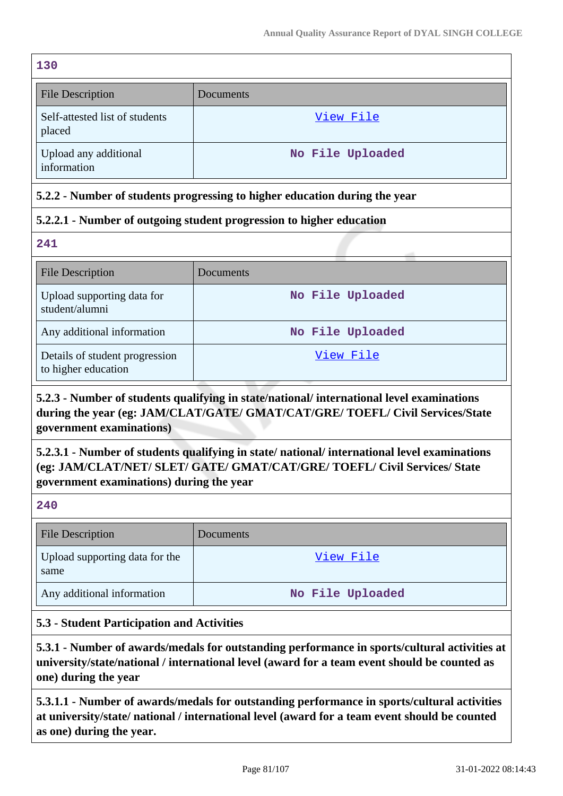| 130                                                                        |                  |  |
|----------------------------------------------------------------------------|------------------|--|
| <b>File Description</b>                                                    | Documents        |  |
| Self-attested list of students<br>placed                                   | <u>View File</u> |  |
| Upload any additional<br>information                                       | No File Uploaded |  |
| 5.2.2 - Number of students progressing to higher education during the year |                  |  |
| 5.2.2.1 - Number of outgoing student progression to higher education       |                  |  |
| 241                                                                        |                  |  |
| <b>File Description</b>                                                    | Documents        |  |
| Upload supporting data for<br>student/alumni                               | No File Uploaded |  |
| Any additional information                                                 | No File Uploaded |  |
| Details of student progression<br>to higher education                      | View File        |  |

# **5.2.3 - Number of students qualifying in state/national/ international level examinations during the year (eg: JAM/CLAT/GATE/ GMAT/CAT/GRE/ TOEFL/ Civil Services/State government examinations)**

**5.2.3.1 - Number of students qualifying in state/ national/ international level examinations (eg: JAM/CLAT/NET/ SLET/ GATE/ GMAT/CAT/GRE/ TOEFL/ Civil Services/ State government examinations) during the year**

### **240**

| <b>File Description</b>                | <b>Documents</b> |
|----------------------------------------|------------------|
| Upload supporting data for the<br>same | View File        |
| Any additional information             | No File Uploaded |

## **5.3 - Student Participation and Activities**

**5.3.1 - Number of awards/medals for outstanding performance in sports/cultural activities at university/state/national / international level (award for a team event should be counted as one) during the year**

**5.3.1.1 - Number of awards/medals for outstanding performance in sports/cultural activities at university/state/ national / international level (award for a team event should be counted as one) during the year.**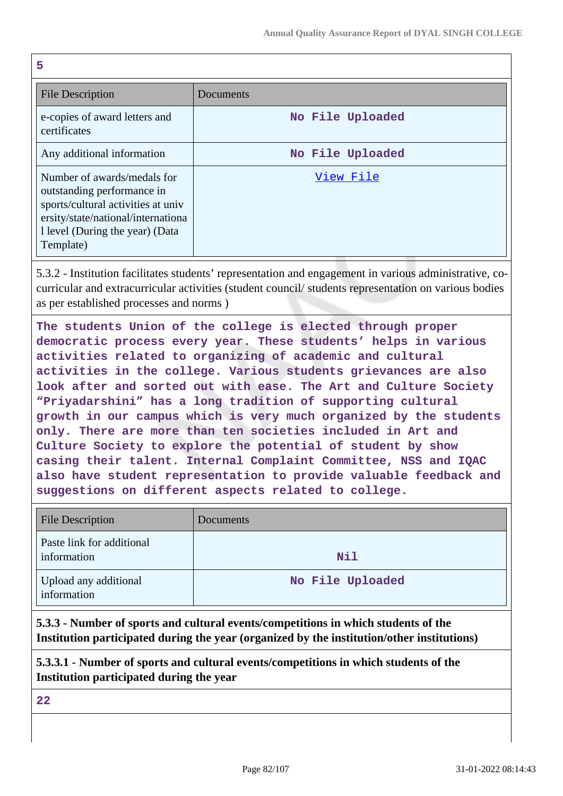| 5                                                                                                                                                                                      |                  |
|----------------------------------------------------------------------------------------------------------------------------------------------------------------------------------------|------------------|
| <b>File Description</b>                                                                                                                                                                | Documents        |
| e-copies of award letters and<br>certificates                                                                                                                                          | No File Uploaded |
| Any additional information                                                                                                                                                             | No File Uploaded |
| Number of awards/medals for<br>outstanding performance in<br>sports/cultural activities at univ<br>ersity/state/national/international<br>1 level (During the year) (Data<br>Template) | View File        |

5.3.2 - Institution facilitates students' representation and engagement in various administrative, cocurricular and extracurricular activities (student council/ students representation on various bodies as per established processes and norms )

**The students Union of the college is elected through proper democratic process every year. These students' helps in various activities related to organizing of academic and cultural activities in the college. Various students grievances are also look after and sorted out with ease. The Art and Culture Society "Priyadarshini" has a long tradition of supporting cultural growth in our campus which is very much organized by the students only. There are more than ten societies included in Art and Culture Society to explore the potential of student by show casing their talent. Internal Complaint Committee, NSS and IQAC also have student representation to provide valuable feedback and suggestions on different aspects related to college.**

| <b>File Description</b>                  | Documents        |
|------------------------------------------|------------------|
| Paste link for additional<br>information | Nil              |
| Upload any additional<br>information     | No File Uploaded |

**5.3.3 - Number of sports and cultural events/competitions in which students of the Institution participated during the year (organized by the institution/other institutions)**

**5.3.3.1 - Number of sports and cultural events/competitions in which students of the Institution participated during the year**

**22**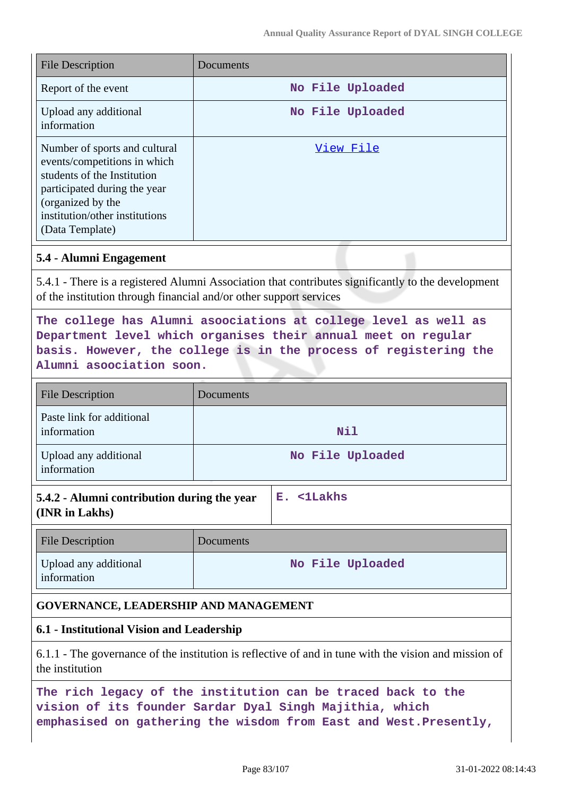| <b>File Description</b>                                                                                                                                                                                | Documents        |
|--------------------------------------------------------------------------------------------------------------------------------------------------------------------------------------------------------|------------------|
| Report of the event                                                                                                                                                                                    | No File Uploaded |
| Upload any additional<br>information                                                                                                                                                                   | No File Uploaded |
| Number of sports and cultural<br>events/competitions in which<br>students of the Institution<br>participated during the year<br>(organized by the<br>institution/other institutions<br>(Data Template) | View File        |

#### **5.4 - Alumni Engagement**

5.4.1 - There is a registered Alumni Association that contributes significantly to the development of the institution through financial and/or other support services

# **The college has Alumni asoociations at college level as well as Department level which organises their annual meet on regular basis. However, the college is in the process of registering the Alumni asoociation soon.**

| <b>File Description</b>                  | Documents        |
|------------------------------------------|------------------|
| Paste link for additional<br>information | Nil              |
| Upload any additional<br>information     | No File Uploaded |

| 5.4.2 - Alumni contribution during the year | $\mathbb{E}$ . <1Lakhs |
|---------------------------------------------|------------------------|
| (INR in Lakhs)                              |                        |

| <b>File Description</b>              | <b>Documents</b> |
|--------------------------------------|------------------|
| Upload any additional<br>information | No File Uploaded |

#### **GOVERNANCE, LEADERSHIP AND MANAGEMENT**

### **6.1 - Institutional Vision and Leadership**

6.1.1 - The governance of the institution is reflective of and in tune with the vision and mission of the institution

**The rich legacy of the institution can be traced back to the vision of its founder Sardar Dyal Singh Majithia, which emphasised on gathering the wisdom from East and West.Presently,**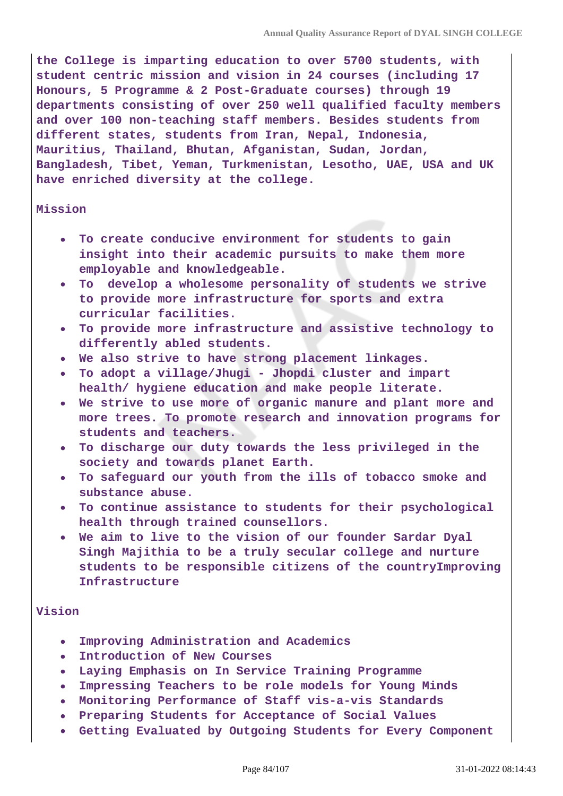**the College is imparting education to over 5700 students, with student centric mission and vision in 24 courses (including 17 Honours, 5 Programme & 2 Post-Graduate courses) through 19 departments consisting of over 250 well qualified faculty members and over 100 non-teaching staff members. Besides students from different states, students from Iran, Nepal, Indonesia, Mauritius, Thailand, Bhutan, Afganistan, Sudan, Jordan, Bangladesh, Tibet, Yeman, Turkmenistan, Lesotho, UAE, USA and UK have enriched diversity at the college.**

#### **Mission**

- **To create conducive environment for students to gain insight into their academic pursuits to make them more employable and knowledgeable.**
- **To develop a wholesome personality of students we strive to provide more infrastructure for sports and extra curricular facilities.**
- **To provide more infrastructure and assistive technology to differently abled students.**
- **We also strive to have strong placement linkages.**
- **To adopt a village/Jhugi Jhopdi cluster and impart health/ hygiene education and make people literate.**
- **We strive to use more of organic manure and plant more and more trees. To promote research and innovation programs for students and teachers.**
- **To discharge our duty towards the less privileged in the society and towards planet Earth.**
- **To safeguard our youth from the ills of tobacco smoke and substance abuse.**
- **To continue assistance to students for their psychological health through trained counsellors.**
- **We aim to live to the vision of our founder Sardar Dyal Singh Majithia to be a truly secular college and nurture students to be responsible citizens of the countryImproving Infrastructure**

#### **Vision**

- **Improving Administration and Academics**
- **Introduction of New Courses**
- **Laying Emphasis on In Service Training Programme**
- **Impressing Teachers to be role models for Young Minds**
- **Monitoring Performance of Staff vis-a-vis Standards**
- **Preparing Students for Acceptance of Social Values**
- **Getting Evaluated by Outgoing Students for Every Component**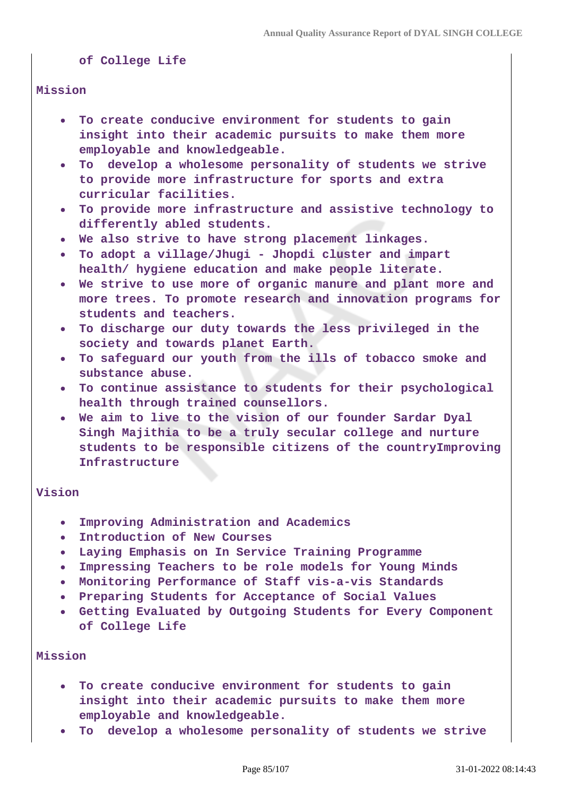**of College Life** 

#### **Mission**

- **To create conducive environment for students to gain insight into their academic pursuits to make them more employable and knowledgeable.**
- **To develop a wholesome personality of students we strive to provide more infrastructure for sports and extra curricular facilities.**
- **To provide more infrastructure and assistive technology to differently abled students.**
- **We also strive to have strong placement linkages.**
- **To adopt a village/Jhugi Jhopdi cluster and impart health/ hygiene education and make people literate.**
- **We strive to use more of organic manure and plant more and more trees. To promote research and innovation programs for students and teachers.**
- **To discharge our duty towards the less privileged in the society and towards planet Earth.**
- **To safeguard our youth from the ills of tobacco smoke and substance abuse.**
- **To continue assistance to students for their psychological health through trained counsellors.**
- **We aim to live to the vision of our founder Sardar Dyal Singh Majithia to be a truly secular college and nurture students to be responsible citizens of the countryImproving Infrastructure**

#### **Vision**

- **Improving Administration and Academics**
- **Introduction of New Courses**
- **Laying Emphasis on In Service Training Programme**
- **Impressing Teachers to be role models for Young Minds**
- **Monitoring Performance of Staff vis-a-vis Standards**
- **Preparing Students for Acceptance of Social Values**
- **Getting Evaluated by Outgoing Students for Every Component of College Life**

### **Mission**

- **To create conducive environment for students to gain insight into their academic pursuits to make them more employable and knowledgeable.**
- **To develop a wholesome personality of students we strive**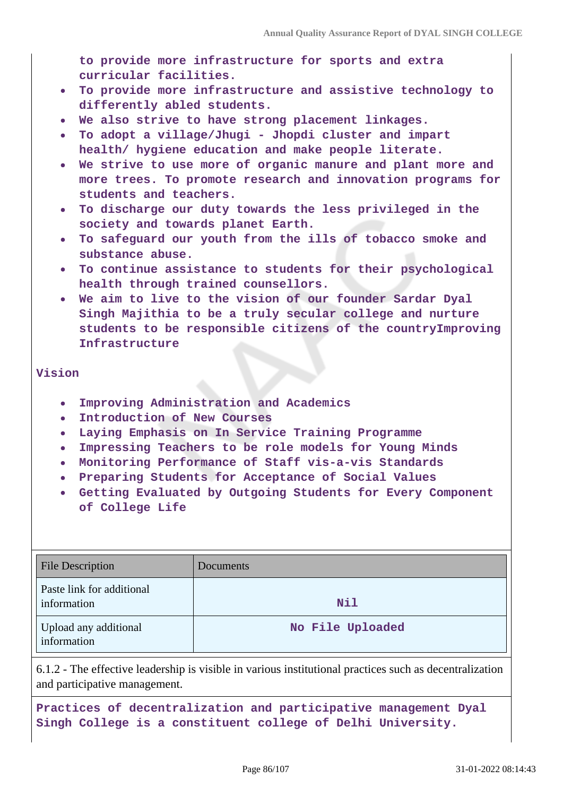**to provide more infrastructure for sports and extra curricular facilities.** 

- **To provide more infrastructure and assistive technology to differently abled students.**
- **We also strive to have strong placement linkages.**
- **To adopt a village/Jhugi Jhopdi cluster and impart health/ hygiene education and make people literate.**
- **We strive to use more of organic manure and plant more and more trees. To promote research and innovation programs for students and teachers.**
- **To discharge our duty towards the less privileged in the society and towards planet Earth.**
- **To safeguard our youth from the ills of tobacco smoke and substance abuse.**
- **To continue assistance to students for their psychological health through trained counsellors.**
- **We aim to live to the vision of our founder Sardar Dyal Singh Majithia to be a truly secular college and nurture students to be responsible citizens of the countryImproving Infrastructure**

#### **Vision**

- **Improving Administration and Academics**
- **Introduction of New Courses**
- **Laying Emphasis on In Service Training Programme**
- **Impressing Teachers to be role models for Young Minds**
- **Monitoring Performance of Staff vis-a-vis Standards**
- **Preparing Students for Acceptance of Social Values**
- **Getting Evaluated by Outgoing Students for Every Component of College Life**

| <b>File Description</b>                  | Documents        |
|------------------------------------------|------------------|
| Paste link for additional<br>information | Nil              |
| Upload any additional<br>information     | No File Uploaded |

6.1.2 - The effective leadership is visible in various institutional practices such as decentralization and participative management.

**Practices of decentralization and participative management Dyal Singh College is a constituent college of Delhi University.**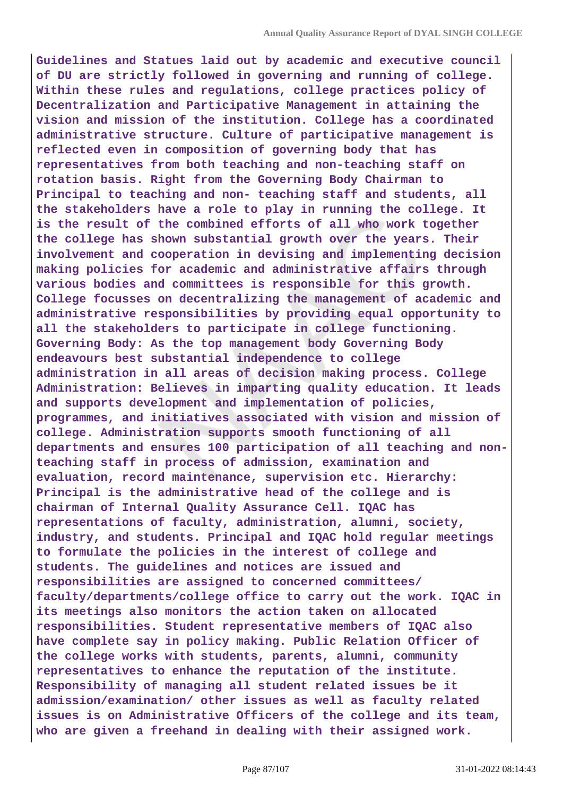**Guidelines and Statues laid out by academic and executive council of DU are strictly followed in governing and running of college. Within these rules and regulations, college practices policy of Decentralization and Participative Management in attaining the vision and mission of the institution. College has a coordinated administrative structure. Culture of participative management is reflected even in composition of governing body that has representatives from both teaching and non-teaching staff on rotation basis. Right from the Governing Body Chairman to Principal to teaching and non- teaching staff and students, all the stakeholders have a role to play in running the college. It is the result of the combined efforts of all who work together the college has shown substantial growth over the years. Their involvement and cooperation in devising and implementing decision making policies for academic and administrative affairs through various bodies and committees is responsible for this growth. College focusses on decentralizing the management of academic and administrative responsibilities by providing equal opportunity to all the stakeholders to participate in college functioning. Governing Body: As the top management body Governing Body endeavours best substantial independence to college administration in all areas of decision making process. College Administration: Believes in imparting quality education. It leads and supports development and implementation of policies, programmes, and initiatives associated with vision and mission of college. Administration supports smooth functioning of all departments and ensures 100 participation of all teaching and nonteaching staff in process of admission, examination and evaluation, record maintenance, supervision etc. Hierarchy: Principal is the administrative head of the college and is chairman of Internal Quality Assurance Cell. IQAC has representations of faculty, administration, alumni, society, industry, and students. Principal and IQAC hold regular meetings to formulate the policies in the interest of college and students. The guidelines and notices are issued and responsibilities are assigned to concerned committees/ faculty/departments/college office to carry out the work. IQAC in its meetings also monitors the action taken on allocated responsibilities. Student representative members of IQAC also have complete say in policy making. Public Relation Officer of the college works with students, parents, alumni, community representatives to enhance the reputation of the institute. Responsibility of managing all student related issues be it admission/examination/ other issues as well as faculty related issues is on Administrative Officers of the college and its team, who are given a freehand in dealing with their assigned work.**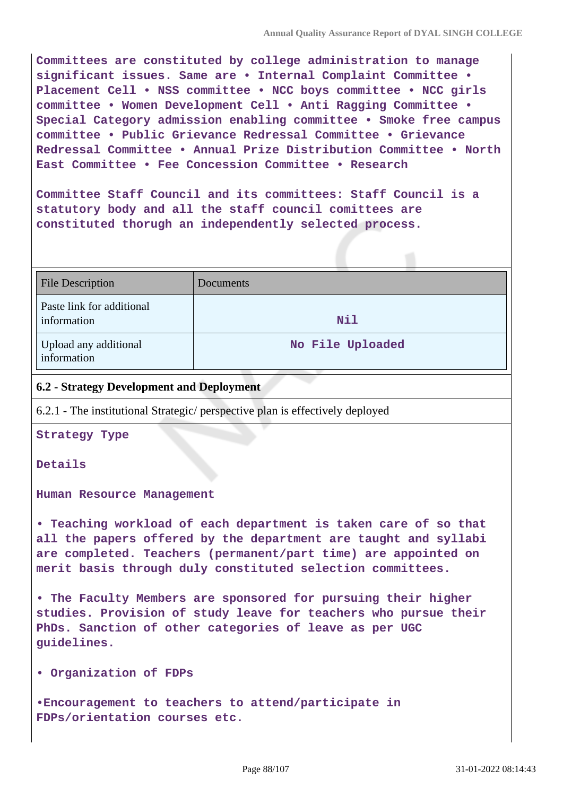**Committees are constituted by college administration to manage significant issues. Same are • Internal Complaint Committee • Placement Cell • NSS committee • NCC boys committee • NCC girls committee • Women Development Cell • Anti Ragging Committee • Special Category admission enabling committee • Smoke free campus committee • Public Grievance Redressal Committee • Grievance Redressal Committee • Annual Prize Distribution Committee • North East Committee • Fee Concession Committee • Research**

**Committee Staff Council and its committees: Staff Council is a statutory body and all the staff council comittees are constituted thorugh an independently selected process.**

| <b>File Description</b>                  | Documents        |
|------------------------------------------|------------------|
| Paste link for additional<br>information | <b>Nil</b>       |
| Upload any additional<br>information     | No File Uploaded |

### **6.2 - Strategy Development and Deployment**

6.2.1 - The institutional Strategic/ perspective plan is effectively deployed

**Strategy Type**

**Details**

**Human Resource Management**

**• Teaching workload of each department is taken care of so that all the papers offered by the department are taught and syllabi are completed. Teachers (permanent/part time) are appointed on merit basis through duly constituted selection committees.**

**• The Faculty Members are sponsored for pursuing their higher studies. Provision of study leave for teachers who pursue their PhDs. Sanction of other categories of leave as per UGC guidelines.**

**• Organization of FDPs**

**•Encouragement to teachers to attend/participate in FDPs/orientation courses etc.**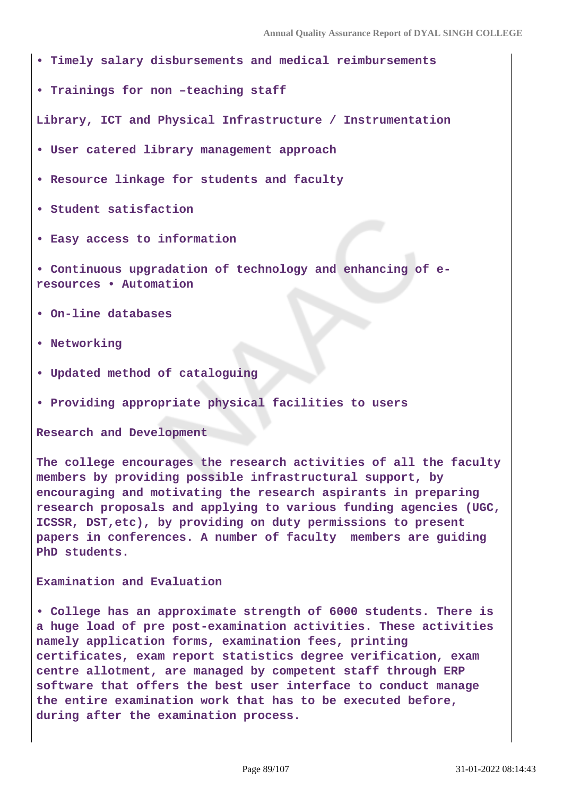- **Timely salary disbursements and medical reimbursements**
- **Trainings for non –teaching staff**

**Library, ICT and Physical Infrastructure / Instrumentation**

- **User catered library management approach**
- **Resource linkage for students and faculty**
- **Student satisfaction**
- **Easy access to information**
- **Continuous upgradation of technology and enhancing of eresources • Automation**
- **On-line databases**
- **Networking**
- **Updated method of cataloguing**
- **Providing appropriate physical facilities to users**

**Research and Development**

**The college encourages the research activities of all the faculty members by providing possible infrastructural support, by encouraging and motivating the research aspirants in preparing research proposals and applying to various funding agencies (UGC, ICSSR, DST,etc), by providing on duty permissions to present papers in conferences. A number of faculty members are guiding PhD students.**

**Examination and Evaluation**

**• College has an approximate strength of 6000 students. There is a huge load of pre post-examination activities. These activities namely application forms, examination fees, printing certificates, exam report statistics degree verification, exam centre allotment, are managed by competent staff through ERP software that offers the best user interface to conduct manage the entire examination work that has to be executed before, during after the examination process.**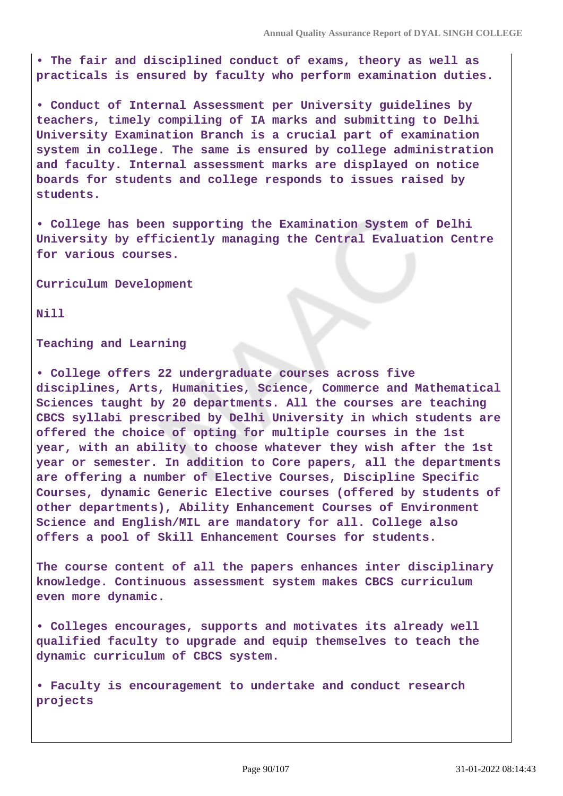**• The fair and disciplined conduct of exams, theory as well as practicals is ensured by faculty who perform examination duties.**

**• Conduct of Internal Assessment per University guidelines by teachers, timely compiling of IA marks and submitting to Delhi University Examination Branch is a crucial part of examination system in college. The same is ensured by college administration and faculty. Internal assessment marks are displayed on notice boards for students and college responds to issues raised by students.**

**• College has been supporting the Examination System of Delhi University by efficiently managing the Central Evaluation Centre for various courses.**

**Curriculum Development**

**Nill**

**Teaching and Learning**

**• College offers 22 undergraduate courses across five disciplines, Arts, Humanities, Science, Commerce and Mathematical Sciences taught by 20 departments. All the courses are teaching CBCS syllabi prescribed by Delhi University in which students are offered the choice of opting for multiple courses in the 1st year, with an ability to choose whatever they wish after the 1st year or semester. In addition to Core papers, all the departments are offering a number of Elective Courses, Discipline Specific Courses, dynamic Generic Elective courses (offered by students of other departments), Ability Enhancement Courses of Environment Science and English/MIL are mandatory for all. College also offers a pool of Skill Enhancement Courses for students.**

**The course content of all the papers enhances inter disciplinary knowledge. Continuous assessment system makes CBCS curriculum even more dynamic.**

**• Colleges encourages, supports and motivates its already well qualified faculty to upgrade and equip themselves to teach the dynamic curriculum of CBCS system.**

**• Faculty is encouragement to undertake and conduct research projects**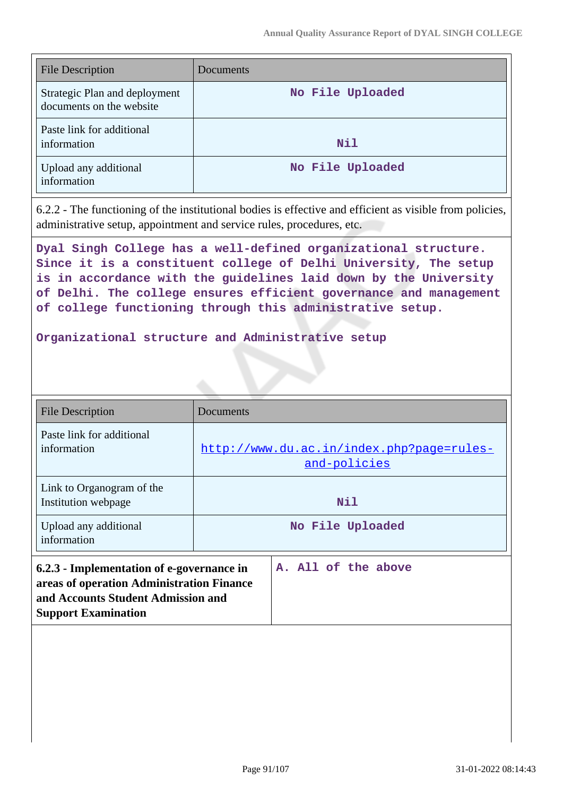| <b>File Description</b>                                   | Documents        |
|-----------------------------------------------------------|------------------|
| Strategic Plan and deployment<br>documents on the website | No File Uploaded |
| Paste link for additional<br>information                  | <b>Nil</b>       |
| Upload any additional<br>information                      | No File Uploaded |

6.2.2 - The functioning of the institutional bodies is effective and efficient as visible from policies, administrative setup, appointment and service rules, procedures, etc.

**Dyal Singh College has a well-defined organizational structure. Since it is a constituent college of Delhi University, The setup is in accordance with the guidelines laid down by the University of Delhi. The college ensures efficient governance and management of college functioning through this administrative setup.**

#### **Organizational structure and Administrative setup**

| <b>File Description</b>                                                                                                                                    | Documents                                                 |
|------------------------------------------------------------------------------------------------------------------------------------------------------------|-----------------------------------------------------------|
| Paste link for additional<br>information                                                                                                                   | http://www.du.ac.in/index.php?page=rules-<br>and-policies |
| Link to Organogram of the<br>Institution webpage                                                                                                           | Nil                                                       |
| Upload any additional<br>information                                                                                                                       | No File Uploaded                                          |
| 6.2.3 - Implementation of e-governance in<br>areas of operation Administration Finance<br>and Accounts Student Admission and<br><b>Support Examination</b> | A. All of the above                                       |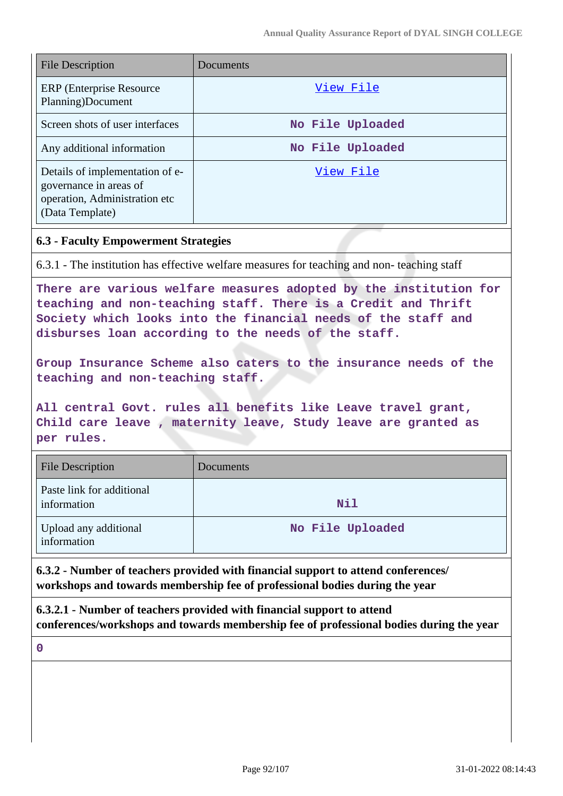| <b>File Description</b>                                                                                       | Documents        |
|---------------------------------------------------------------------------------------------------------------|------------------|
| <b>ERP</b> (Enterprise Resource)<br>Planning)Document                                                         | View File        |
| Screen shots of user interfaces                                                                               | No File Uploaded |
| Any additional information                                                                                    | No File Uploaded |
| Details of implementation of e-<br>governance in areas of<br>operation, Administration etc<br>(Data Template) | View File        |

### **6.3 - Faculty Empowerment Strategies**

6.3.1 - The institution has effective welfare measures for teaching and non- teaching staff

**There are various welfare measures adopted by the institution for teaching and non-teaching staff. There is a Credit and Thrift Society which looks into the financial needs of the staff and disburses loan according to the needs of the staff.**

**Group Insurance Scheme also caters to the insurance needs of the teaching and non-teaching staff.** 

**All central Govt. rules all benefits like Leave travel grant, Child care leave , maternity leave, Study leave are granted as per rules.**

| <b>File Description</b>                  | Documents        |
|------------------------------------------|------------------|
| Paste link for additional<br>information | <b>Nil</b>       |
| Upload any additional<br>information     | No File Uploaded |

**6.3.2 - Number of teachers provided with financial support to attend conferences/ workshops and towards membership fee of professional bodies during the year**

**6.3.2.1 - Number of teachers provided with financial support to attend conferences/workshops and towards membership fee of professional bodies during the year**

**0**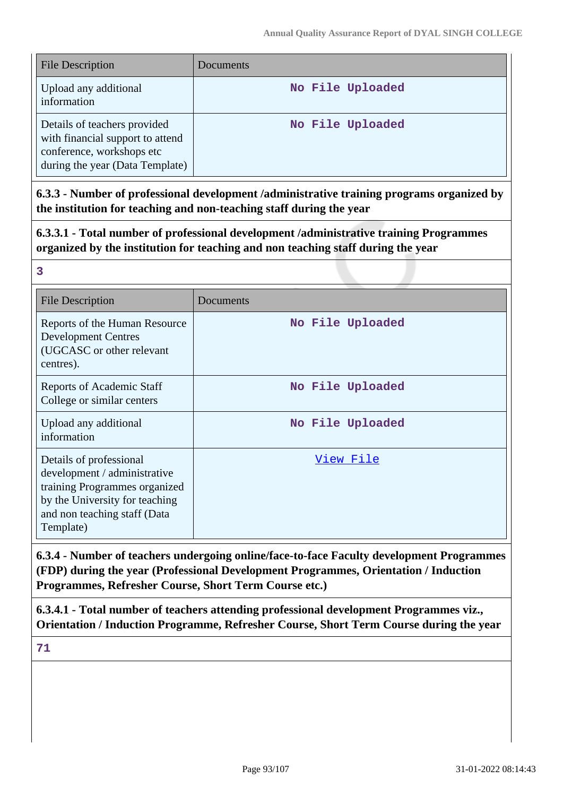| <b>File Description</b>                                                                                                          | Documents        |
|----------------------------------------------------------------------------------------------------------------------------------|------------------|
| Upload any additional<br>information                                                                                             | No File Uploaded |
| Details of teachers provided<br>with financial support to attend<br>conference, workshops etc<br>during the year (Data Template) | No File Uploaded |

**6.3.3 - Number of professional development /administrative training programs organized by the institution for teaching and non-teaching staff during the year**

**6.3.3.1 - Total number of professional development /administrative training Programmes organized by the institution for teaching and non teaching staff during the year**

| <b>File Description</b>                                                                                                                                                 | Documents        |
|-------------------------------------------------------------------------------------------------------------------------------------------------------------------------|------------------|
| Reports of the Human Resource<br><b>Development Centres</b><br>(UGCASC or other relevant<br>centres).                                                                   | No File Uploaded |
| Reports of Academic Staff<br>College or similar centers                                                                                                                 | No File Uploaded |
| Upload any additional<br>information                                                                                                                                    | No File Uploaded |
| Details of professional<br>development / administrative<br>training Programmes organized<br>by the University for teaching<br>and non teaching staff (Data<br>Template) | View File        |

**6.3.4 - Number of teachers undergoing online/face-to-face Faculty development Programmes (FDP) during the year (Professional Development Programmes, Orientation / Induction Programmes, Refresher Course, Short Term Course etc.)**

**6.3.4.1 - Total number of teachers attending professional development Programmes viz., Orientation / Induction Programme, Refresher Course, Short Term Course during the year**

**71**

**3**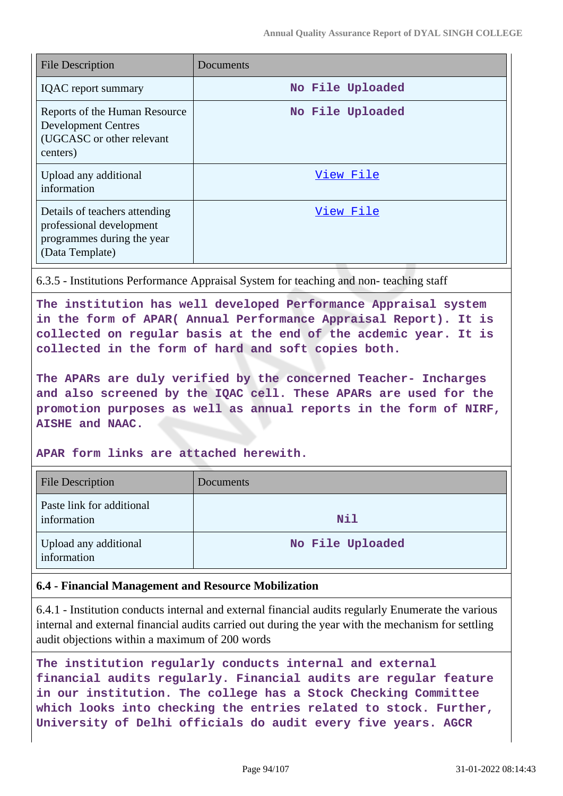| <b>File Description</b>                                                                                    | Documents        |
|------------------------------------------------------------------------------------------------------------|------------------|
| <b>IQAC</b> report summary                                                                                 | No File Uploaded |
| Reports of the Human Resource<br><b>Development Centres</b><br>(UGCASC or other relevant<br>centers)       | No File Uploaded |
| Upload any additional<br>information                                                                       | View File        |
| Details of teachers attending<br>professional development<br>programmes during the year<br>(Data Template) | View File        |

6.3.5 - Institutions Performance Appraisal System for teaching and non- teaching staff

**The institution has well developed Performance Appraisal system in the form of APAR( Annual Performance Appraisal Report). It is collected on regular basis at the end of the acdemic year. It is collected in the form of hard and soft copies both.**

**The APARs are duly verified by the concerned Teacher- Incharges and also screened by the IQAC cell. These APARs are used for the promotion purposes as well as annual reports in the form of NIRF, AISHE and NAAC.**

**APAR form links are attached herewith.**

| <b>File Description</b>                  | Documents        |
|------------------------------------------|------------------|
| Paste link for additional<br>information | Nil              |
| Upload any additional<br>information     | No File Uploaded |

#### **6.4 - Financial Management and Resource Mobilization**

6.4.1 - Institution conducts internal and external financial audits regularly Enumerate the various internal and external financial audits carried out during the year with the mechanism for settling audit objections within a maximum of 200 words

```
The institution regularly conducts internal and external
financial audits regularly. Financial audits are regular feature
in our institution. The college has a Stock Checking Committee
which looks into checking the entries related to stock. Further,
University of Delhi officials do audit every five years. AGCR
```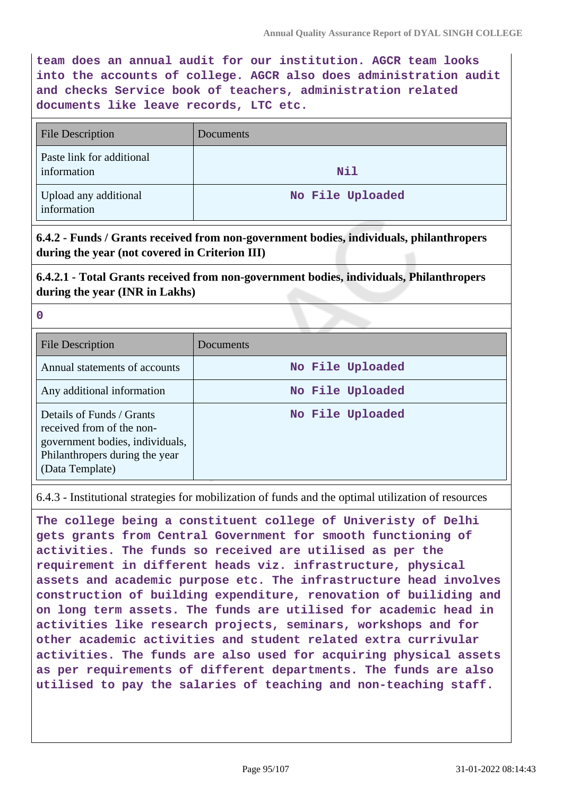**team does an annual audit for our institution. AGCR team looks into the accounts of college. AGCR also does administration audit and checks Service book of teachers, administration related documents like leave records, LTC etc.**

| <b>File Description</b>                  | Documents        |
|------------------------------------------|------------------|
| Paste link for additional<br>information | <b>Nil</b>       |
| Upload any additional<br>information     | No File Uploaded |

**6.4.2 - Funds / Grants received from non-government bodies, individuals, philanthropers during the year (not covered in Criterion III)**

**6.4.2.1 - Total Grants received from non-government bodies, individuals, Philanthropers during the year (INR in Lakhs)**

|   | ۰  |  |
|---|----|--|
| × | ۰, |  |

| <b>File Description</b>                                                                                                                        | Documents        |
|------------------------------------------------------------------------------------------------------------------------------------------------|------------------|
| Annual statements of accounts                                                                                                                  | No File Uploaded |
| Any additional information                                                                                                                     | No File Uploaded |
| Details of Funds / Grants<br>received from of the non-<br>government bodies, individuals,<br>Philanthropers during the year<br>(Data Template) | No File Uploaded |

6.4.3 - Institutional strategies for mobilization of funds and the optimal utilization of resources

**The college being a constituent college of Univeristy of Delhi gets grants from Central Government for smooth functioning of activities. The funds so received are utilised as per the requirement in different heads viz. infrastructure, physical assets and academic purpose etc. The infrastructure head involves construction of building expenditure, renovation of builiding and on long term assets. The funds are utilised for academic head in activities like research projects, seminars, workshops and for other academic activities and student related extra currivular activities. The funds are also used for acquiring physical assets as per requirements of different departments. The funds are also utilised to pay the salaries of teaching and non-teaching staff.**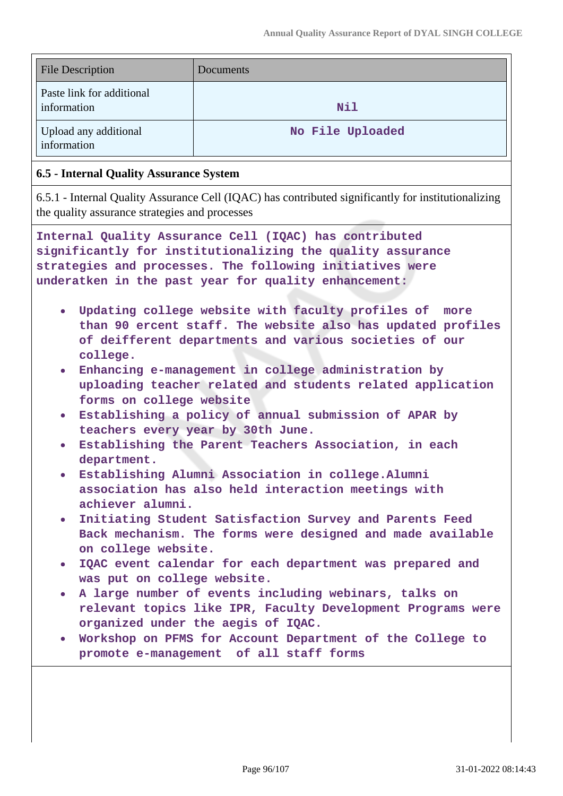| <b>File Description</b>                  | Documents        |
|------------------------------------------|------------------|
| Paste link for additional<br>information | Nil              |
| Upload any additional<br>information     | No File Uploaded |

#### **6.5 - Internal Quality Assurance System**

6.5.1 - Internal Quality Assurance Cell (IQAC) has contributed significantly for institutionalizing the quality assurance strategies and processes

**Internal Quality Assurance Cell (IQAC) has contributed significantly for institutionalizing the quality assurance strategies and processes. The following initiatives were underatken in the past year for quality enhancement:**

- **Updating college website with faculty profiles of more than 90 ercent staff. The website also has updated profiles of deifferent departments and various societies of our college.**
- **Enhancing e-management in college administration by uploading teacher related and students related application forms on college website**
- **Establishing a policy of annual submission of APAR by teachers every year by 30th June.**
- **Establishing the Parent Teachers Association, in each department.**
- **Establishing Alumni Association in college.Alumni association has also held interaction meetings with achiever alumni.**
- **Initiating Student Satisfaction Survey and Parents Feed Back mechanism. The forms were designed and made available on college website.**
- **IQAC event calendar for each department was prepared and was put on college website.**
- **A large number of events including webinars, talks on relevant topics like IPR, Faculty Development Programs were organized under the aegis of IQAC.**
- **Workshop on PFMS for Account Department of the College to promote e-management of all staff forms**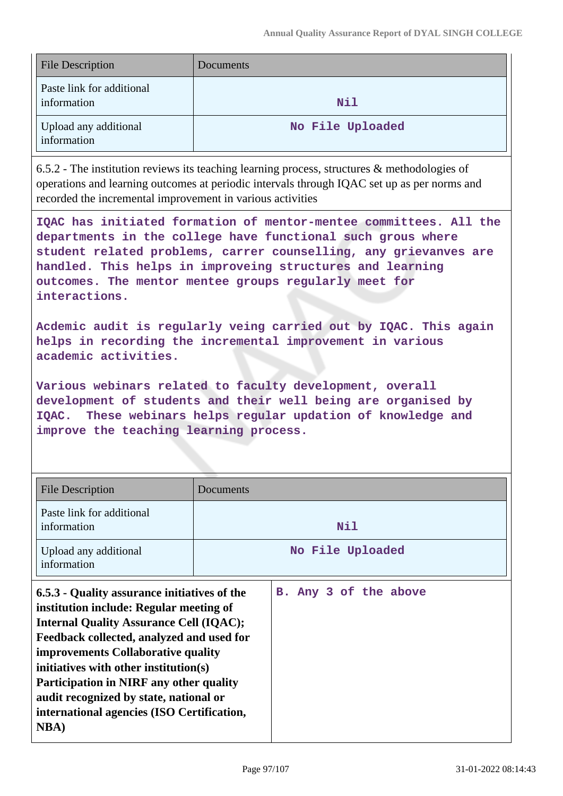| <b>File Description</b>                  | Documents        |
|------------------------------------------|------------------|
| Paste link for additional<br>information | Nil              |
| Upload any additional<br>information     | No File Uploaded |

6.5.2 - The institution reviews its teaching learning process, structures & methodologies of operations and learning outcomes at periodic intervals through IQAC set up as per norms and recorded the incremental improvement in various activities

**IQAC has initiated formation of mentor-mentee committees. All the departments in the college have functional such grous where student related problems, carrer counselling, any grievanves are handled. This helps in improveing structures and learning outcomes. The mentor mentee groups regularly meet for interactions.**

**Acdemic audit is regularly veing carried out by IQAC. This again helps in recording the incremental improvement in various academic activities.**

**Various webinars related to faculty development, overall development of students and their well being are organised by IQAC. These webinars helps regular updation of knowledge and improve the teaching learning process.**

| <b>File Description</b>                                                                                                                                                                                                                                                                                                                                                                                                  | Documents             |
|--------------------------------------------------------------------------------------------------------------------------------------------------------------------------------------------------------------------------------------------------------------------------------------------------------------------------------------------------------------------------------------------------------------------------|-----------------------|
| Paste link for additional<br>information                                                                                                                                                                                                                                                                                                                                                                                 | Nil                   |
| Upload any additional<br>information                                                                                                                                                                                                                                                                                                                                                                                     | No File Uploaded      |
| 6.5.3 - Quality assurance initiatives of the<br>institution include: Regular meeting of<br><b>Internal Quality Assurance Cell (IQAC);</b><br>Feedback collected, analyzed and used for<br>improvements Collaborative quality<br>initiatives with other institution(s)<br>Participation in NIRF any other quality<br>audit recognized by state, national or<br>international agencies (ISO Certification,<br><b>NBA</b> ) | B. Any 3 of the above |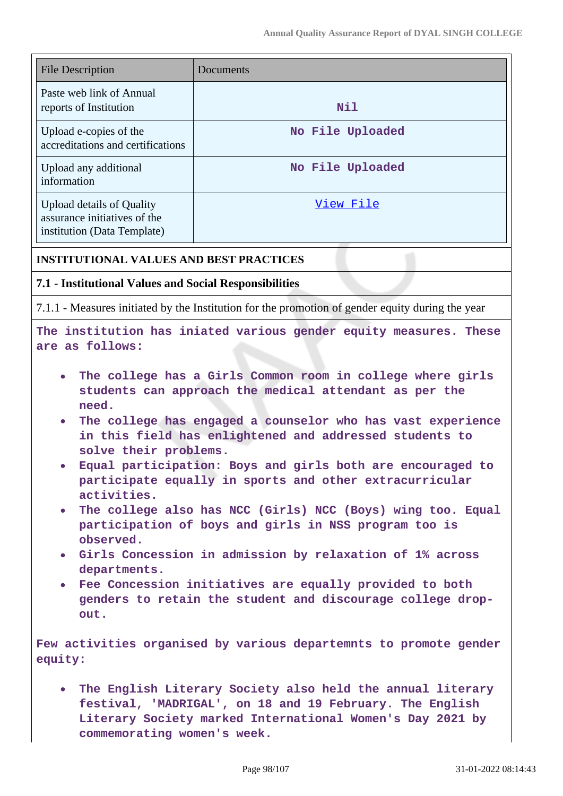| <b>File Description</b>                                                                                                                                                                                                                                                                                                                                                                                                                                                                                                                                                                                                                                                                                                                                                                            | Documents                                                                                        |  |
|----------------------------------------------------------------------------------------------------------------------------------------------------------------------------------------------------------------------------------------------------------------------------------------------------------------------------------------------------------------------------------------------------------------------------------------------------------------------------------------------------------------------------------------------------------------------------------------------------------------------------------------------------------------------------------------------------------------------------------------------------------------------------------------------------|--------------------------------------------------------------------------------------------------|--|
| Paste web link of Annual<br>reports of Institution<br>Nil                                                                                                                                                                                                                                                                                                                                                                                                                                                                                                                                                                                                                                                                                                                                          |                                                                                                  |  |
| Upload e-copies of the<br>accreditations and certifications                                                                                                                                                                                                                                                                                                                                                                                                                                                                                                                                                                                                                                                                                                                                        | No File Uploaded                                                                                 |  |
| Upload any additional<br>information                                                                                                                                                                                                                                                                                                                                                                                                                                                                                                                                                                                                                                                                                                                                                               | No File Uploaded                                                                                 |  |
| View File<br><b>Upload details of Quality</b><br>assurance initiatives of the<br>institution (Data Template)                                                                                                                                                                                                                                                                                                                                                                                                                                                                                                                                                                                                                                                                                       |                                                                                                  |  |
| <b>INSTITUTIONAL VALUES AND BEST PRACTICES</b>                                                                                                                                                                                                                                                                                                                                                                                                                                                                                                                                                                                                                                                                                                                                                     |                                                                                                  |  |
| 7.1 - Institutional Values and Social Responsibilities                                                                                                                                                                                                                                                                                                                                                                                                                                                                                                                                                                                                                                                                                                                                             |                                                                                                  |  |
|                                                                                                                                                                                                                                                                                                                                                                                                                                                                                                                                                                                                                                                                                                                                                                                                    | 7.1.1 - Measures initiated by the Institution for the promotion of gender equity during the year |  |
| are as follows:                                                                                                                                                                                                                                                                                                                                                                                                                                                                                                                                                                                                                                                                                                                                                                                    | The institution has iniated various gender equity measures. These                                |  |
| The college has a Girls Common room in college where girls<br>students can approach the medical attendant as per the<br>need.<br>The college has engaged a counselor who has vast experience<br>$\bullet$<br>in this field has enlightened and addressed students to<br>solve their problems.<br>Equal participation: Boys and girls both are encouraged to<br>$\bullet$<br>participate equally in sports and other extracurricular<br>activities.<br>. The college also has NCC (Girls) NCC (Boys) wing too. Equal<br>participation of boys and girls in NSS program too is<br>observed.<br>• Girls Concession in admission by relaxation of 1% across<br>departments.<br>• Fee Concession initiatives are equally provided to both<br>genders to retain the student and discourage college drop- |                                                                                                  |  |
| equity:                                                                                                                                                                                                                                                                                                                                                                                                                                                                                                                                                                                                                                                                                                                                                                                            | Few activities organised by various departemnts to promote gender                                |  |
| . The English Literary Society also held the annual literary<br>festival, 'MADRIGAL', on 18 and 19 February. The English<br>Literary Society marked International Women's Day 2021 by<br>commemorating women's week.                                                                                                                                                                                                                                                                                                                                                                                                                                                                                                                                                                               |                                                                                                  |  |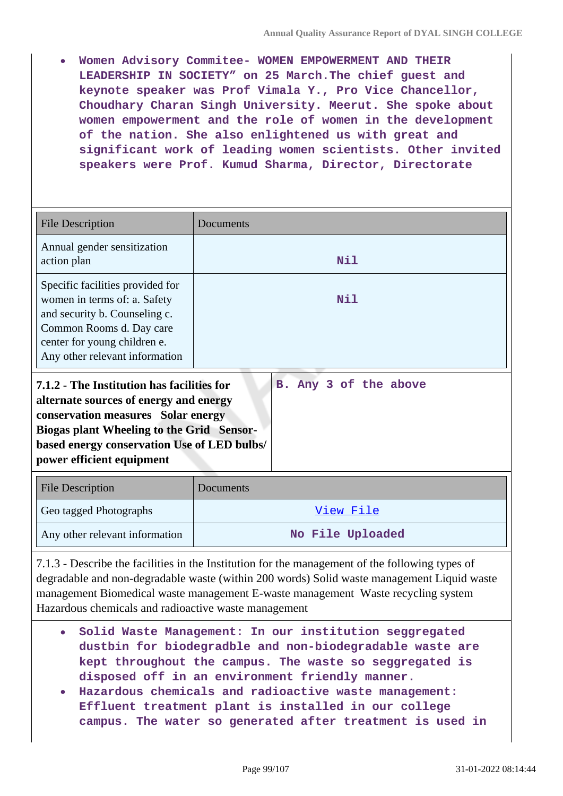**Women Advisory Commitee- WOMEN EMPOWERMENT AND THEIR LEADERSHIP IN SOCIETY" on 25 March.The chief guest and keynote speaker was Prof Vimala Y., Pro Vice Chancellor, Choudhary Charan Singh University. Meerut. She spoke about women empowerment and the role of women in the development of the nation. She also enlightened us with great and significant work of leading women scientists. Other invited speakers were Prof. Kumud Sharma, Director, Directorate**

| <b>File Description</b>                                                                                                                                                                                                                                                             | Documents        |  |
|-------------------------------------------------------------------------------------------------------------------------------------------------------------------------------------------------------------------------------------------------------------------------------------|------------------|--|
| Annual gender sensitization<br>action plan                                                                                                                                                                                                                                          | Nil              |  |
| Specific facilities provided for<br>women in terms of: a. Safety<br>and security b. Counseling c.<br>Common Rooms d. Day care<br>center for young children e.<br>Any other relevant information                                                                                     | Nil              |  |
| 7.1.2 - The Institution has facilities for<br>B. Any 3 of the above<br>alternate sources of energy and energy<br>conservation measures Solar energy<br><b>Biogas plant Wheeling to the Grid Sensor-</b><br>based energy conservation Use of LED bulbs/<br>power efficient equipment |                  |  |
| <b>File Description</b>                                                                                                                                                                                                                                                             | Documents        |  |
| Geo tagged Photographs                                                                                                                                                                                                                                                              | View File        |  |
| Any other relevant information                                                                                                                                                                                                                                                      | No File Uploaded |  |

7.1.3 - Describe the facilities in the Institution for the management of the following types of degradable and non-degradable waste (within 200 words) Solid waste management Liquid waste management Biomedical waste management E-waste management Waste recycling system Hazardous chemicals and radioactive waste management

- **Solid Waste Management: In our institution seggregated dustbin for biodegradble and non-biodegradable waste are kept throughout the campus. The waste so seggregated is disposed off in an environment friendly manner.**
- **Hazardous chemicals and radioactive waste management: Effluent treatment plant is installed in our college campus. The water so generated after treatment is used in**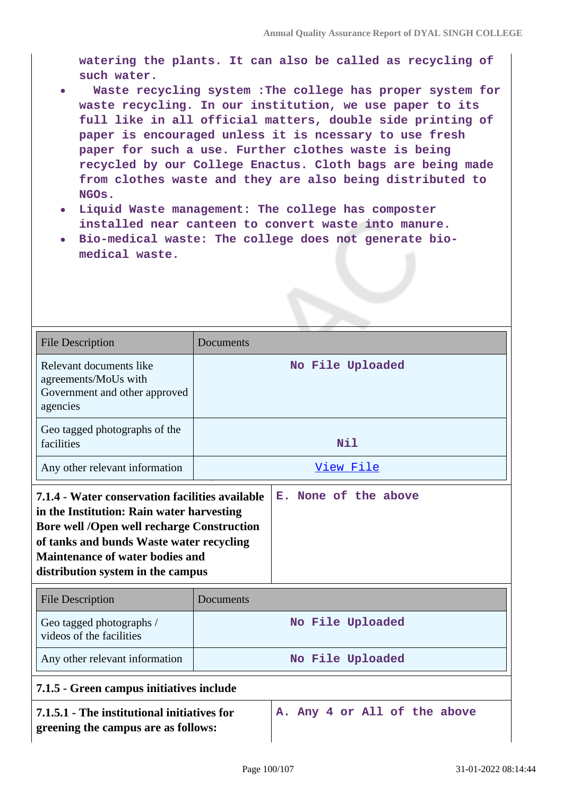**watering the plants. It can also be called as recycling of such water.**

- **Waste recycling system :The college has proper system for waste recycling. In our institution, we use paper to its full like in all official matters, double side printing of paper is encouraged unless it is ncessary to use fresh paper for such a use. Further clothes waste is being recycled by our College Enactus. Cloth bags are being made from clothes waste and they are also being distributed to NGOs.**
- **Liquid Waste management: The college has composter installed near canteen to convert waste into manure.**
- **Bio-medical waste: The college does not generate biomedical waste.**

| <b>File Description</b>                                                                                                                                                                                            | Documents |                              |
|--------------------------------------------------------------------------------------------------------------------------------------------------------------------------------------------------------------------|-----------|------------------------------|
| Relevant documents like<br>agreements/MoUs with<br>Government and other approved<br>agencies                                                                                                                       |           | No File Uploaded             |
| Geo tagged photographs of the<br>facilities                                                                                                                                                                        |           | Nil                          |
| Any other relevant information                                                                                                                                                                                     |           | View File                    |
| in the Institution: Rain water harvesting<br><b>Bore well /Open well recharge Construction</b><br>of tanks and bunds Waste water recycling<br>Maintenance of water bodies and<br>distribution system in the campus |           |                              |
| <b>File Description</b>                                                                                                                                                                                            | Documents |                              |
| Geo tagged photographs /<br>videos of the facilities                                                                                                                                                               |           | No File Uploaded             |
| Any other relevant information                                                                                                                                                                                     |           | No File Uploaded             |
| 7.1.5 - Green campus initiatives include                                                                                                                                                                           |           |                              |
| 7.1.5.1 - The institutional initiatives for<br>greening the campus are as follows:                                                                                                                                 |           | A. Any 4 or All of the above |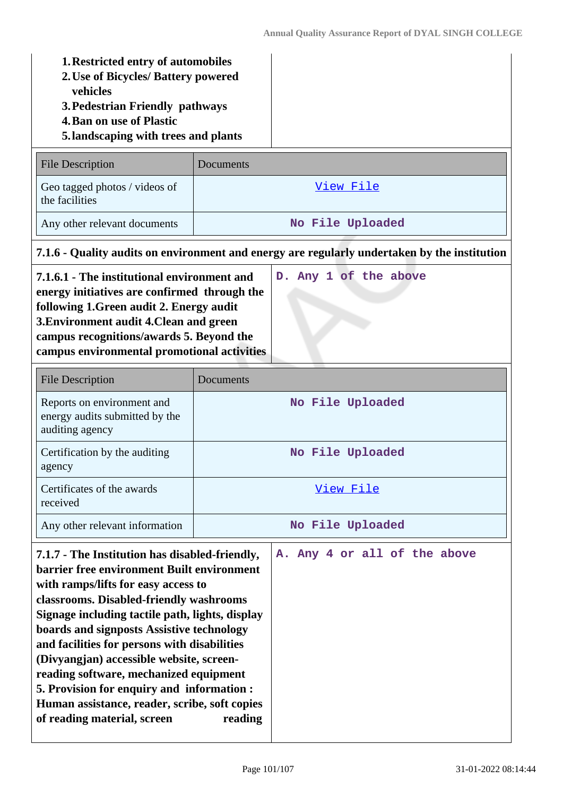| <b>1. Restricted entry of automobiles</b><br>2. Use of Bicycles/ Battery powered<br>vehicles<br>3. Pedestrian Friendly pathways<br><b>4. Ban on use of Plastic</b><br>5. landscaping with trees and plants                                                                                                                                                                                                                                                                                                                                                    |                                                                                 |           |                                                                                              |
|---------------------------------------------------------------------------------------------------------------------------------------------------------------------------------------------------------------------------------------------------------------------------------------------------------------------------------------------------------------------------------------------------------------------------------------------------------------------------------------------------------------------------------------------------------------|---------------------------------------------------------------------------------|-----------|----------------------------------------------------------------------------------------------|
|                                                                                                                                                                                                                                                                                                                                                                                                                                                                                                                                                               | <b>File Description</b>                                                         | Documents |                                                                                              |
|                                                                                                                                                                                                                                                                                                                                                                                                                                                                                                                                                               | Geo tagged photos / videos of<br>the facilities                                 |           | <u>View File</u>                                                                             |
|                                                                                                                                                                                                                                                                                                                                                                                                                                                                                                                                                               | Any other relevant documents                                                    |           | No File Uploaded                                                                             |
|                                                                                                                                                                                                                                                                                                                                                                                                                                                                                                                                                               |                                                                                 |           | 7.1.6 - Quality audits on environment and energy are regularly undertaken by the institution |
| 7.1.6.1 - The institutional environment and<br>energy initiatives are confirmed through the<br>following 1. Green audit 2. Energy audit<br>3. Environment audit 4. Clean and green<br>campus recognitions/awards 5. Beyond the<br>campus environmental promotional activities                                                                                                                                                                                                                                                                                 |                                                                                 |           | D. Any 1 of the above                                                                        |
|                                                                                                                                                                                                                                                                                                                                                                                                                                                                                                                                                               | <b>File Description</b>                                                         | Documents |                                                                                              |
|                                                                                                                                                                                                                                                                                                                                                                                                                                                                                                                                                               | Reports on environment and<br>energy audits submitted by the<br>auditing agency |           | No File Uploaded                                                                             |
| agency                                                                                                                                                                                                                                                                                                                                                                                                                                                                                                                                                        | Certification by the auditing                                                   |           | No File Uploaded                                                                             |
| received                                                                                                                                                                                                                                                                                                                                                                                                                                                                                                                                                      | Certificates of the awards                                                      |           | <u>View File</u>                                                                             |
|                                                                                                                                                                                                                                                                                                                                                                                                                                                                                                                                                               | Any other relevant information                                                  |           | No File Uploaded                                                                             |
| 7.1.7 - The Institution has disabled-friendly,<br>barrier free environment Built environment<br>with ramps/lifts for easy access to<br>classrooms. Disabled-friendly washrooms<br>Signage including tactile path, lights, display<br>boards and signposts Assistive technology<br>and facilities for persons with disabilities<br>(Divyangjan) accessible website, screen-<br>reading software, mechanized equipment<br>5. Provision for enquiry and information :<br>Human assistance, reader, scribe, soft copies<br>of reading material, screen<br>reading |                                                                                 |           | A. Any 4 or all of the above                                                                 |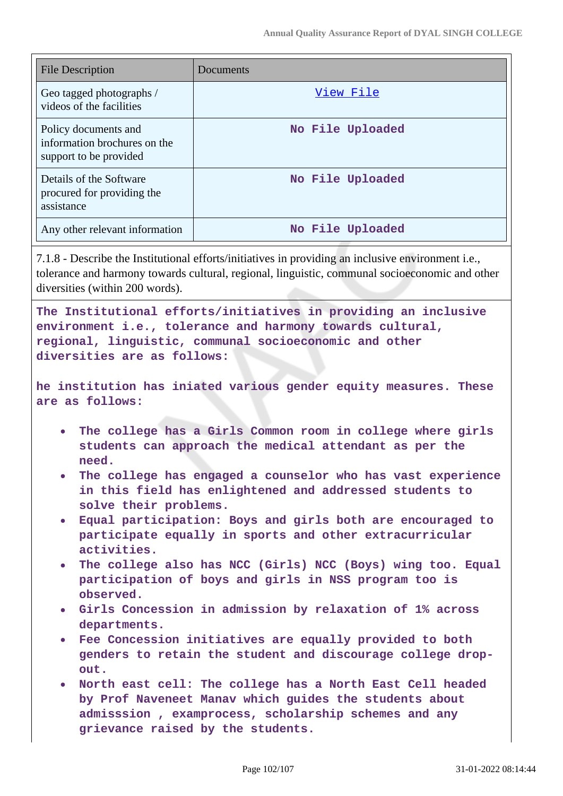| <b>File Description</b>                                                        | Documents        |
|--------------------------------------------------------------------------------|------------------|
| Geo tagged photographs /<br>videos of the facilities                           | View File        |
| Policy documents and<br>information brochures on the<br>support to be provided | No File Uploaded |
| Details of the Software<br>procured for providing the<br>assistance            | No File Uploaded |
| Any other relevant information                                                 | No File Uploaded |

7.1.8 - Describe the Institutional efforts/initiatives in providing an inclusive environment i.e., tolerance and harmony towards cultural, regional, linguistic, communal socioeconomic and other diversities (within 200 words).

**The Institutional efforts/initiatives in providing an inclusive environment i.e., tolerance and harmony towards cultural, regional, linguistic, communal socioeconomic and other diversities are as follows:**

**he institution has iniated various gender equity measures. These are as follows:**

- **The college has a Girls Common room in college where girls students can approach the medical attendant as per the need.**
- **The college has engaged a counselor who has vast experience in this field has enlightened and addressed students to solve their problems.**
- **Equal participation: Boys and girls both are encouraged to participate equally in sports and other extracurricular activities.**
- **The college also has NCC (Girls) NCC (Boys) wing too. Equal participation of boys and girls in NSS program too is observed.**
- **Girls Concession in admission by relaxation of 1% across departments.**
- **Fee Concession initiatives are equally provided to both genders to retain the student and discourage college dropout.**
- **North east cell: The college has a North East Cell headed by Prof Naveneet Manav which guides the students about admisssion , examprocess, scholarship schemes and any grievance raised by the students.**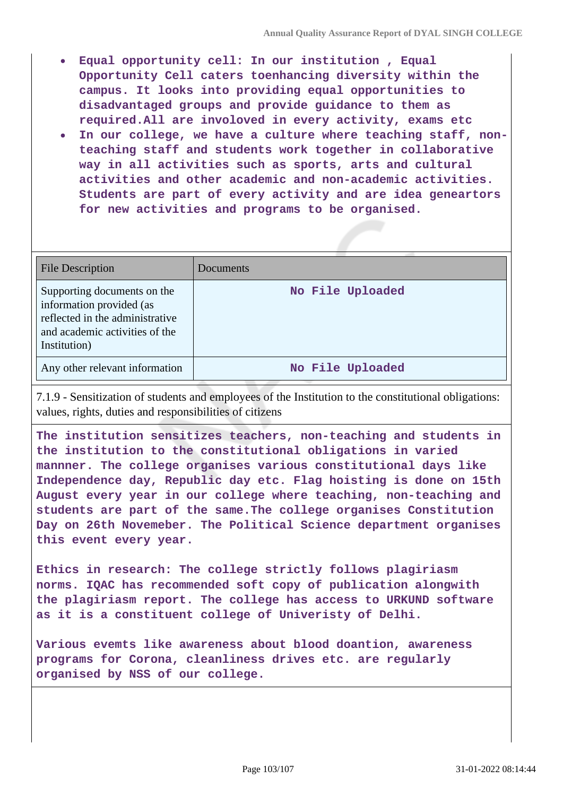- **Equal opportunity cell: In our institution , Equal Opportunity Cell caters toenhancing diversity within the campus. It looks into providing equal opportunities to disadvantaged groups and provide guidance to them as required.All are involoved in every activity, exams etc**
- **In our college, we have a culture where teaching staff, nonteaching staff and students work together in collaborative way in all activities such as sports, arts and cultural activities and other academic and non-academic activities. Students are part of every activity and are idea geneartors for new activities and programs to be organised.**

| <b>File Description</b>                                                                                                                      | Documents        |
|----------------------------------------------------------------------------------------------------------------------------------------------|------------------|
| Supporting documents on the<br>information provided (as<br>reflected in the administrative<br>and academic activities of the<br>Institution) | No File Uploaded |
| Any other relevant information                                                                                                               | No File Uploaded |

7.1.9 - Sensitization of students and employees of the Institution to the constitutional obligations: values, rights, duties and responsibilities of citizens

**The institution sensitizes teachers, non-teaching and students in the institution to the constitutional obligations in varied mannner. The college organises various constitutional days like Independence day, Republic day etc. Flag hoisting is done on 15th August every year in our college where teaching, non-teaching and students are part of the same.The college organises Constitution Day on 26th Novemeber. The Political Science department organises this event every year.**

**Ethics in research: The college strictly follows plagiriasm norms. IQAC has recommended soft copy of publication alongwith the plagiriasm report. The college has access to URKUND software as it is a constituent college of Univeristy of Delhi.**

**Various evemts like awareness about blood doantion, awareness programs for Corona, cleanliness drives etc. are regularly organised by NSS of our college.**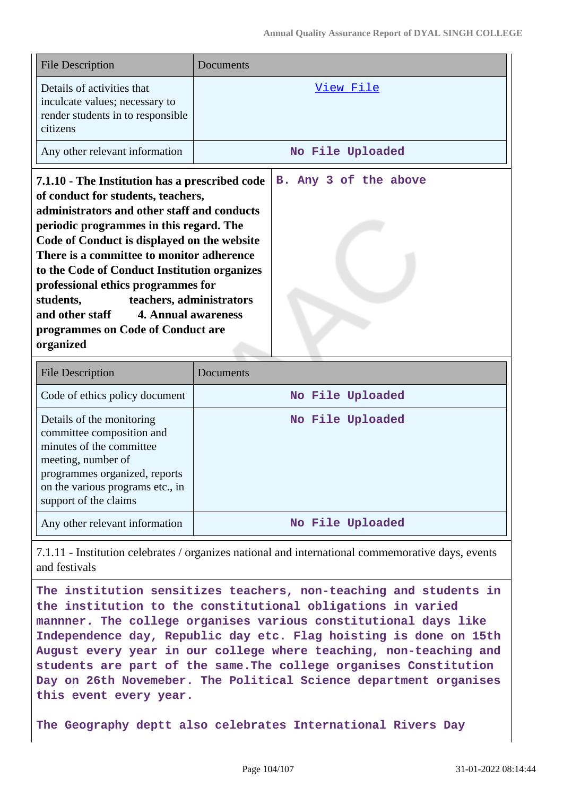| <b>File Description</b>                                                                                                                                                                                                                                                                                                                                                                                                                                                                            | Documents             |
|----------------------------------------------------------------------------------------------------------------------------------------------------------------------------------------------------------------------------------------------------------------------------------------------------------------------------------------------------------------------------------------------------------------------------------------------------------------------------------------------------|-----------------------|
| Details of activities that<br>inculcate values; necessary to<br>render students in to responsible<br>citizens                                                                                                                                                                                                                                                                                                                                                                                      | View File             |
| Any other relevant information                                                                                                                                                                                                                                                                                                                                                                                                                                                                     | No File Uploaded      |
| 7.1.10 - The Institution has a prescribed code<br>of conduct for students, teachers,<br>administrators and other staff and conducts<br>periodic programmes in this regard. The<br>Code of Conduct is displayed on the website<br>There is a committee to monitor adherence<br>to the Code of Conduct Institution organizes<br>professional ethics programmes for<br>students,<br>teachers, administrators<br>and other staff 4. Annual awareness<br>programmes on Code of Conduct are<br>organized | B. Any 3 of the above |

| <b>File Description</b>                                                                                                                                                                                | Documents        |
|--------------------------------------------------------------------------------------------------------------------------------------------------------------------------------------------------------|------------------|
| Code of ethics policy document                                                                                                                                                                         | No File Uploaded |
| Details of the monitoring<br>committee composition and<br>minutes of the committee<br>meeting, number of<br>programmes organized, reports<br>on the various programs etc., in<br>support of the claims | No File Uploaded |
| Any other relevant information                                                                                                                                                                         | No File Uploaded |

7.1.11 - Institution celebrates / organizes national and international commemorative days, events and festivals

**The institution sensitizes teachers, non-teaching and students in the institution to the constitutional obligations in varied mannner. The college organises various constitutional days like Independence day, Republic day etc. Flag hoisting is done on 15th August every year in our college where teaching, non-teaching and students are part of the same.The college organises Constitution Day on 26th Novemeber. The Political Science department organises this event every year.**

**The Geography deptt also celebrates International Rivers Day**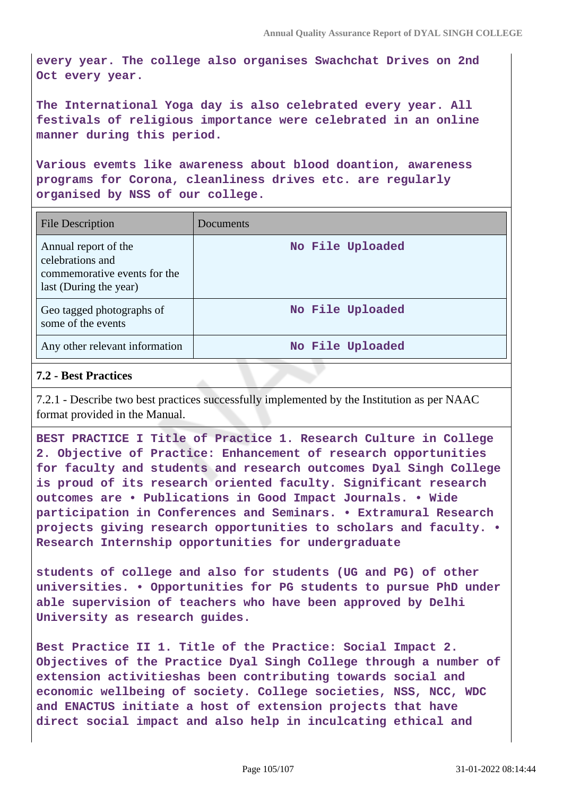**every year. The college also organises Swachchat Drives on 2nd Oct every year.**

**The International Yoga day is also celebrated every year. All festivals of religious importance were celebrated in an online manner during this period.**

**Various evemts like awareness about blood doantion, awareness programs for Corona, cleanliness drives etc. are regularly organised by NSS of our college.**

| File Description                                                                                   | Documents        |
|----------------------------------------------------------------------------------------------------|------------------|
| Annual report of the<br>celebrations and<br>commemorative events for the<br>last (During the year) | No File Uploaded |
| Geo tagged photographs of<br>some of the events                                                    | No File Uploaded |
| Any other relevant information                                                                     | No File Uploaded |

### **7.2 - Best Practices**

7.2.1 - Describe two best practices successfully implemented by the Institution as per NAAC format provided in the Manual.

**BEST PRACTICE I Title of Practice 1. Research Culture in College 2. Objective of Practice: Enhancement of research opportunities for faculty and students and research outcomes Dyal Singh College is proud of its research oriented faculty. Significant research outcomes are • Publications in Good Impact Journals. • Wide participation in Conferences and Seminars. • Extramural Research projects giving research opportunities to scholars and faculty. • Research Internship opportunities for undergraduate**

**students of college and also for students (UG and PG) of other universities. • Opportunities for PG students to pursue PhD under able supervision of teachers who have been approved by Delhi University as research guides.**

**Best Practice II 1. Title of the Practice: Social Impact 2. Objectives of the Practice Dyal Singh College through a number of extension activitieshas been contributing towards social and economic wellbeing of society. College societies, NSS, NCC, WDC and ENACTUS initiate a host of extension projects that have direct social impact and also help in inculcating ethical and**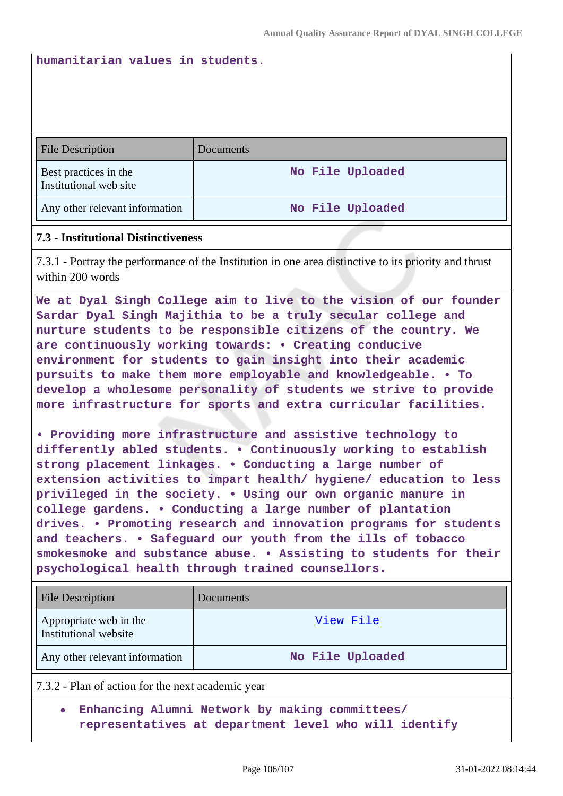#### **humanitarian values in students.**

| <b>File Description</b>                         | Documents        |
|-------------------------------------------------|------------------|
| Best practices in the<br>Institutional web site | No File Uploaded |
| Any other relevant information                  | No File Uploaded |

#### **7.3 - Institutional Distinctiveness**

7.3.1 - Portray the performance of the Institution in one area distinctive to its priority and thrust within 200 words

**We at Dyal Singh College aim to live to the vision of our founder Sardar Dyal Singh Majithia to be a truly secular college and nurture students to be responsible citizens of the country. We are continuously working towards: • Creating conducive environment for students to gain insight into their academic pursuits to make them more employable and knowledgeable. • To develop a wholesome personality of students we strive to provide more infrastructure for sports and extra curricular facilities.**

**• Providing more infrastructure and assistive technology to differently abled students. • Continuously working to establish strong placement linkages. • Conducting a large number of extension activities to impart health/ hygiene/ education to less privileged in the society. • Using our own organic manure in college gardens. • Conducting a large number of plantation drives. • Promoting research and innovation programs for students and teachers. • Safeguard our youth from the ills of tobacco smokesmoke and substance abuse. • Assisting to students for their psychological health through trained counsellors.**

| <b>File Description</b>                           | Documents        |
|---------------------------------------------------|------------------|
| Appropriate web in the<br>Institutional website   | View File        |
| Any other relevant information                    | No File Uploaded |
| 7.3.2 - Plan of action for the next academic year |                  |

**Enhancing Alumni Network by making committees/ representatives at department level who will identify**